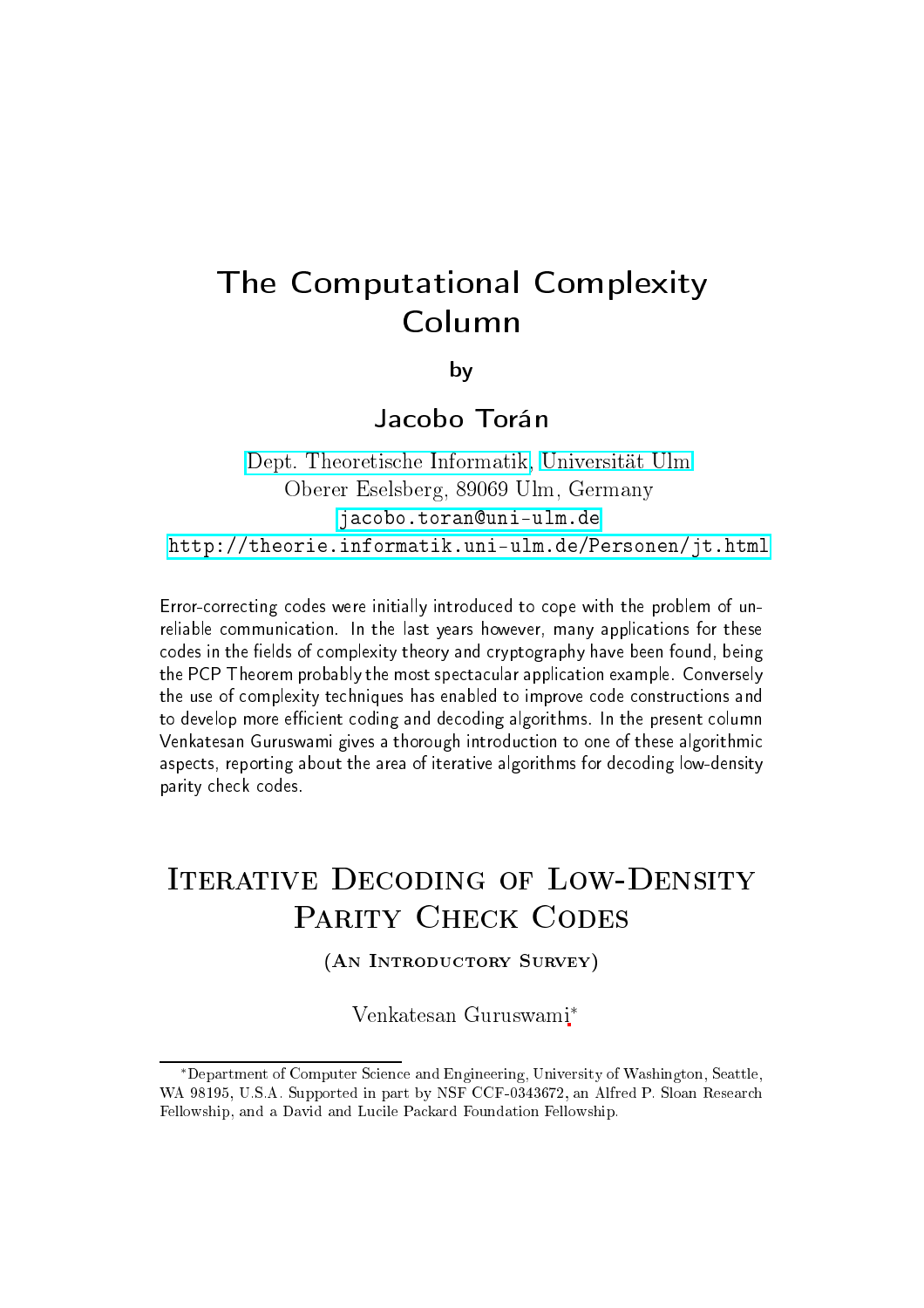# The Computational Complexity Column

by

Jacobo Torán

dept. The Information of the Information of the Information of the Information of the Information of the Information of the Information of the Information of the Information of the Information of the Information of the Inf Oberer Eselsberg, <sup>89069</sup> Ulm, Germany jacobo.toran@uni-ulm.de <http://theorie.informatik.uni-ulm.de/Personen/jt.html>

Errororre
ting odes were initially introdu
ed to ope with the problem of unreliable ommuni
ation. In the last years however, many appli
ations for these odes in the elds of omplexity theory and ryptography have been found, being the PCP Theorem probably the most spe
ta
ular appli
ation example. Conversely the use of omplexity te
hniques has enabled to improve ode onstru
tions and to develop more e
ient oding and de
oding algorithms. In the present olumn Venkatesan Guruswami gives <sup>a</sup> thorough introdu
tion to one of these algorithmi aspe
ts, reporting about the area of iterative algorithms for de
oding low-density parity he
k odes.

# **ITERATIVE DECODING OF LOW-DENSITY**

(AN INTRODUCTORY SURVEY)

Venkatesan Guruswami<sup>∗</sup>

<sup>∗</sup>Department of Computer S
ien
e and Engineering, University of Washington, Seattle, WA 98195, U.S.A. Supported in part by NSF CCF-0343672, an Alfred P. Sloan Research Fellowship, and a David and Lucile Packard Foundation Fellowship.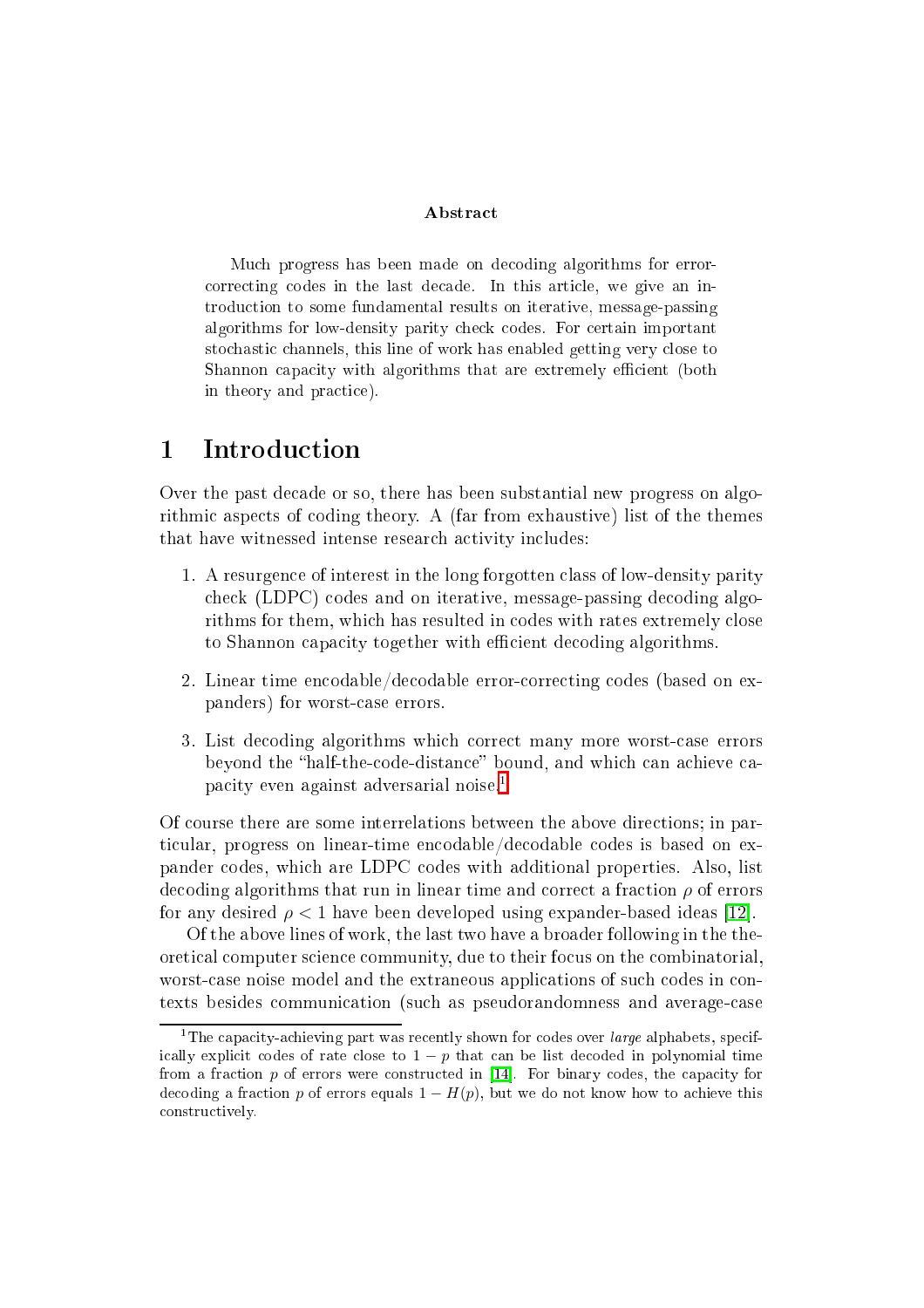## **Abstract**

Mu
h progress has been made on de
oding algorithms for error correcting codes in the last decade. In this article, we give an introduction to some fundamental results on iterative, message-passing algorithms for low-density parity he
k odes. For ertain important stochastic channels, this line of work has enabled getting very close to Shannon capacity with algorithms that are extremely efficient (both in theory and practice).

#### $\mathbf{1}$ **Introduction**

Over the past decade or so, there has been substantial new progress on algorithmi aspe
ts of oding theory. A (far from exhaustive) list of the themes that have witnessed intense research activity includes:

- 1. A resurgen
e of interest in the long forgotten lass of low-density parity check (LDPC) codes and on iterative, message-passing decoding algorithms for them, which has resulted in codes with rates extremely close to Shannon capacity together with efficient decoding algorithms.
- 2. Linear time en
odable/de
odable errororre
ting odes (based on expanders) for worstase errors.
- 3. List de
oding algorithms whi
h orre
t many more worstase errors beyond the "half-the-code-distance" bound, and which can achieve ca-pacity even against adversarial noise.<sup>[1](#page-1-0)</sup>

Of ourse there are some interrelations between the above dire
tions; in particular, progress on linear-time encodable/decodable codes is based on expander odes, whi
h are LDPC odes with additional properties. Also, list decoding algorithms that run in linear time and correct a fraction  $\rho$  of errors for any desired  $\rho < 1$  have been developed using expander-based ideas [12].

Of the above lines of work, the last two have a broader following in the theoreti
al omputer s
ien
e ommunity, due to their fo
us on the ombinatorial, worst-case noise model and the extraneous applications of such codes in contexts besides ommuni
ation (su
h as pseudorandomness and averagease

<span id="page-1-0"></span>the capacity-achieving part was recently shown for codes over *large* alphabets, specifically explicit codes of rate close to  $1 - p$  that can be list decoded in polynomial time from a fraction  $p$  of errors were constructed in [14]. For binary codes, the capacity for decoding a fraction p of errors equals  $1 - H(p)$ , but we do not know how to achieve this onstru
tively.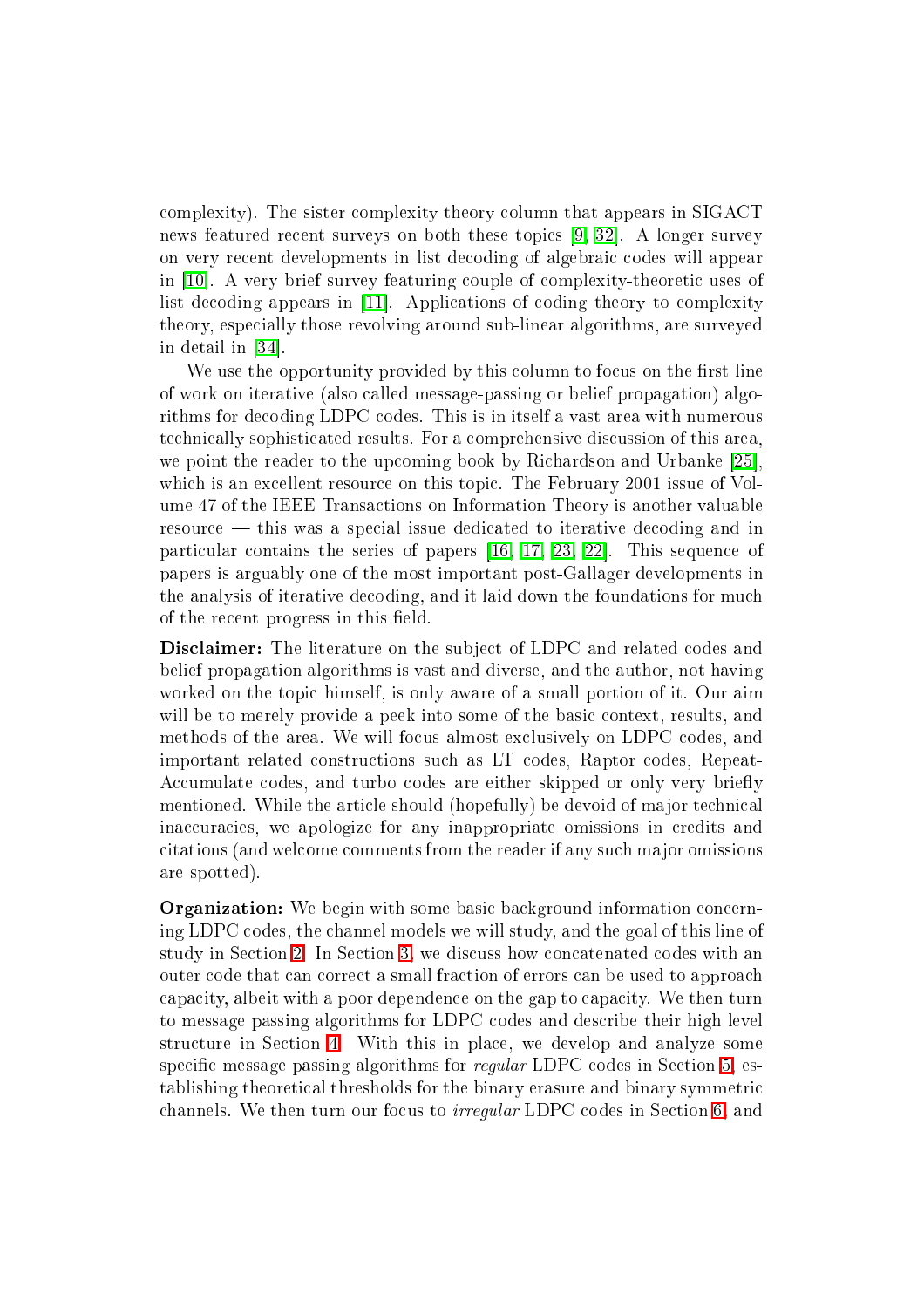omplexity). The sister omplexity theory olumn that appears in SIGACT news featured recent surveys on both these topics  $[9, 32]$  $[9, 32]$ . A longer survey on very recent developments in list decoding of algebraic codes will appear in  $[10]$ . A very brief survey featuring couple of complexity-theoretic uses of list decoding appears in [11]. Applications of coding theory to complexity theory, espe
ially those revolving around sub-linear algorithms, are surveyed in detail in  $[34]$ .

We use the opportunity provided by this column to focus on the first line of work on iterative (also alled message-passing or belief propagation) algorithms for de
oding LDPC odes. This is in itself a vast area with numerous te
hni
ally sophisti
ated results. For a omprehensive dis
ussion of this area, we point the reader to the upcoming book by Richardson and Urbanke [25]. which is an excellent resource on this topic. The February 2001 issue of Volume 47 of the IEEE Transa
tions on Information Theory is another valuable resource – this was a special issue dedicated to iterative decoding and in particular contains the series of papers  $[16, 17, 23, 22]$  $[16, 17, 23, 22]$  $[16, 17, 23, 22]$  $[16, 17, 23, 22]$  $[16, 17, 23, 22]$  $[16, 17, 23, 22]$ . This sequence of papers is arguably one of the most important post-Gallager developments in the analysis of iterative de
oding, and it laid down the foundations for mu
h of the recent progress in this field.

**Disclaimer:** The literature on the subject of LDPC and related codes and belief propagation algorithms is vast and diverse, and the author, not having worked on the topic himself, is only aware of a small portion of it. Our aim will be to merely provide a peek into some of the basic context, results, and methods of the area. We will focus almost exclusively on LDPC codes, and important related onstru
tions su
h as LT odes, Raptor odes, Repeat-Accumulate codes, and turbo codes are either skipped or only very briefly mentioned. While the article should (hopefully) be devoid of major technical inaccuracies, we apologize for any inappropriate omissions in credits and itations (and wel
ome omments from the reader if any su
h major omissions are spotted).

**Organization:** We begin with some basic background information concerning LDPC odes, the hannel models we will study, and the goal of this line of study in Section [2.](#page-3-0) In Section [3,](#page-7-0) we discuss how concatenated codes with an outer ode that an orre
t a small fra
tion of errors an be used to approa
h capacity, albeit with a poor dependence on the gap to capacity. We then turn to message passing algorithms for LDPC codes and describe their high level structure in Section [4.](#page-9-0) With this in place, we develop and analyze some specific message passing algorithms for *regular* LDPC codes in Section [5,](#page-11-0) establishing theoreti
al thresholds for the binary erasure and binary symmetri channels. We then turn our focus to *irregular* LDPC codes in Section [6,](#page-22-0) and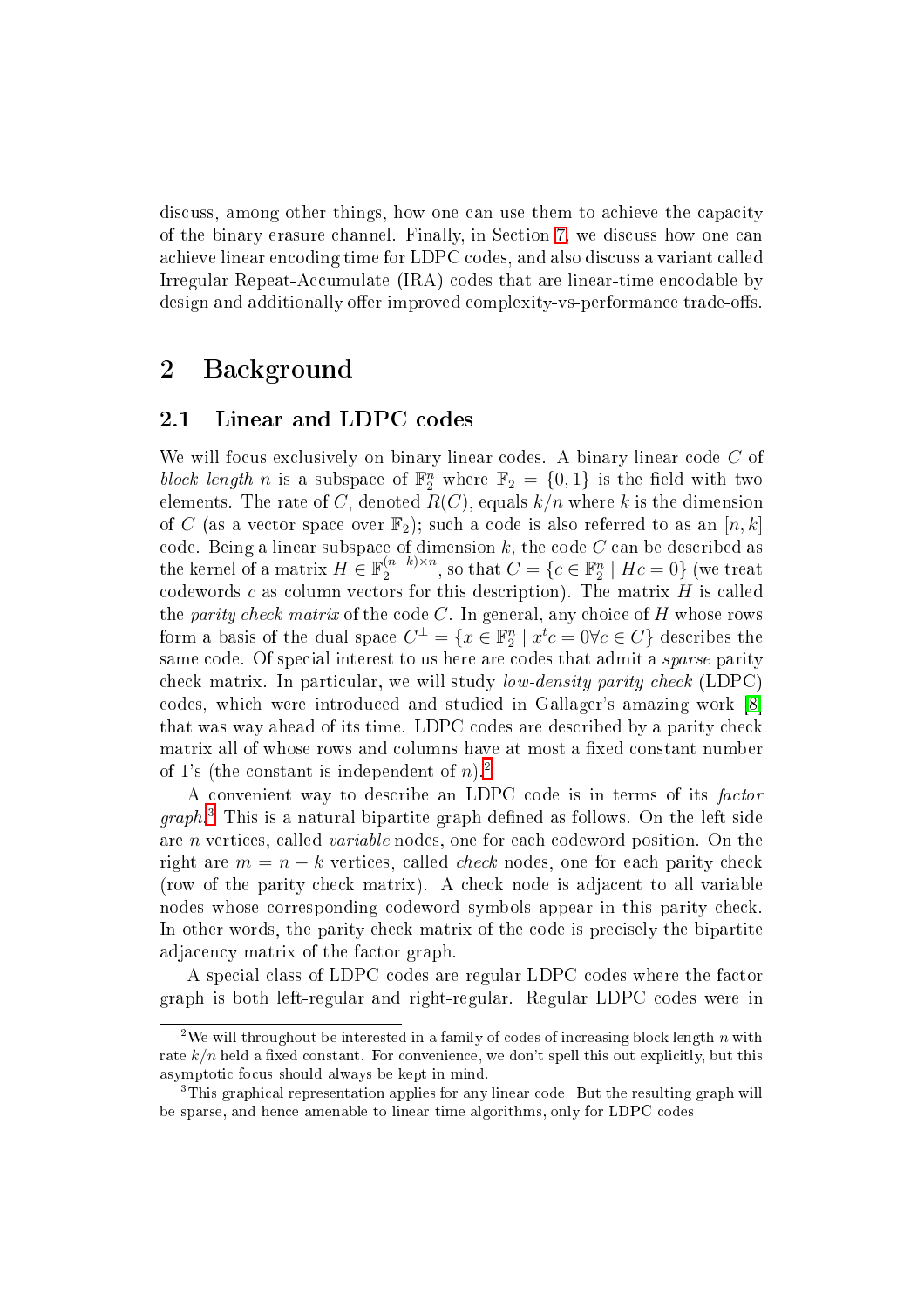discuss, among other things, how one can use them to achieve the capacity of the binary erasure hannel. Finally, in Se
tion [7,](#page-31-0) we dis
uss how one an achieve linear encoding time for LDPC codes, and also discuss a variant called Irregular Repeat-Accumulate (IRA) codes that are linear-time encodable by design and additionally offer improved complexity-vs-performance trade-offs.

# <span id="page-3-0"></span>2 Ba
kground

#### Linear and LDPC codes 2.1

We will focus exclusively on binary linear codes. A binary linear code C of block length n is a subspace of  $\mathbb{F}_2^n$  where  $\mathbb{F}_2 = \{0,1\}$  is the field with two elements. The rate of C, denoted  $R(C)$ , equals  $k/n$  where k is the dimension of C (as a vector space over  $\mathbb{F}_2$ ); such a code is also referred to as an  $[n, k]$ code. Being a linear subspace of dimension  $k,$  the code  $C$  can be described as the kernel of a matrix  $H \in \mathbb{F}_2^{(n-k)\times n}$ , so that  $C = \{c \in \mathbb{F}_2^n \mid Hc = 0\}$  (we treat codewords  $c$  as column vectors for this description). The matrix  $H$  is called the *parity check matrix* of the code  $C$ . In general, any choice of  $H$  whose rows form a basis of the dual space  $C^{\perp} = \{x \in \mathbb{F}_2^n \mid x^t c = 0 \forall c \in C\}$  describes the same code. Of special interest to us here are codes that admit a *sparse* parity check matrix. In particular, we will study *low-density parity check* (LDPC) codes, which were introduced and studied in Gallager's amazing work [8] that was way ahead of its time. LDPC codes are described by a parity check matrix all of whose rows and columns have at most a fixed constant number of 1's (the constant is independent of  $n$ ).<sup>[2](#page-3-1)</sup>

A convenient way to describe an LDPC code is in terms of its factor graph. I his is a natural bipartite graph denned as follows. On the left side are *n* vertices, called *variable* nodes, one for each codeword position. On the right are  $m = n - k$  vertices, called *check* nodes, one for each parity check (row of the parity he
k matrix). A he
k node is adja
ent to all variable nodes whose orresponding odeword symbols appear in this parity he
k. In other words, the parity check matrix of the code is precisely the bipartite adjacency matrix of the factor graph.

A special class of LDPC codes are regular LDPC codes where the factor graph is both left-regular and right-regular. Regular LDPC odes were in

<span id="page-3-1"></span><sup>&</sup>lt;sup>2</sup>We will throughout be interested in a family of codes of increasing block length  $n$  with rate  $k/n$  held a fixed constant. For convenience, we don't spell this out explicitly, but this asymptoti fo
us should always be kept in mind.

<span id="page-3-2"></span><sup>3</sup> This graphi
al representation applies for any linear ode. But the resulting graph will be sparse, and hen
e amenable to linear time algorithms, only for LDPC odes.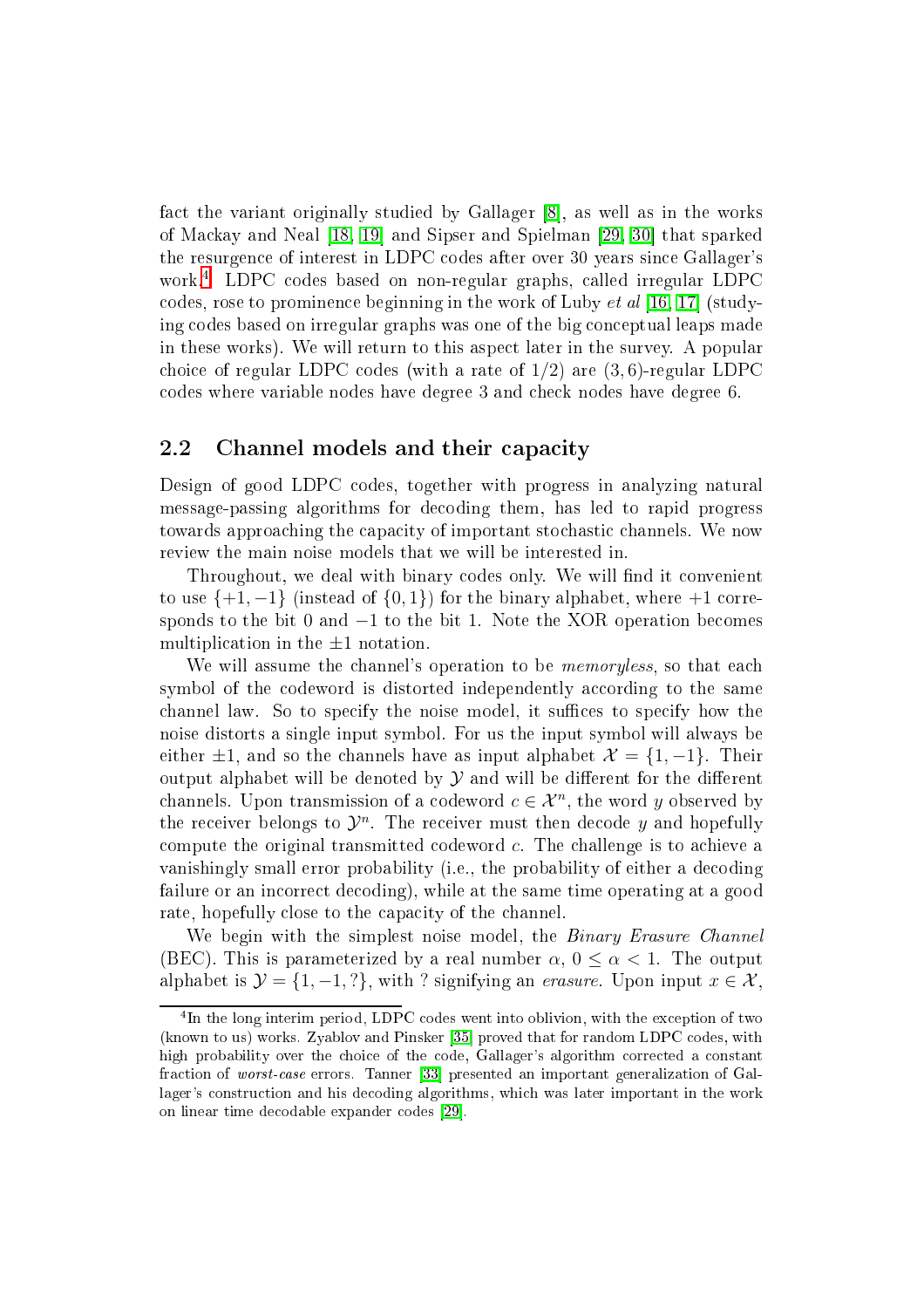fact the variant originally studied by Gallager [8], as well as in the works of Mackay and Neal [\[18,](#page-36-6) 19] and Sipser and Spielman [\[29,](#page-37-2) 30] that sparked the resurgen
e of interest in LDPC odes after over 30 years sin
e Gallager's work. LDPC codes based on non-regular graphs, called irregular LDPC codes, rose to prominence beginning in the work of Luby  $et al [16, 17]$  $et al [16, 17]$  $et al [16, 17]$  (studying codes based on irregular graphs was one of the big conceptual leaps made in these works). We will return to this aspe
t later in the survey. A popular choice of regular LDPC codes (with a rate of  $1/2$ ) are  $(3, 6)$ -regular LDPC odes where variable nodes have degree 3 and he
k nodes have degree 6.

# 2.2 Channel models and their capacity

Design of good LDPC codes, together with progress in analyzing natural message-passing algorithms for de
oding them, has led to rapid progress towards approaching the capacity of important stochastic channels. We now review the main noise models that we will be interested in.

Throughout, we deal with binary codes only. We will find it convenient to use  $\{+1, -1\}$  (instead of  $\{0, 1\}$ ) for the binary alphabet, where  $+1$  corresponds to the bit 0 and  $-1$  to the bit 1. Note the XOR operation becomes multiplication in the  $\pm 1$  notation.

We will assume the channel's operation to be *memoryless*, so that each symbol of the codeword is distorted independently according to the same channel law. So to specify the noise model, it suffices to specify how the noise distorts a single input symbol. For us the input symbol will always be either  $\pm 1$ , and so the channels have as input alphabet  $\mathcal{X} = \{1, -1\}$ . Their output alphabet will be denoted by  $\mathcal Y$  and will be different for the different channels. Upon transmission of a codeword  $c \in \mathcal{X}^n$ , the word y observed by the receiver belongs to  $\mathcal{Y}^n$ . The receiver must then decode y and hopefully compute the original transmitted codeword  $c$ . The challenge is to achieve a vanishingly small error probability (i.e., the probability of either a decoding failure or an incorrect decoding), while at the same time operating at a good rate, hopefully close to the capacity of the channel.

We begin with the simplest noise model, the *Binary Erasure Channel* (BEC). This is parameterized by a real number  $\alpha$ ,  $0 \leq \alpha < 1$ . The output alphabet is  $\mathcal{Y} = \{1, -1, ?\}$ , with ? signifying an *erasure*. Upon input  $x \in \mathcal{X}$ ,

<span id="page-4-0"></span>In the long interim period, LDPU codes went into oblivion, with the exception of two-(known to us) works. Zyablov and Pinsker [35] proved that for random LDPC codes, with high probability over the choice of the code, Gallager's algorithm corrected a constant fraction of worst-case errors. Tanner [33] presented an important generalization of Gallager's construction and his decoding algorithms, which was later important in the work on linear time decodable expander codes [29].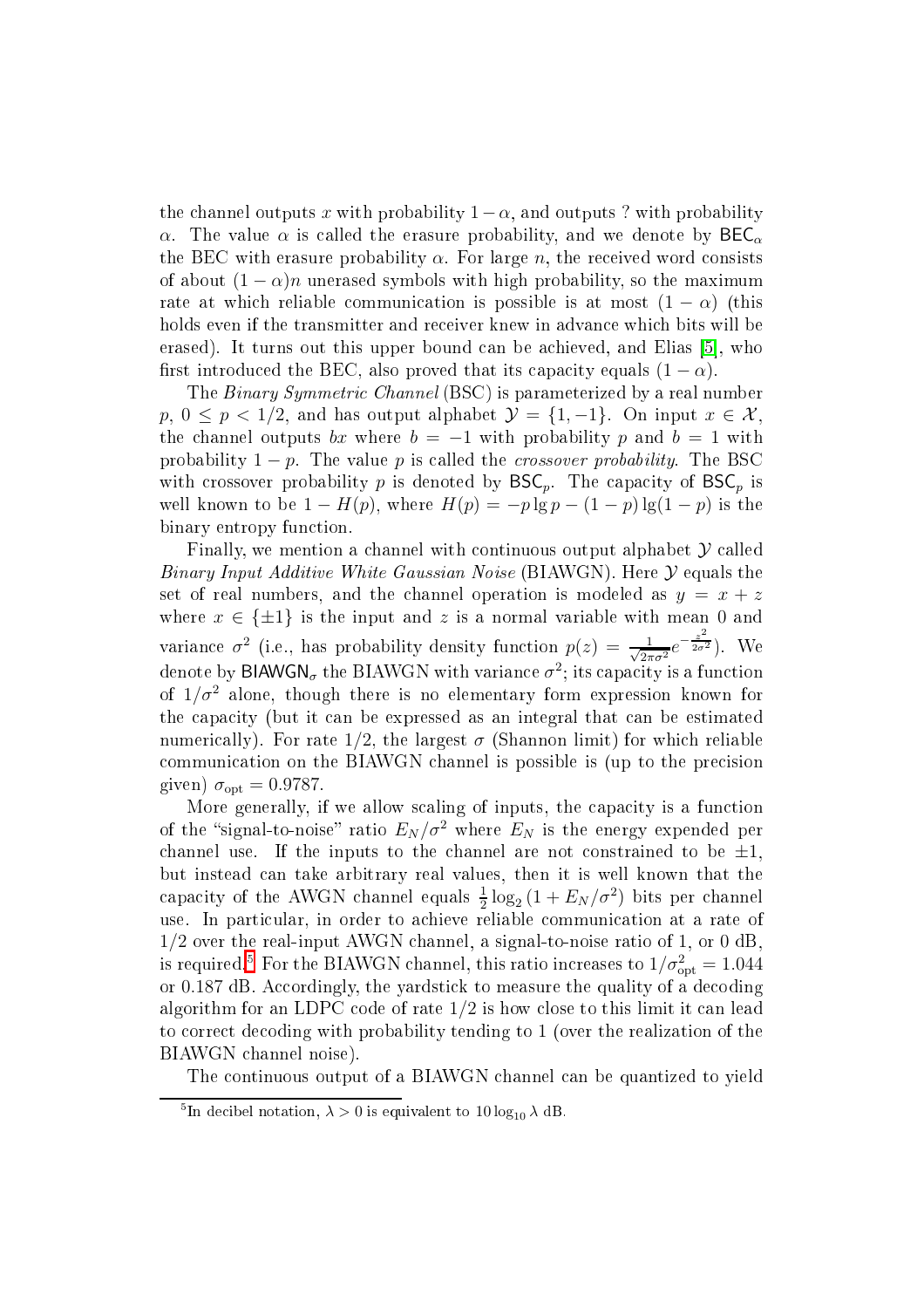the channel outputs x with probability  $1-\alpha$ , and outputs ? with probability  $\alpha$ . The value  $\alpha$  is called the erasure probability, and we denote by  $\text{BEC}_{\alpha}$ the BEC with erasure probability  $\alpha$ . For large n, the received word consists of about  $(1 - \alpha)n$  unerased symbols with high probability, so the maximum rate at which reliable communication is possible is at most  $(1 - \alpha)$  (this holds even if the transmitter and receiver knew in advance which bits will be erased). It turns out this upper bound can be achieved, and Elias [5], who first introduced the BEC, also proved that its capacity equals  $(1 - \alpha)$ .

The *Binary Symmetric Channel* (BSC) is parameterized by a real number  $p, 0 \leq p < 1/2$ , and has output alphabet  $\mathcal{Y} = \{1, -1\}$ . On input  $x \in \mathcal{X}$ , the channel outputs bx where  $b = -1$  with probability p and  $b = 1$  with probability  $1 - p$ . The value p is called the *crossover probability*. The BSC with crossover probability p is denoted by  $BSC_p$ . The capacity of  $BSC_p$  is well known to be  $1 - H(p)$ , where  $H(p) = -p \lg p - (1 - p) \lg(1 - p)$  is the binary entropy function.

Finally, we mention a channel with continuous output alphabet  $\mathcal Y$  called Binary Input Additive White Gaussian Noise (BIAWGN). Here  $\mathcal Y$  equals the set of real numbers, and the channel operation is modeled as  $y = x + z$ where  $x \in {\pm 1}$  is the input and z is a normal variable with mean 0 and variance  $\sigma^2$  (i.e., has probability density function  $p(z) = \frac{1}{\sqrt{2\pi}}$  $rac{1}{2\pi\sigma^2}e^{-\frac{z^2}{2\sigma^2}}$  $2\sigma^2$ ). We denote by  $\mathsf{BIAWGN}_\sigma$  the  $\mathrm{BIAWGN}$  with variance  $\sigma^2;$  its capacity is a function of  $1/\sigma^2$  alone, though there is no elementary form expression known for the capacity (but it can be expressed as an integral that can be estimated numerically). For rate  $1/2$ , the largest  $\sigma$  (Shannon limit) for which reliable ommuni
ation on the BIAWGN hannel is possible is (up to the pre
ision given)  $\sigma_{\rm opt} = 0.9787$ .

More generally, if we allow scaling of inputs, the capacity is a function of the "signal-to-noise" ratio  $E_N / \sigma^2$  where  $E_N$  is the energy expended per channel use. If the inputs to the channel are not constrained to be  $\pm 1$ , but instead an take arbitrary real values, then it is well known that the capacity of the AWGN channel equals  $\frac{1}{2} \log_2 \left(1 + E_N / \sigma^2 \right)$  bits per channel use. In particular, in order to achieve reliable communication at a rate of 1/2 over the real-input AWGN hannel, a signal-to-noise ratio of 1, or 0 dB, is required. $^5$  $^5$  For the BIAWGN channel, this ratio increases to  $1/\sigma_\mathrm{opt}^2=1.044$ or 0.187 dB. Accordingly, the yardstick to measure the quality of a decoding algorithm for an LDPC code of rate  $1/2$  is how close to this limit it can lead to orre
t de
oding with probability tending to 1 (over the realization of the BIAWGN hannel noise).

The ontinuous output of a BIAWGN hannel an be quantized to yield

<span id="page-5-0"></span><sup>&</sup>lt;sup>5</sup>In decibel notation,  $\lambda > 0$  is equivalent to  $10 \log_{10} \lambda$  dB.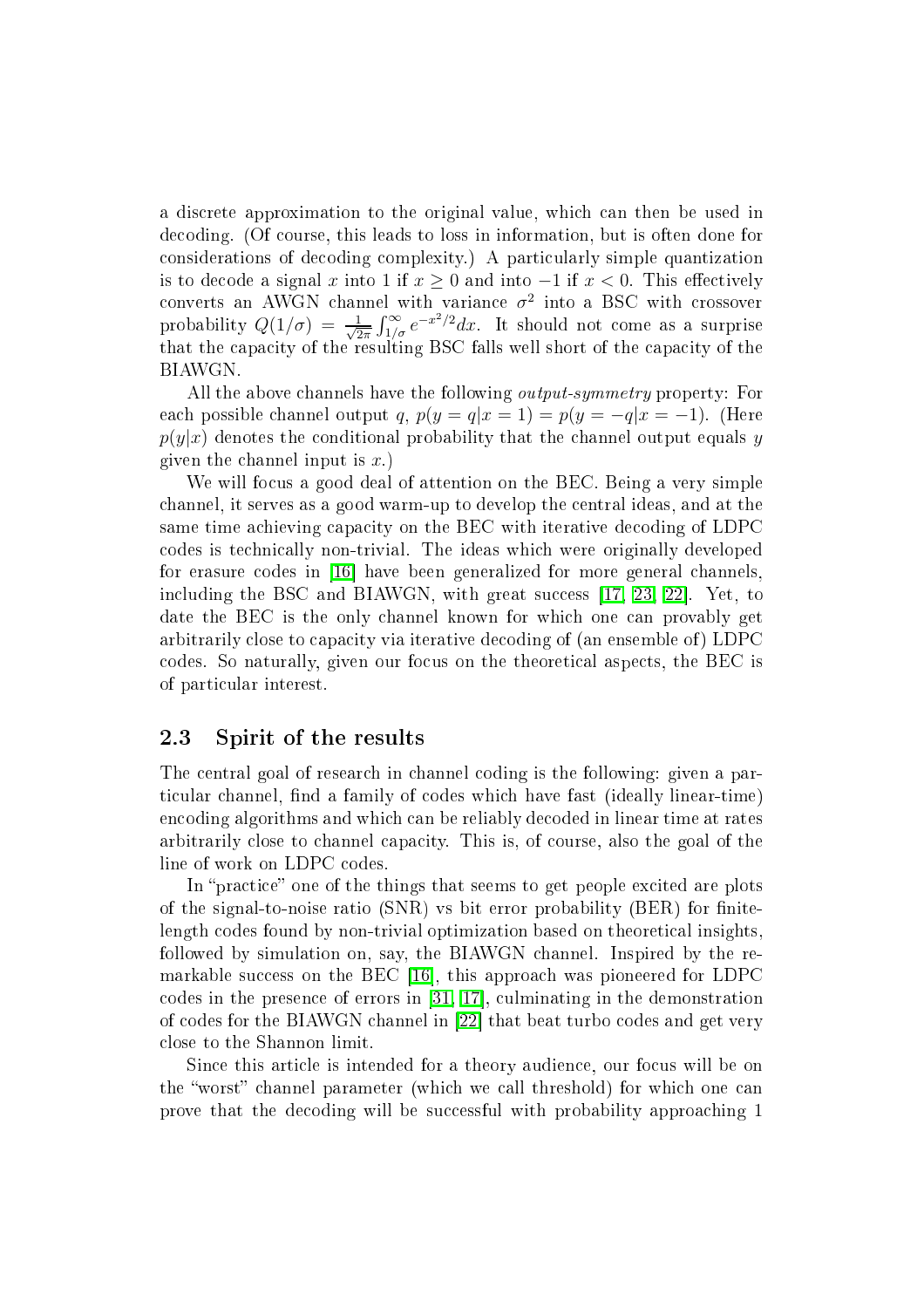a dis
rete approximation to the original value, whi
h an then be used in de
oding. (Of ourse, this leads to loss in information, but is often done for considerations of decoding complexity.) A particularly simple quantization is to decode a signal x into 1 if  $x \ge 0$  and into −1 if  $x < 0$ . This effectively converts an AWGN channel with variance  $\sigma^2$  into a BSC with crossover<br>probability  $Q(1/\sigma) = \frac{1}{\sqrt{2\pi}} \int_{1/\sigma}^{\infty} e^{-x^2/2} dx$ . It should not come as a surprise  $\frac{1}{2\pi} \int_{1/\sigma}^{\infty} e^{-x^2/2} dx$ . It should not come as a surprise ity of the resulting BSC falls were constantly because the results were resulted by the contract of the result BIAWGN.

All the above channels have the following *output-symmetry* property: For each possible channel output q,  $p(y = q|x = 1) = p(y = -q|x = -1)$ . (Here  $p(y|x)$  denotes the conditional probability that the channel output equals y given the channel input is  $x$ .

We will focus a good deal of attention on the BEC. Being a very simple hannel, it serves as a good warm-up to develop the entral ideas, and at the same time achieving capacity on the BEC with iterative decoding of LDPC odes is te
hni
ally non-trivial. The ideas whi
h were originally developed for erasure codes in [16] have been generalized for more general channels. including the BSC and BIAWGN, with great success [\[17,](#page-36-3) [23,](#page-36-4) 22]. Yet, to date the BEC is the only hannel known for whi
h one an provably get arbitrarily close to capacity via iterative decoding of (an ensemble of) LDPC odes. So naturally, given our fo
us on the theoreti
al aspe
ts, the BEC is of parti
ular interest.

# 2.3 Spirit of the results

The entral goal of resear
h in hannel oding is the following: given a particular channel, find a family of codes which have fast (ideally linear-time) en
oding algorithms and whi
h an be reliably de
oded in linear time at rates arbitrarily lose to hannel apa
ity. This is, of ourse, also the goal of the line of work on LDPC codes.

In "practice" one of the things that seems to get people excited are plots of the signal-to-noise ratio  $(SNR)$  vs bit error probability  $(BER)$  for finitelength codes found by non-trivial optimization based on theoretical insights, followed by simulation on, say, the BIAWGN hannel. Inspired by the remarkable success on the BEC [16], this approach was pioneered for LDPC codes in the presence of errors in  $[31, 17]$  $[31, 17]$ , culminating in the demonstration of codes for the BIAWGN channel in [22] that beat turbo codes and get very close to the Shannon limit.

Since this article is intended for a theory audience, our focus will be on the "worst" channel parameter (which we call threshold) for which one can prove that the decoding will be successful with probability approaching 1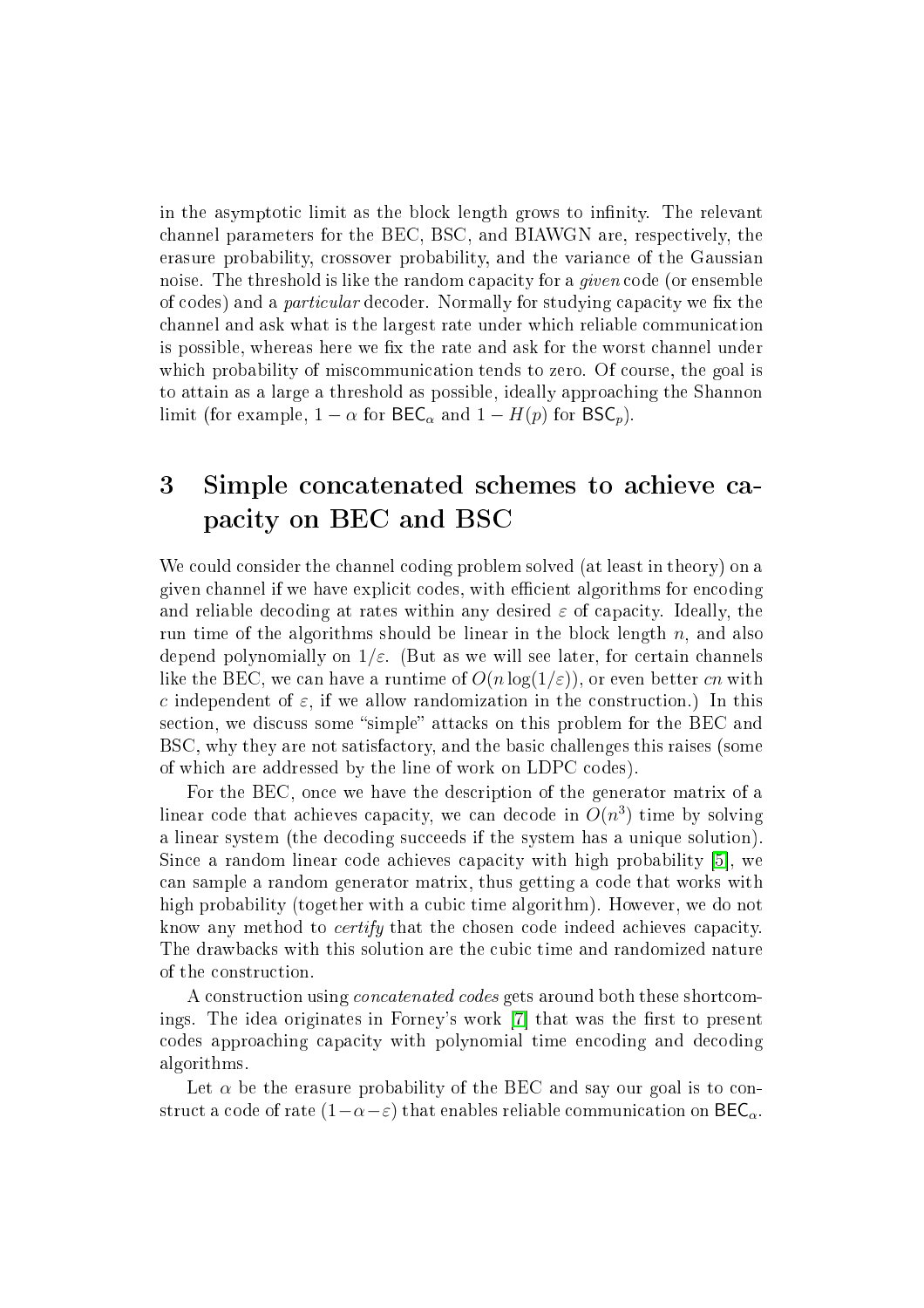in the asymptotic limit as the block length grows to infinity. The relevant channel parameters for the BEC, BSC, and BIAWGN are, respectively, the erasure probability, rossover probability, and the varian
e of the Gaussian noise. The threshold is like the random capacity for a *given* code (or ensemble of codes) and a *particular* decoder. Normally for studying capacity we fix the hannel and ask what is the largest rate under whi
h reliable ommuni
ation is possible, whereas here we fix the rate and ask for the worst channel under which probability of miscommunication tends to zero. Of course, the goal is to attain as a large a threshold as possible, ideally approa
hing the Shannon limit (for example,  $1 - \alpha$  for  $\mathsf{BEC}_{\alpha}$  and  $1 - H(p)$  for  $\mathsf{BSC}_p$ ).

## <span id="page-7-0"></span>3 Simple concatenated schemes to achieve capacity on BEC and BSC

We could consider the channel coding problem solved (at least in theory) on a given channel if we have explicit codes, with efficient algorithms for encoding and reliable decoding at rates within any desired  $\varepsilon$  of capacity. Ideally, the run time of the algorithms should be linear in the block length  $n$ , and also depend polynomially on  $1/\varepsilon$ . (But as we will see later, for certain channels like the BEC, we can have a runtime of  $O(n \log(1/\varepsilon))$ , or even better cn with c independent of  $\varepsilon$ , if we allow randomization in the construction.) In this section, we discuss some "simple" attacks on this problem for the BEC and BSC, why they are not satisfactory, and the basic challenges this raises (some of which are addressed by the line of work on LDPC codes).

For the BEC, once we have the description of the generator matrix of a linear code that achieves capacity, we can decode in  $O(n^3)$  time by solving a linear system (the decoding succeeds if the system has a unique solution). Since a random linear code achieves capacity with high probability [5], we an sample a random generator matrix, thus getting a ode that works with high probability (together with a cubic time algorithm). However, we do not know any method to *certify* that the chosen code indeed achieves capacity. The drawbacks with this solution are the cubic time and randomized nature of the onstru
tion.

A construction using *concatenated codes* gets around both these shortcomings. The idea originates in Forney's work  $[7]$  that was the first to present odes approa
hing apa
ity with polynomial time en
oding and de
oding algorithms.

Let  $\alpha$  be the erasure probability of the BEC and say our goal is to construct a code of rate  $(1-\alpha-\varepsilon)$  that enables reliable communication on  $\text{BEC}_{\alpha}$ .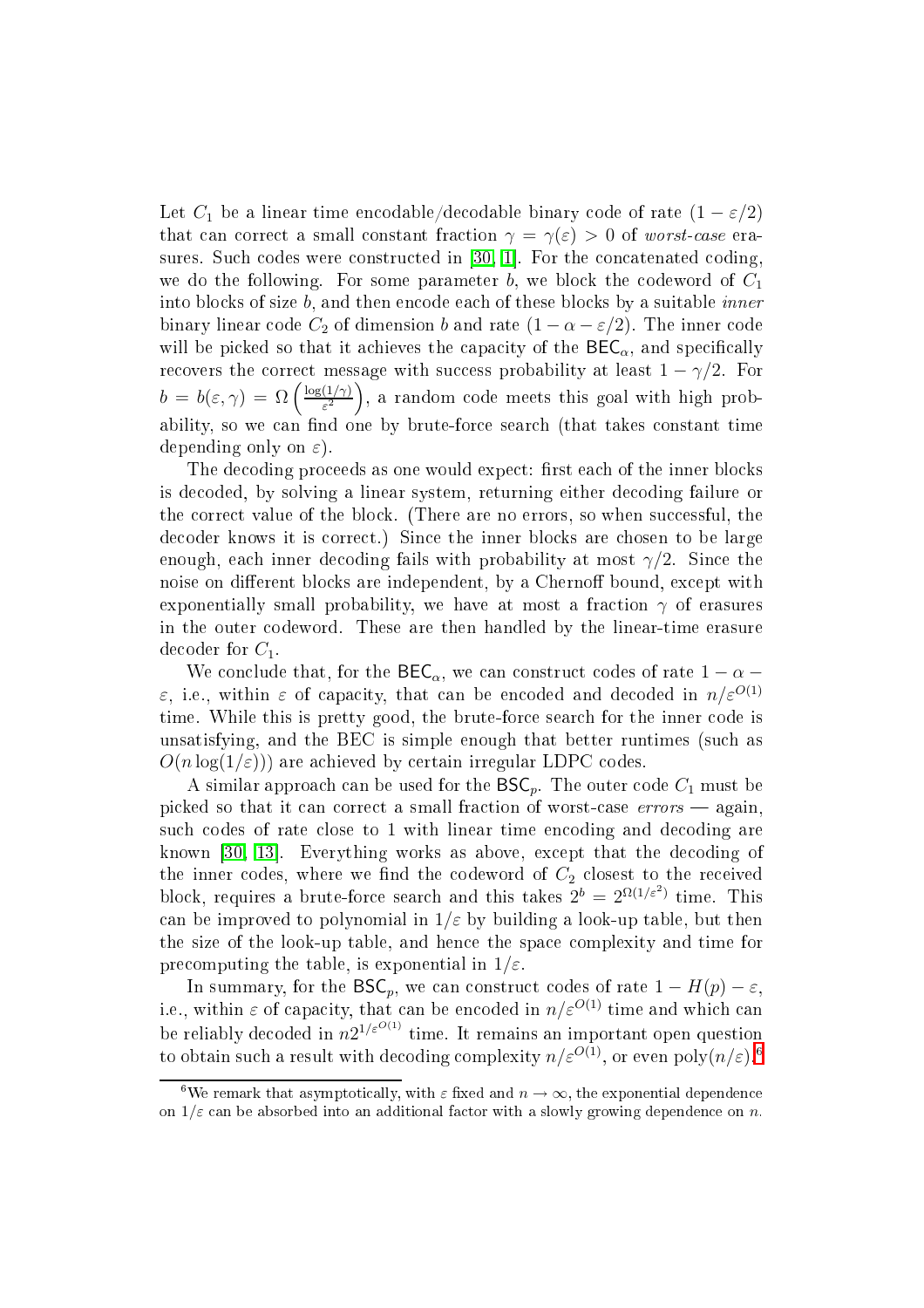Let  $C_1$  be a linear time encodable/decodable binary code of rate  $(1 - \varepsilon/2)$ that can correct a small constant fraction  $\gamma = \gamma(\varepsilon) > 0$  of worst-case era-sures. Such codes were constructed in [\[30,](#page-37-3) 1]. For the concatenated coding, we do the following. For some parameter b, we block the codeword of  $C_1$ into blocks of size b, and then encode each of these blocks by a suitable *inner* binary linear code  $C_2$  of dimension b and rate  $(1 - \alpha - \varepsilon/2)$ . The inner code will be picked so that it achieves the capacity of the  $\text{BEC}_{\alpha}$ , and specifically recovers the correct message with success probability at least  $1 - \gamma/2$ . For  $b = b(\varepsilon, \gamma) = \Omega\left(\frac{\log(1/\gamma)}{\varepsilon^2}\right)$  $\frac{(1/\gamma)}{\varepsilon^2}$ , a random code meets this goal with high probability, so we can find one by brute-force search (that takes constant time depending only on  $\varepsilon$ ).

The decoding proceeds as one would expect: first each of the inner blocks is de
oded, by solving a linear system, returning either de
oding failure or the correct value of the block. (There are no errors, so when successful, the decoder knows it is correct.) Since the inner blocks are chosen to be large enough, each inner decoding fails with probability at most  $\gamma/2$ . Since the noise on different blocks are independent, by a Chernoff bound, except with exponentially small probability, we have at most a fraction  $\gamma$  of erasures in the outer odeword. These are then handled by the linear-time erasure decoder for  $C_1$ .

We conclude that, for the  $\mathsf{BEC}_{\alpha}$ , we can construct codes of rate  $1-\alpha$ ε, i.e., within ε of capacity, that can be encoded and decoded in  $n/\varepsilon^{O(1)}$ time. While this is pretty good, the brute-force search for the inner code is unsatisfying, and the BEC is simple enough that better runtimes (su
h as  $O(n \log(1/\varepsilon))$  are achieved by certain irregular LDPC codes.

A similar approach can be used for the  $BSC_p$ . The outer code  $C_1$  must be picked so that it can correct a small fraction of worst-case  $errors$  - again, such codes of rate close to 1 with linear time encoding and decoding are known [\[30,](#page-37-3) 13]. Everything works as above, except that the decoding of the inner codes, where we find the codeword of  $C_2$  closest to the received block, requires a brute-force search and this takes  $2^b = 2^{\Omega(1/\varepsilon^2)}$  time. This can be improved to polynomial in  $1/\varepsilon$  by building a look-up table, but then the size of the look-up table, and hen
e the spa
e omplexity and time for precomputing the table, is exponential in  $1/\varepsilon$ .

In summary, for the  $\mathsf{BSC}_p$ , we can construct codes of rate  $1 - H(p) - \varepsilon$ , i.e., within  $\varepsilon$  of capacity, that can be encoded in  $n/\varepsilon^{O(1)}$  time and which can be reliably decoded in  $n2^{1/\varepsilon^{O(1)}}$  time. It remains an important open question to obtain such a result with decoding complexity  $n/\varepsilon^{O(1)},$  or even  $\mathrm{poly}(n/\varepsilon)$ .<sup>[6](#page-8-0)</sup>

<span id="page-8-0"></span><sup>&</sup>lt;sup>6</sup>We remark that asymptotically, with  $\varepsilon$  fixed and  $n \to \infty$ , the exponential dependence on  $1/\varepsilon$  can be absorbed into an additional factor with a slowly growing dependence on n.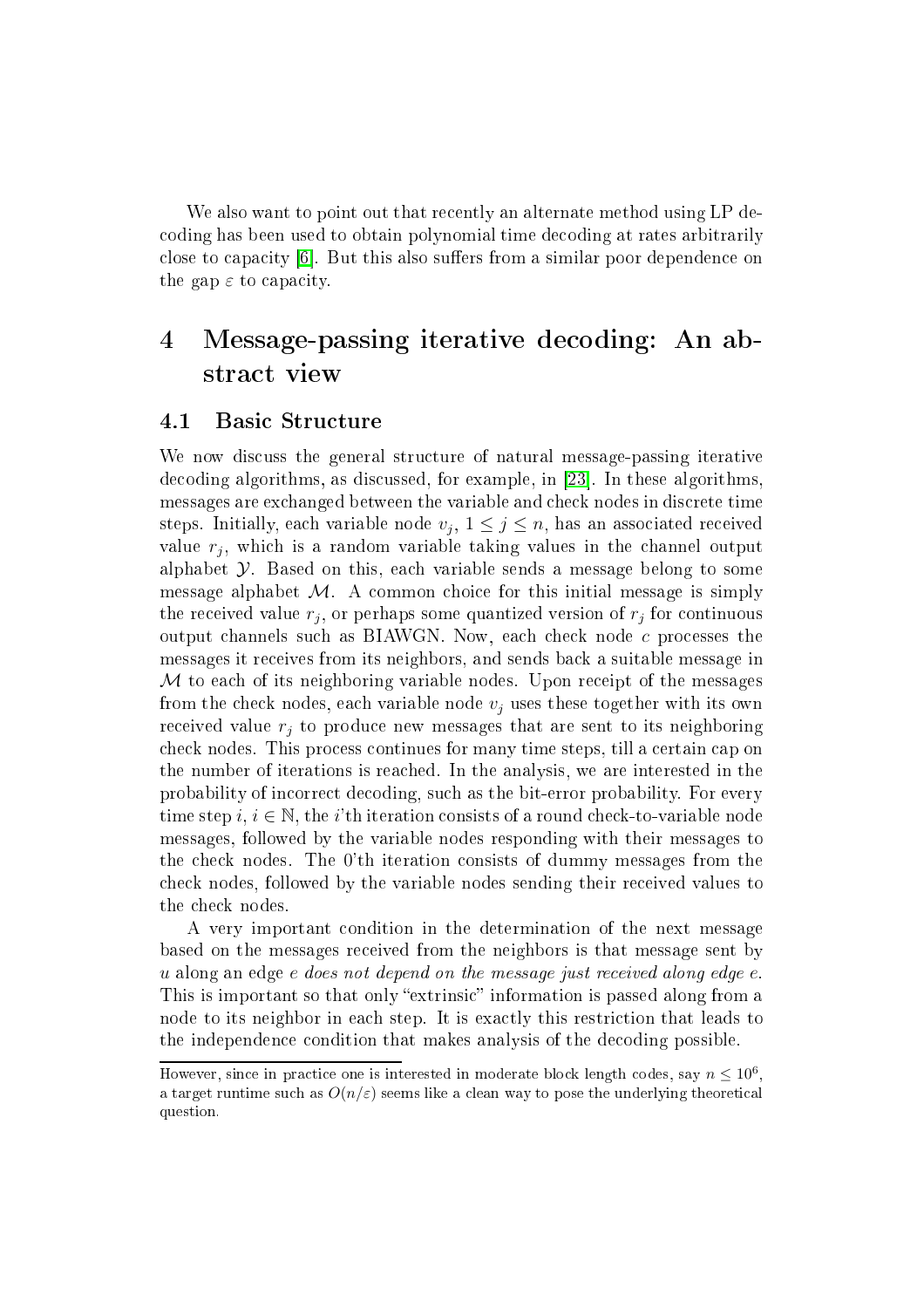We also want to point out that recently an alternate method using LP deoding has been used to obtain polynomial time de
oding at rates arbitrarily close to capacity [6]. But this also suffers from a similar poor dependence on the gap  $\varepsilon$  to capacity.

# <span id="page-9-0"></span>4 Message-passing iterative de
oding: An abstract view

# 4.1 Basi Stru
ture

We now discuss the general structure of natural message-passing iterative decoding algorithms, as discussed, for example, in [23]. In these algorithms, messages are ex
hanged between the variable and he
k nodes in dis
rete time steps. Initially, each variable node  $v_j$ ,  $1 \leq j \leq n$ , has an associated received value  $r_j$ , which is a random variable taking values in the channel output alphabet  $\mathcal Y$ . Based on this, each variable sends a message belong to some message alphabet  $M$ . A common choice for this initial message is simply the received value  $r_j,$  or perhaps some quantized version of  $r_j$  for continuous output channels such as BIAWGN. Now, each check node c processes the messages it re
eives from its neighbors, and sends ba
k a suitable message in M to each of its neighboring variable nodes. Upon receipt of the messages from the check nodes, each variable node  $v_i$  uses these together with its own received value  $r_j$  to produce new messages that are sent to its neighboring he
k nodes. This pro
ess ontinues for many time steps, till a ertain ap on the number of iterations is rea
hed. In the analysis, we are interested in the probability of in
orre
t de
oding, su
h as the bit-error probability. For every time step i,  $i \in \mathbb{N}$ , the i'th iteration consists of a round check-to-variable node messages, followed by the variable nodes responding with their messages to the he
k nodes. The 0'th iteration onsists of dummy messages from the check nodes, followed by the variable nodes sending their received values to the check nodes.

A very important ondition in the determination of the next message based on the messages re
eived from the neighbors is that message sent by u along an edge e does not depend on the message just received along edge e. This is important so that only "extrinsic" information is passed along from a node to its neighbor in each step. It is exactly this restriction that leads to the independen
e ondition that makes analysis of the de
oding possible.

However, since in practice one is interested in moderate block length codes, say  $n \leq 10^6$ , a target runtime such as  $O(n/\varepsilon)$  seems like a clean way to pose the underlying theoretical question.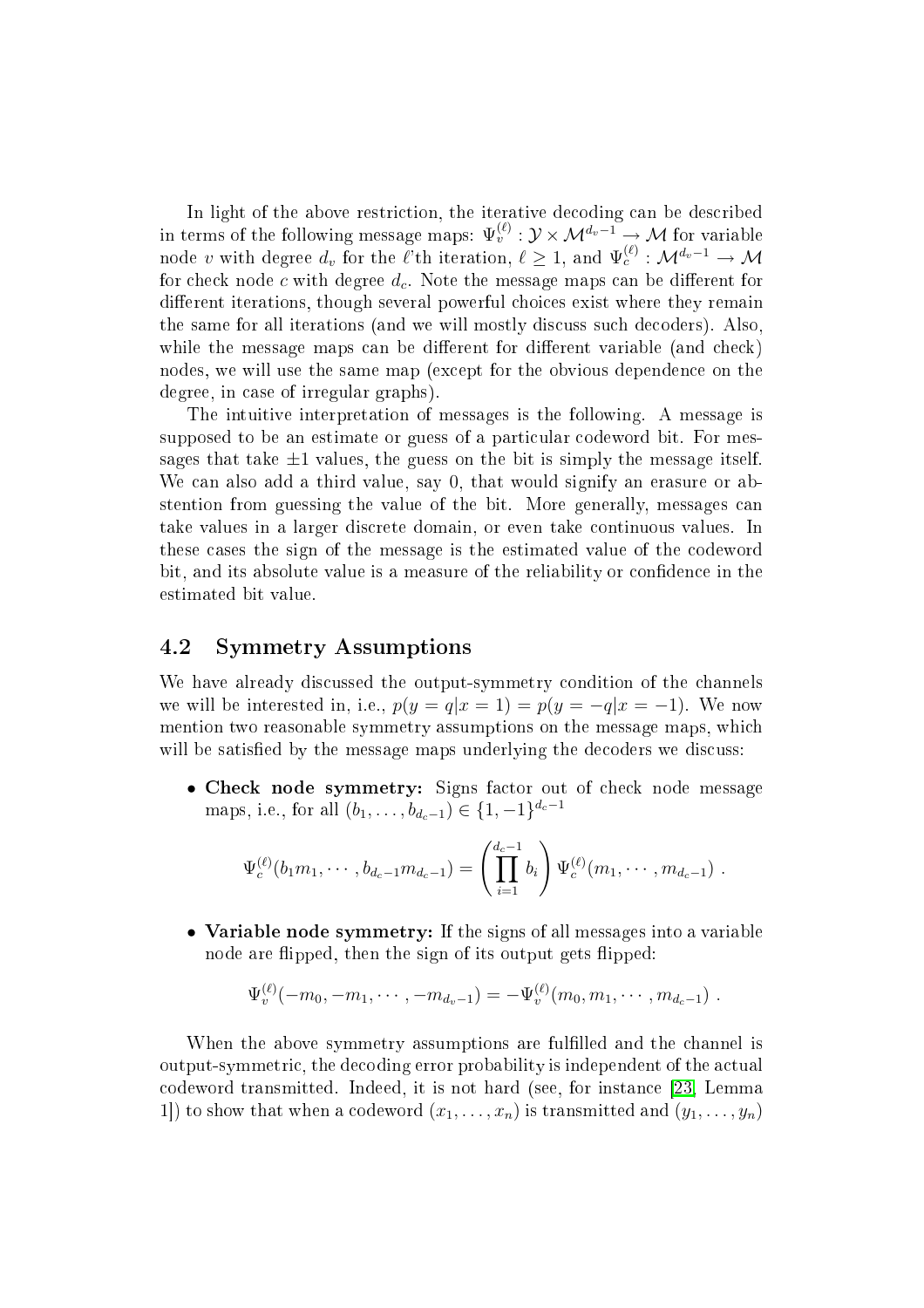in terms of the following message maps:  $\Psi_v^{(\ell)}$  :  $\mathcal{Y} \times \mathcal{M}^{d_v-1} \to \mathcal{M}$  for variable node v with degree  $d_v$  for the  $\ell$ 'th iteration,  $\ell \geq 1$ , and  $\Psi_c^{(\ell)} : \mathcal{M}^{d_v - 1} \to \mathcal{M}$ for check node c with degree  $d_c$ . Note the message maps can be different for different iterations, though several powerful choices exist where they remain the same for all iterations (and we will mostly dis
uss su
h de
oders). Also, while the message maps can be different for different variable (and check) nodes, we will use the same map (ex
ept for the obvious dependen
e on the degree, in ase of irregular graphs).

The intuitive interpretation of messages is the following. A message is supposed to be an estimate or guess of a particular codeword bit. For messages that take  $\pm 1$  values, the guess on the bit is simply the message itself. We can also add a third value, say 0, that would signify an erasure or abstention from guessing the value of the bit. More generally, messages an take values in a larger dis
rete domain, or even take ontinuous values. In these ases the sign of the message is the estimated value of the odeword bit, and its absolute value is a measure of the reliability or confidence in the estimated bit value.

# 4.2 Symmetry Assumptions

We have already discussed the output-symmetry condition of the channels we will be interested in, i.e.,  $p(y = q|x = 1) = p(y = -q|x = -1)$ . We now mention two reasonable symmetry assumptions on the message maps, whi
h will be satisfied by the message maps underlying the decoders we discuss:

• Che
k node symmetry: Signs fa
tor out of he
k node message maps, i.e., for all  $(b_1, \ldots, b_{d_c-1}) \in \{1, -1\}^{d_c-1}$ 

$$
\Psi_c^{(\ell)}(b_1m_1,\cdots,b_{d_c-1}m_{d_c-1})=\left(\prod_{i=1}^{d_c-1}b_i\right)\Psi_c^{(\ell)}(m_1,\cdots,m_{d_c-1})\ .
$$

• Variable node symmetry: If the signs of all messages into a variable node are flipped, then the sign of its output gets flipped:

$$
\Psi_v^{(\ell)}(-m_0,-m_1,\cdots,-m_{d_v-1})=-\Psi_v^{(\ell)}(m_0,m_1,\cdots,m_{d_c-1})\ .
$$

When the above symmetry assumptions are fulfilled and the channel is output-symmetric, the decoding error probability is independent of the actual odeword transmitted. Indeed, it is not hard (see, for instan
e [\[23,](#page-36-4) Lemma 1) to show that when a codeword  $(x_1, \ldots, x_n)$  is transmitted and  $(y_1, \ldots, y_n)$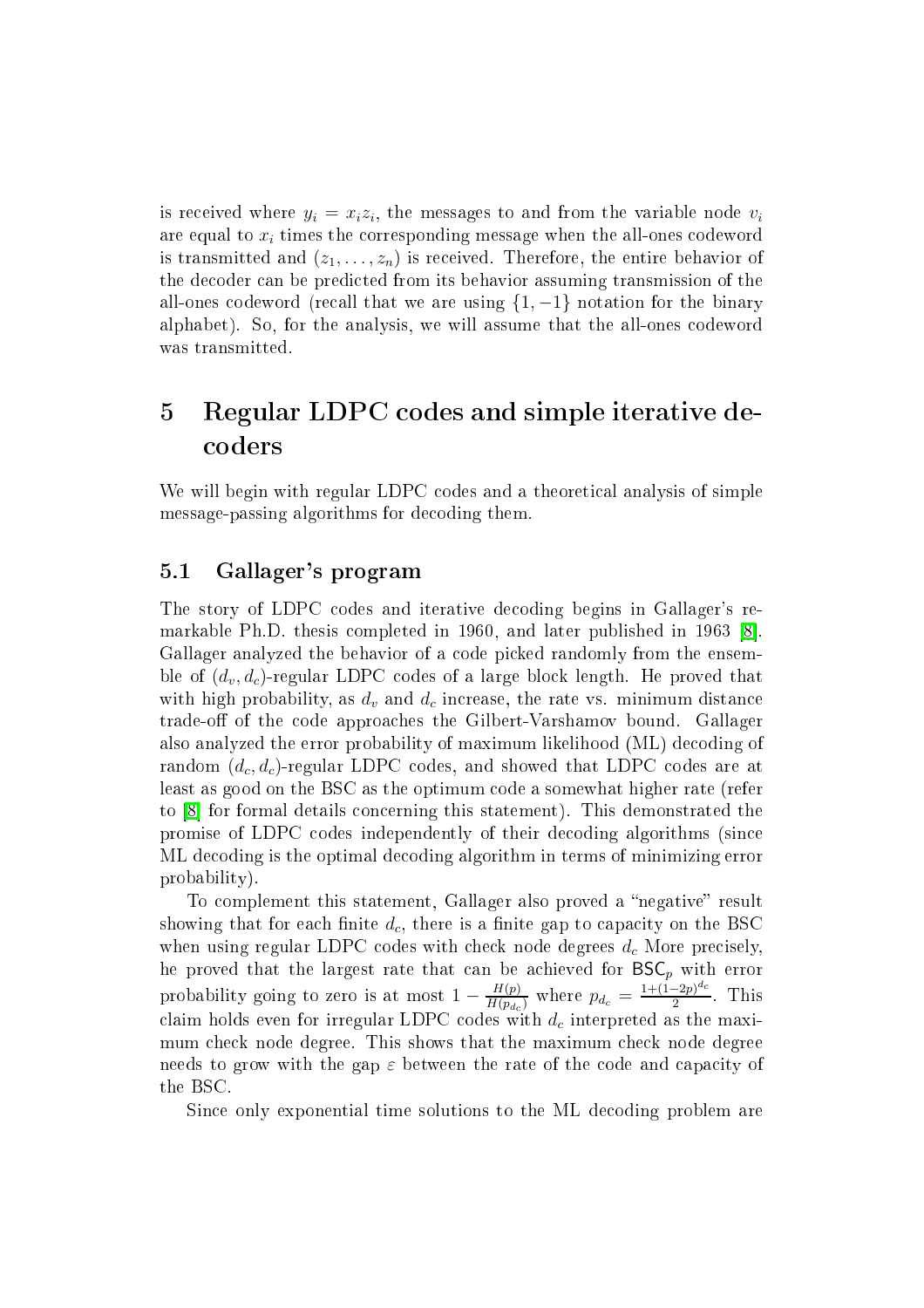is received where  $y_i = x_i z_i$ , the messages to and from the variable node  $v_i$ are equal to  $x_i$  times the corresponding message when the all-ones codeword is transmitted and  $(z_1, \ldots, z_n)$  is received. Therefore, the entire behavior of the de
oder an be predi
ted from its behavior assuming transmission of the all-ones codeword (recall that we are using  $\{1, -1\}$  notation for the binary alphabet). So, for the analysis, we will assume that the all-ones odeword was transmitted.

# <span id="page-11-0"></span>5 Regular LDPC odes and simple iterative de oders

We will begin with regular LDPC codes and a theoretical analysis of simple message-passing algorithms for decoding them.

# <span id="page-11-1"></span>5.1 Gallager's program

The story of LDPC odes and iterative de
oding begins in Gallager's remarkable Ph.D. thesis completed in 1960, and later published in 1963 [8]. Gallager analyzed the behavior of a code picked randomly from the ensemble of  $(d_v, d_c)$ -regular LDPC codes of a large block length. He proved that with high probability, as  $d_v$  and  $d_c$  increase, the rate vs. minimum distance trade-off of the code approaches the Gilbert-Varshamov bound. Gallager also analyzed the error probability of maximum likelihood (ML) de
oding of random  $(d_c, d_c)$ -regular LDPC codes, and showed that LDPC codes are at least as good on the BSC as the optimum ode a somewhat higher rate (refer to [8] for formal details concerning this statement). This demonstrated the promise of LDPC odes independently of their de
oding algorithms (sin
e ML de
oding is the optimal de
oding algorithm in terms of minimizing error probability).

To complement this statement, Gallager also proved a "negative" result showing that for each finite  $d_c$ , there is a finite gap to capacity on the BSC when using regular LDPC codes with check node degrees  $d_c$  More precisely, he proved that the largest rate that can be achieved for  $BSC_p$  with error probability going to zero is at most  $1 - \frac{H(p)}{H(p_{d_c})}$  $\frac{H(p)}{H(p_{d_c})}$  where  $p_{d_c} = \frac{1+(1-2p)^{d_c}}{2}$ 2 . **This** claim holds even for irregular LDPC codes with  $d_c$  interpreted as the maximum check node degree. This shows that the maximum check node degree needs to grow with the gap  $\varepsilon$  between the rate of the code and capacity of the BSC.

Since only exponential time solutions to the ML decoding problem are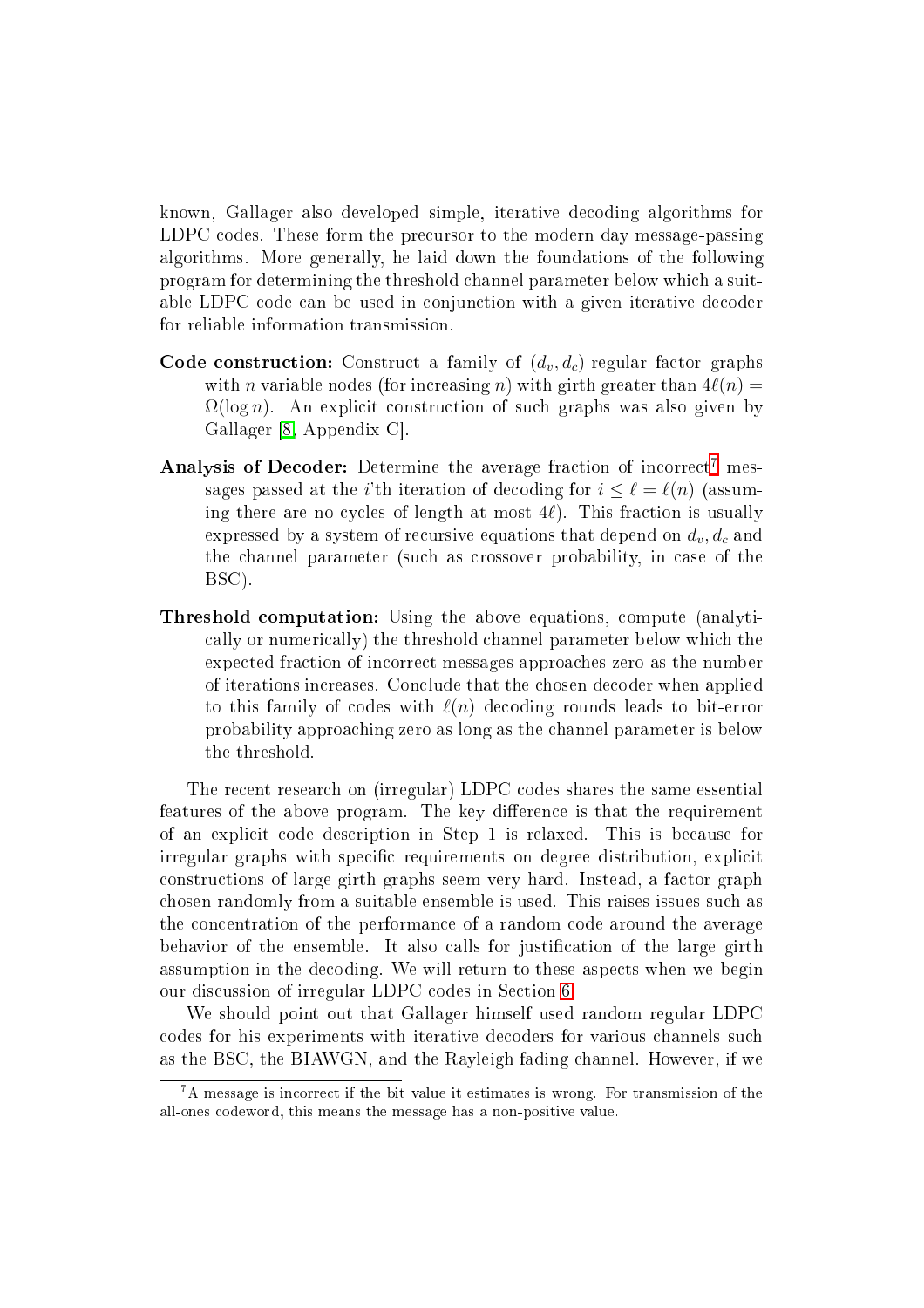known, Gallager also developed simple, iterative de
oding algorithms for LDPC codes. These form the precursor to the modern day message-passing algorithms. More generally, he laid down the foundations of the following program for determining the threshold hannel parameter below whi
h a suitable LDPC code can be used in conjunction with a given iterative decoder for reliable information transmission.

- Code construction: Construct a family of  $(d_v, d_c)$ -regular factor graphs with *n* variable nodes (for increasing *n*) with girth greater than  $4\ell(n)$  =  $\Omega(\log n)$ . An explicit construction of such graphs was also given by Gallager [\[8,](#page-35-4) Appendix C].
- Analysis of Decoder: Determine the average fraction of incorrect<sup>[7](#page-12-0)</sup> messages passed at the *i*'th iteration of decoding for  $i \leq \ell = \ell(n)$  (assuming there are no cycles of length at most  $4\ell$ ). This fraction is usually expressed by a system of recursive equations that depend on  $d_v, d_c$  and the channel parameter (such as crossover probability, in case of the BSC).
- Threshold omputation: Using the above equations, ompute (analyti ally or numeri
ally) the threshold hannel parameter below whi
h the expe
ted fra
tion of in
orre
t messages approa
hes zero as the number of iterations in
reases. Con
lude that the hosen de
oder when applied to this family of codes with  $\ell(n)$  decoding rounds leads to bit-error probability approa
hing zero as long as the hannel parameter is below the threshold.

The re
ent resear
h on (irregular) LDPC odes shares the same essential features of the above program. The key difference is that the requirement of an expli
it ode des
ription in Step 1 is relaxed. This is be
ause for irregular graphs with specific requirements on degree distribution, explicit onstru
tions of large girth graphs seem very hard. Instead, a fa
tor graph hosen randomly from a suitable ensemble is used. This raises issues su
h as the on
entration of the performan
e of a random ode around the average behavior of the ensemble. It also calls for justification of the large girth assumption in the decoding. We will return to these aspects when we begin our dis
ussion of irregular LDPC odes in Se
tion [6.](#page-22-0)

We should point out that Gallager himself used random regular LDPC odes for his experiments with iterative de
oders for various hannels su
h as the BSC, the BIAWGN, and the Rayleigh fading hannel. However, if we

<span id="page-12-0"></span><sup>7</sup>A message is in
orre
t if the bit value it estimates is wrong. For transmission of the all-ones odeword, this means the message has a non-positive value.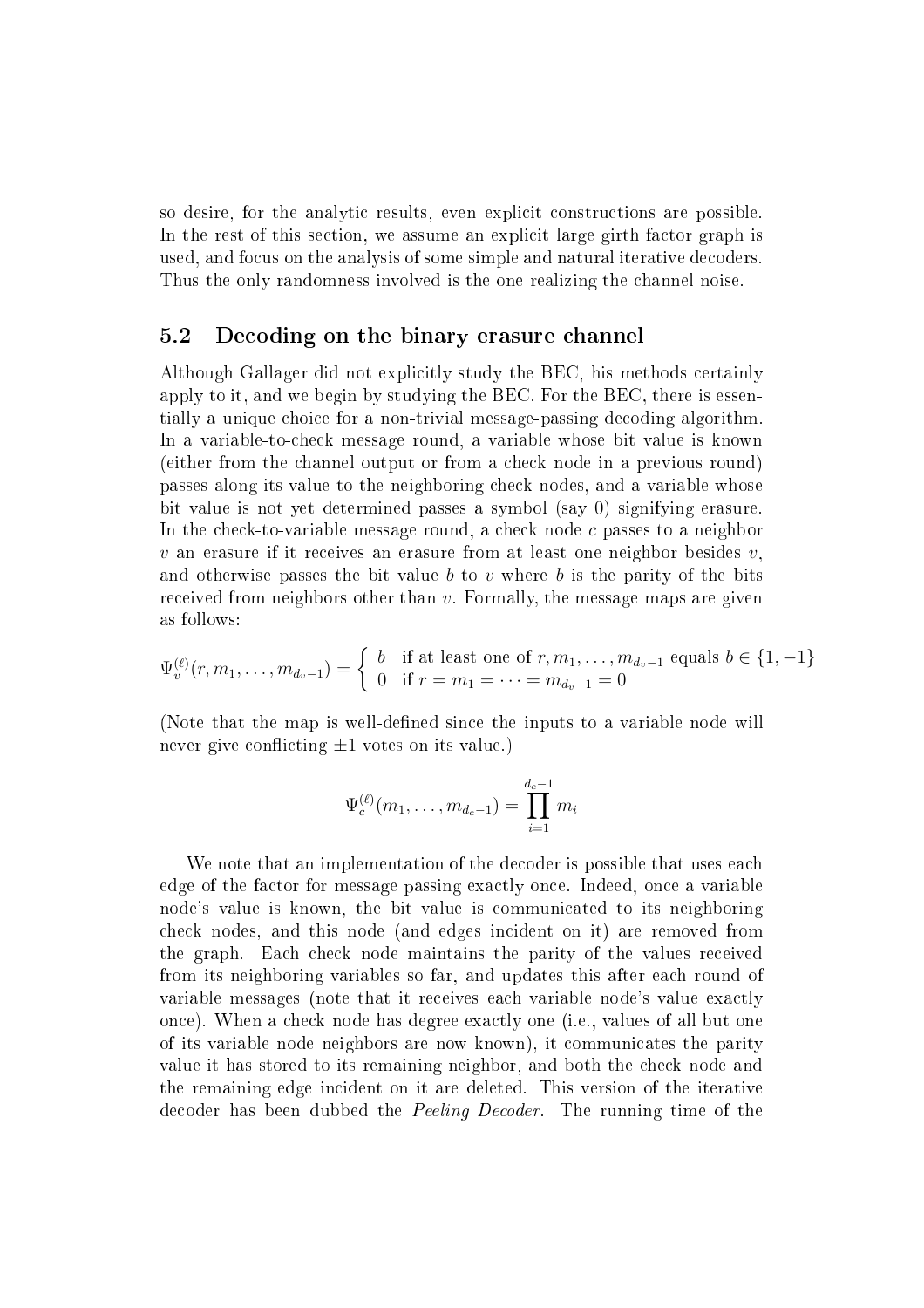so desire, for the analytic results, even explicit constructions are possible. In the rest of this section, we assume an explicit large girth factor graph is used, and focus on the analysis of some simple and natural iterative decoders. Thus the only randomness involved is the one realizing the hannel noise.

# <span id="page-13-0"></span>5.2 De
oding on the binary erasure hannel

Although Gallager did not explicitly study the BEC, his methods certainly apply to it, and we begin by studying the BEC. For the BEC, there is essentially a unique hoi
e for a non-trivial message-passing de
oding algorithm. In a variable-tohe
k message round, a variable whose bit value is known (either from the hannel output or from a he
k node in a previous round) passes along its value to the neighboring he
k nodes, and a variable whose bit value is not yet determined passes <sup>a</sup> symbol (say 0) signifying erasure. In the check-to-variable message round, a check node c passes to a neighbor  $v$  an erasure if it receives an erasure from at least one neighbor besides  $v$ . and otherwise passes the bit value b to v where b is the parity of the bits received from neighbors other than v. Formally, the message maps are given as follows:

$$
\Psi_v^{(\ell)}(r, m_1, \dots, m_{d_v - 1}) = \begin{cases} b & \text{if at least one of } r, m_1, \dots, m_{d_v - 1} \text{ equals } b \in \{1, -1\} \\ 0 & \text{if } r = m_1 = \dots = m_{d_v - 1} = 0 \end{cases}
$$

(Note that the map is well-defined since the inputs to a variable node will never give conflicting  $\pm 1$  votes on its value.)

$$
\Psi_c^{(\ell)}(m_1,\ldots,m_{d_c-1})=\prod_{i=1}^{d_c-1}m_i
$$

We note that an implementation of the decoder is possible that uses each edge of the fa
tor for message passing exa
tly on
e. Indeed, on
e a variable node's value is known, the bit value is ommuni
ated to its neighboring check nodes, and this node (and edges incident on it) are removed from the graph. Each check node maintains the parity of the values received from its neighboring variables so far, and updates this after ea
h round of variable messages (note that it receives each variable node's value exactly once). When a check node has degree exactly one (i.e., values of all but one of its variable node neighbors are now known), it ommuni
ates the parity value it has stored to its remaining neighbor, and both the check node and the remaining edge incident on it are deleted. This version of the iterative decoder has been dubbed the *Peeling Decoder*. The running time of the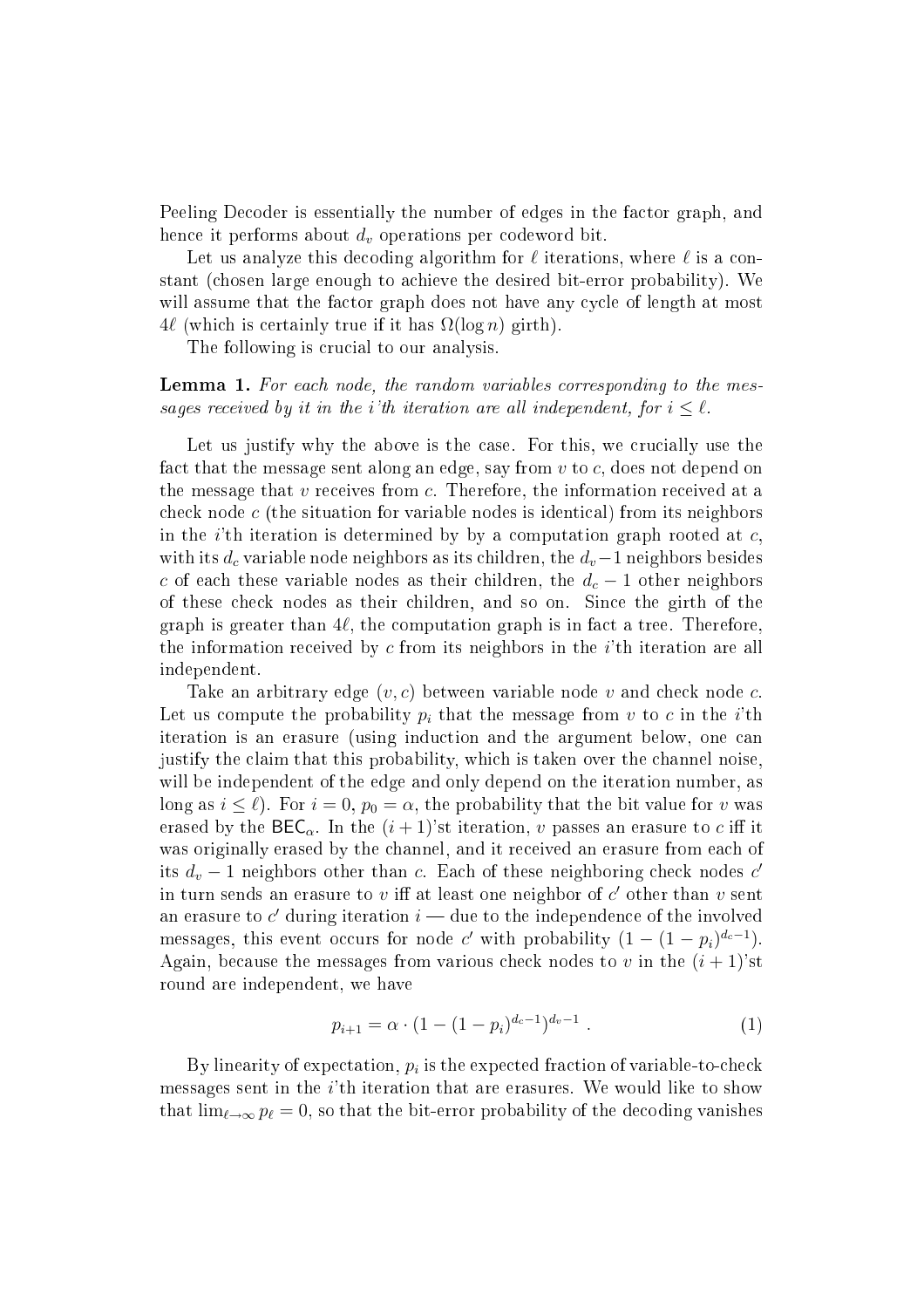Peeling Decoder is essentially the number of edges in the factor graph, and hence it performs about  $d_v$  operations per codeword bit.

Let us analyze this decoding algorithm for  $\ell$  iterations, where  $\ell$  is a constant (
hosen large enough to a
hieve the desired bit-error probability). We will assume that the factor graph does not have any cycle of length at most  $4\ell$  (which is certainly true if it has  $\Omega(\log n)$  girth).

The following is crucial to our analysis.

**Lemma 1.** For each node, the random variables corresponding to the messages received by it in the i'th iteration are all independent, for  $i \leq \ell$ .

Let us justify why the above is the case. For this, we crucially use the fact that the message sent along an edge, say from v to c, does not depend on the message that  $v$  receives from  $c$ . Therefore, the information received at a check node  $c$  (the situation for variable nodes is identical) from its neighbors in the *i*'th iteration is determined by by a computation graph rooted at  $c$ . with its  $d_c$  variable node neighbors as its children, the  $d_v-1$  neighbors besides c of each these variable nodes as their children, the  $d_c - 1$  other neighbors of these he
k nodes as their hildren, and so on. Sin
e the girth of the graph is greater than  $4\ell$ , the computation graph is in fact a tree. Therefore, the information received by  $c$  from its neighbors in the *i*'th iteration are all independent.

Take an arbitrary edge  $(v, c)$  between variable node v and check node c. Let us compute the probability  $p_i$  that the message from v to c in the *i*'th iteration is an erasure (using induction and the argument below, one can justify the laim that this probability, whi
h is taken over the hannel noise, will be independent of the edge and only depend on the iteration number, as long as  $i \leq \ell$ ). For  $i = 0$ ,  $p_0 = \alpha$ , the probability that the bit value for v was erased by the  $\mathsf{BEC}_{\alpha}$ . In the  $(i+1)$ 'st iteration, v passes an erasure to c iff it was originally erased by the channel, and it received an erasure from each of its  $d_v - 1$  neighbors other than c. Each of these neighboring check nodes c' in turn sends an erasure to  $v$  iff at least one neighbor of  $c^\prime$  other than  $v$  sent an erasure to  $c^\prime$  during iteration  $i$  — due to the independence of the involved messages, this event occurs for node c' with probability  $(1 - (1 - p_i)^{d_c - 1})$ . Again, because the messages from various check nodes to v in the  $(i + 1)$ 'st round are independent, we have

<span id="page-14-0"></span>
$$
p_{i+1} = \alpha \cdot (1 - (1 - p_i)^{d_c - 1})^{d_v - 1} . \tag{1}
$$

By linearity of expectation,  $p_i$  is the expected fraction of variable-to-check messages sent in the i'th iteration that are erasures. We would like to show that  $\lim_{\ell \to \infty} p_{\ell} = 0$ , so that the bit-error probability of the decoding vanishes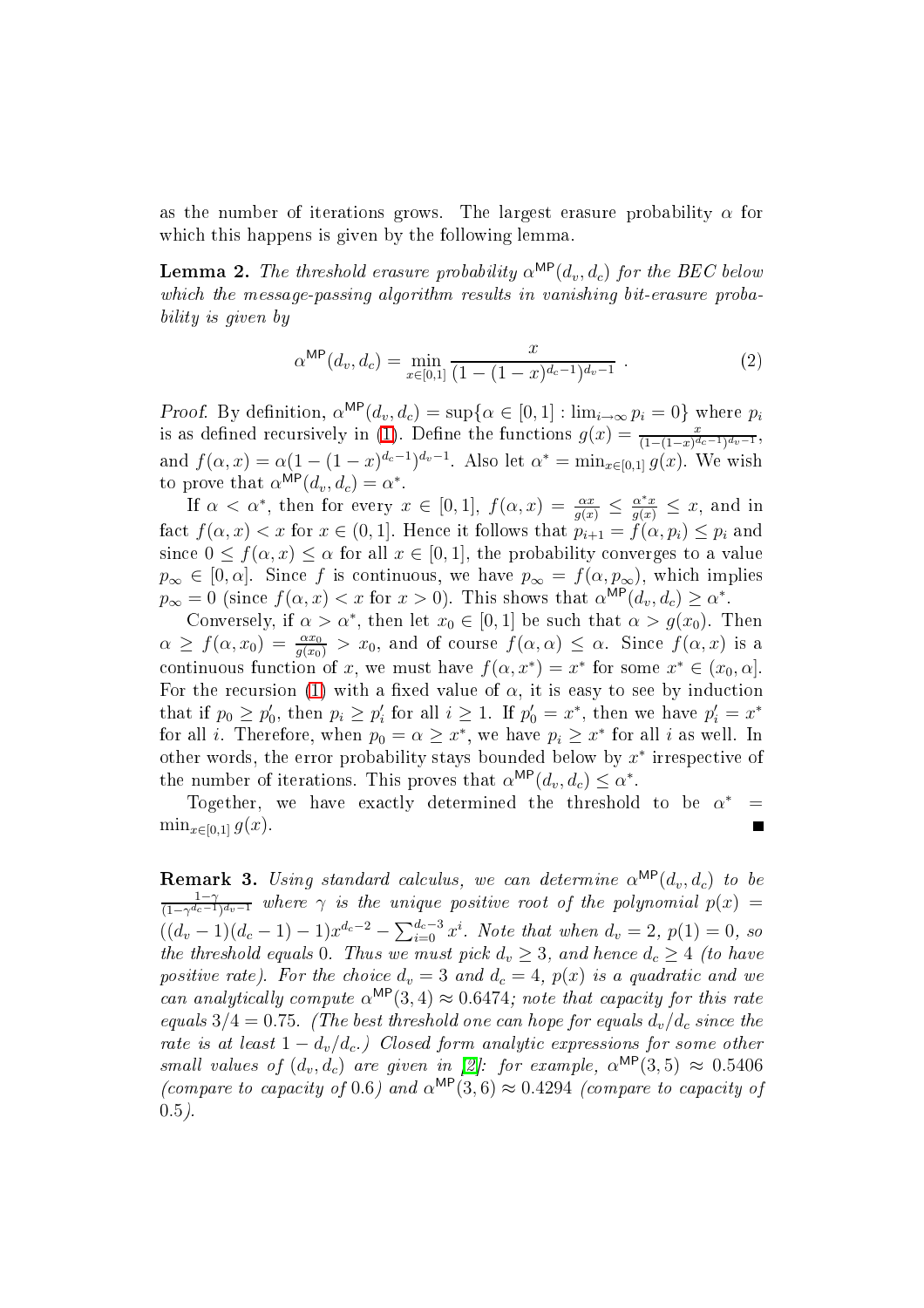<span id="page-15-0"></span>as the number of iterations grows. The largest erasure probability  $\alpha$  for which this happens is given by the following lemma.

**Lemma 2.** The threshold erasure probability  $\alpha^{\text{MP}}(d_v, d_c)$  for the BEC below which the message-passing algorithm results in vanishing bit-erasure probability is given by

$$
\alpha^{\text{MP}}(d_v, d_c) = \min_{x \in [0,1]} \frac{x}{(1 - (1 - x)^{d_c - 1})^{d_v - 1}}.
$$
\n(2)

*Proof.* By definition,  $\alpha^{\text{MP}}(d_v, d_c) = \sup\{\alpha \in [0, 1] : \lim_{i \to \infty} p_i = 0\}$  where  $p_i$ is as defined recursively in [\(1\)](#page-14-0). Define the functions  $g(x) = \frac{x}{(1-(1-x)^{d_c-1})^{d_v-1}}$ , and  $f(\alpha, x) = \alpha (1 - (1 - x)^{d_c - 1})^{d_v - 1}$ . Also let  $\alpha^* = \min_{x \in [0, 1]} g(x)$ . We wish to prove that  $\alpha^{\text{MP}}(d_v, d_c) = \alpha^*$ .

If  $\alpha < \alpha^*$ , then for every  $x \in [0,1]$ ,  $f(\alpha, x) = \frac{\alpha x}{g(x)} \leq \frac{\alpha^* x}{g(x)} \leq x$ , and in fact  $f(\alpha, x) < x$  for  $x \in (0, 1]$ . Hence it follows that  $p_{i+1} = f(\alpha, p_i) \leq p_i$  and since  $0 \le f(\alpha, x) \le \alpha$  for all  $x \in [0, 1]$ , the probability converges to a value  $p_{\infty} \in [0, \alpha]$ . Since f is continuous, we have  $p_{\infty} = f(\alpha, p_{\infty})$ , which implies  $p_{\infty} = 0$  (since  $f(\alpha, x) < x$  for  $x > 0$ ). This shows that  $\alpha^{\text{MP}}(d_v, d_c) \ge \alpha^*$ .

Conversely, if  $\alpha > \alpha^*$ , then let  $x_0 \in [0,1]$  be such that  $\alpha > g(x_0)$ . Then  $\alpha \ge f(\alpha, x_0) = \frac{\alpha x_0}{g(x_0)} > x_0$ , and of course  $f(\alpha, \alpha) \le \alpha$ . Since  $f(\alpha, x)$  is a continuous function of x, we must have  $f(\alpha, x^*) = x^*$  for some  $x^* \in (x_0, \alpha]$ . For the recursion [\(1\)](#page-14-0) with a fixed value of  $\alpha$ , it is easy to see by induction that if  $p_0 \ge p'_0$ , then  $p_i \ge p'_i$  for all  $i \ge 1$ . If  $p'_0 = x^*$ , then we have  $p'_i = x^*$ for all *i*. Therefore, when  $p_0 = \alpha \geq x^*$ , we have  $p_i \geq x^*$  for all *i* as well. In other words, the error probability stays bounded below by  $x^*$  irrespective of the number of iterations. This proves that  $\alpha^{\text{MP}}(d_v, d_c) \leq \alpha^*$ .

Together, we have exactly determined the threshold to be  $\alpha^*$  $=$  $\min_{x\in[0,1]} g(x)$ .  $\blacksquare$ 

**Remark 3.** Using standard calculus, we can determine  $\alpha^{\text{MP}}(d_v, d_c)$  to be  $\frac{1-\gamma}{\gamma}$  $\frac{1-\gamma}{(1-\gamma^{d_c-1})^{d_v-1}}$  where  $\gamma$  is the unique positive root of the polynomial  $p(x) =$  $((d_v-1)(d_c-1)-1)x^{d_c-2}-\sum_{i=0}^{d_c-3}x^i$ . Note that when  $d_v=2$ ,  $p(1)=0$ , so the threshold equals 0. Thus we must pick  $d_v \geq 3$ , and hence  $d_c \geq 4$  (to have positive rate). For the choice  $d_v = 3$  and  $d_c = 4$ ,  $p(x)$  is a quadratic and we can analytically compute  $\alpha^{\text{MP}}(3, 4) \approx 0.6474$ ; note that capacity for this rate equals  $3/4 = 0.75$ . (The best threshold one can hope for equals  $d_v/d_c$  since the rate is at least  $1 - d_v/d_c$ .) Closed form analytic expressions for some other small values of  $(d_v, d_c)$  are given in [2]: for example,  $\alpha^{\text{MP}}(3, 5) \approx 0.5406$ (compare to capacity of 0.6) and  $\alpha^{\text{MP}}(3,6) \approx 0.4294$  (compare to capacity of  $0.5$ ).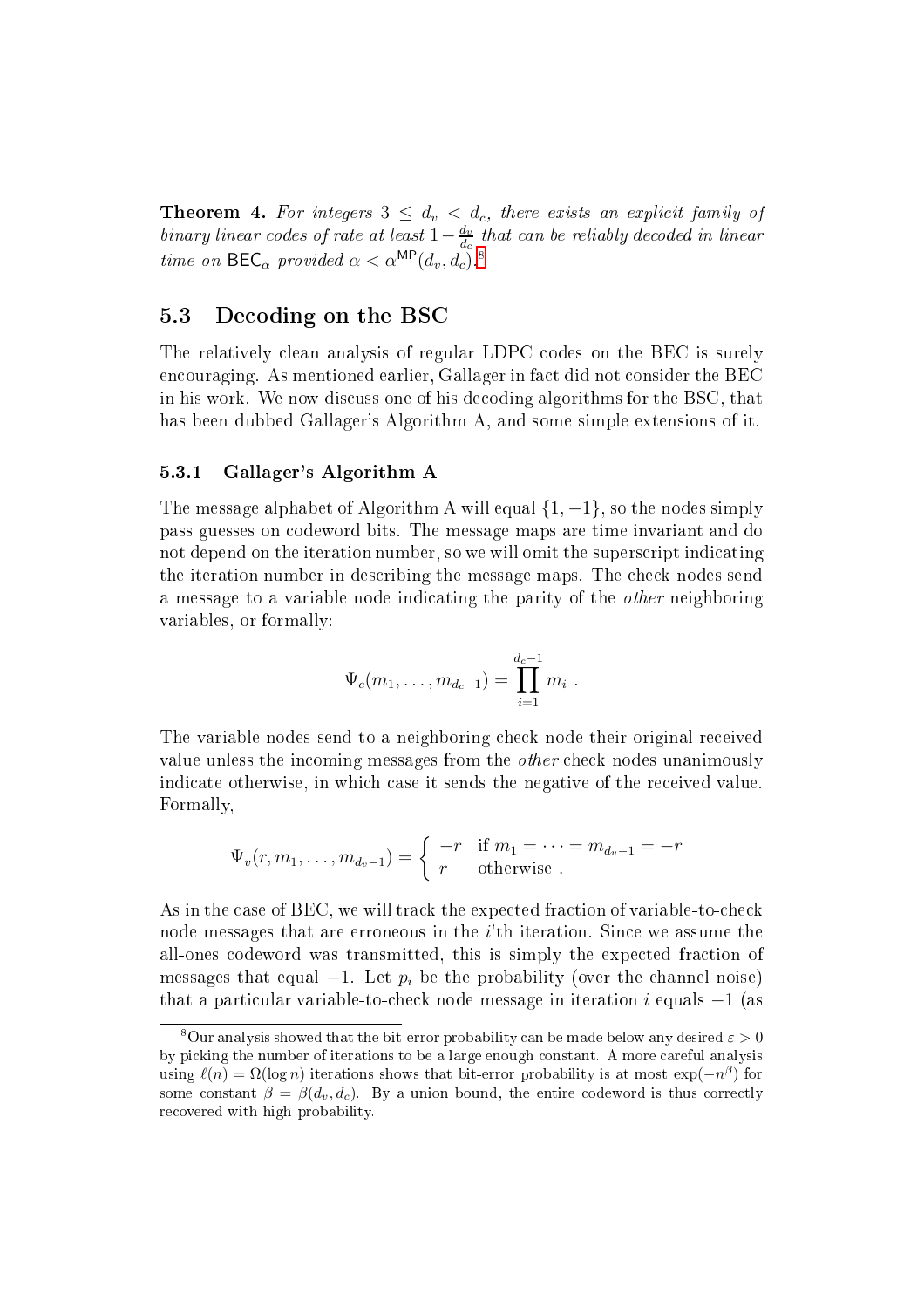**Theorem 4.** For integers  $3 \le d_v < d_c$ , there exists an explicit family of binary linear codes of rate at least  $1-\frac{d_v}{d_c}$  $d_c$  and can be reliably account in linear time on  $\mathsf{BEC}_{\alpha}$  provided  $\alpha < \alpha^{\mathsf{MP}}(d_v, d_c)$ .<sup>[8](#page-16-0)</sup>

# 5.3 De
oding on the BSC

The relatively clean analysis of regular LDPC codes on the BEC is surely encouraging. As mentioned earlier, Gallager in fact did not consider the BEC in his work. We now discuss one of his decoding algorithms for the BSC, that has been dubbed Gallager's Algorithm A, and some simple extensions of it.

## 5.3.1 Gallager's Algorithm A

The message alphabet of Algorithm A will equal  $\{1, -1\}$ , so the nodes simply pass guesses on odeword bits. The message maps are time invariant and do not depend on the iteration number, so we will omit the superscript indicating the iteration number in des
ribing the message maps. The he
k nodes send a message to a variable node indicating the parity of the *other* neighboring variables, or formally:

$$
\Psi_c(m_1,\ldots,m_{d_c-1})=\prod_{i=1}^{d_c-1}m_i.
$$

The variable nodes send to a neighboring check node their original received value unless the incoming messages from the *other* check nodes unanimously indicate otherwise, in which case it sends the negative of the received value. Formally,

$$
\Psi_v(r, m_1, \dots, m_{d_v-1}) = \begin{cases}\n-r & \text{if } m_1 = \dots = m_{d_v-1} = -r \\
r & \text{otherwise}\n\end{cases}
$$

As in the case of BEC, we will track the expected fraction of variable-to-check node messages that are erroneous in the  $i$ 'th iteration. Since we assume the all-ones codeword was transmitted, this is simply the expected fraction of messages that equal  $-1$ . Let  $p_i$  be the probability (over the channel noise) that a particular variable-to-check node message in iteration  $i$  equals  $-1$  (as

<span id="page-16-0"></span><sup>&</sup>lt;sup>8</sup>Our analysis showed that the bit-error probability can be made below any desired  $\varepsilon > 0$ by picking the number of iterations to be a large enough constant. A more careful analysis using  $\ell(n) = \Omega(\log n)$  iterations shows that bit-error probability is at most  $\exp(-n^{\beta})$  for some constant  $\beta = \beta(d_v, d_c)$ . By a union bound, the entire codeword is thus correctly recovered with high probability.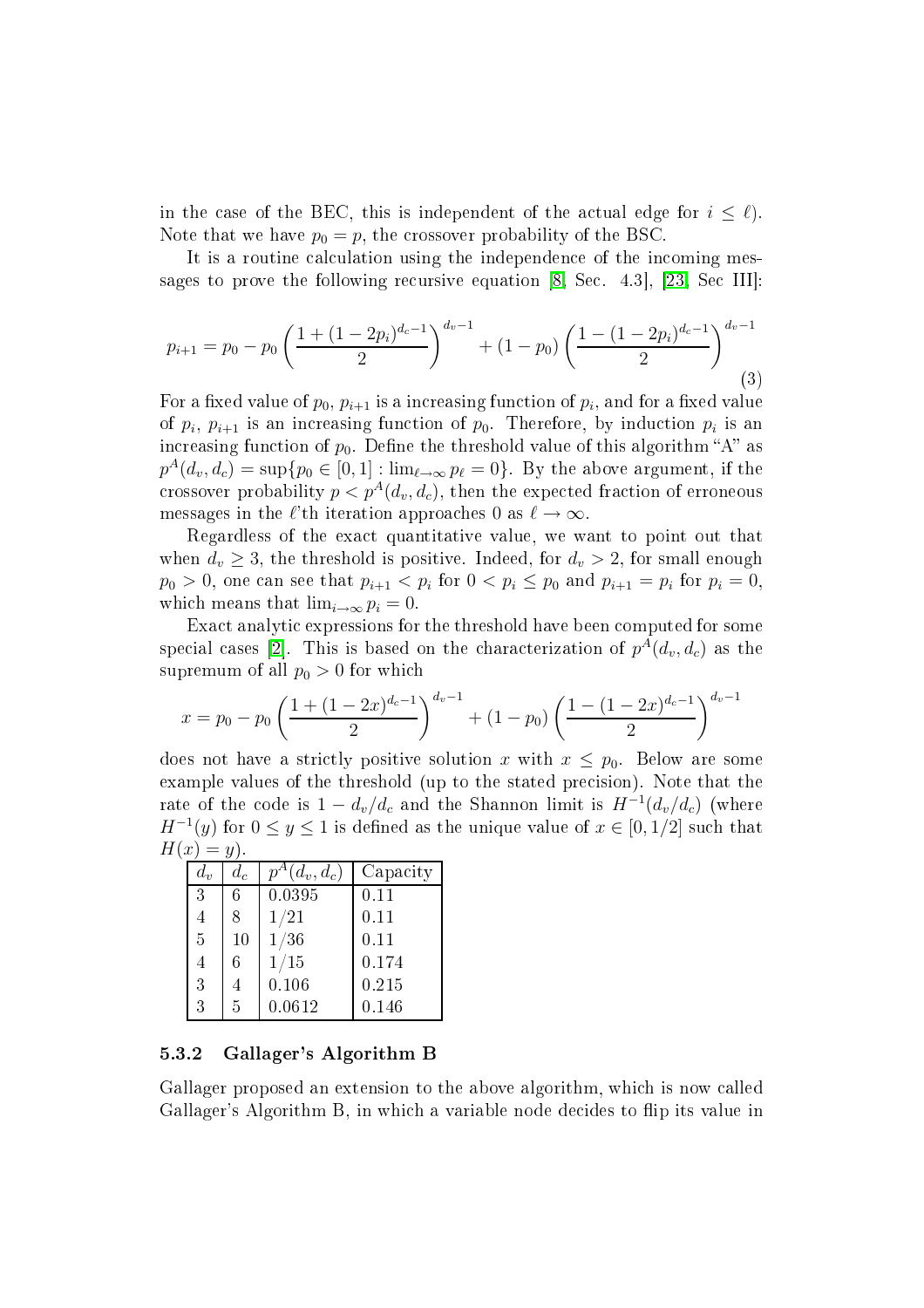in the case of the BEC, this is independent of the actual edge for  $i \leq \ell$ ). Note that we have  $p_0 = p$ , the crossover probability of the BSC.

It is a routine calculation using the independence of the incoming messages to prove the following recursive equation  $[8, Sec. 4.3], [23, Sec. III]$  $[8, Sec. 4.3], [23, Sec. III]$  $[8, Sec. 4.3], [23, Sec. III]$  $[8, Sec. 4.3], [23, Sec. III]$ :

$$
p_{i+1} = p_0 - p_0 \left(\frac{1 + (1 - 2p_i)^{d_c - 1}}{2}\right)^{d_v - 1} + (1 - p_0) \left(\frac{1 - (1 - 2p_i)^{d_c - 1}}{2}\right)^{d_v - 1}
$$
\n(3)

For a fixed value of  $p_0, \, p_{i+1}$  is a increasing function of  $p_i,$  and for a fixed value of  $p_i$ ,  $p_{i+1}$  is an increasing function of  $p_0$ . Therefore, by induction  $p_i$  is an increasing function of  $p_0$ . Define the threshold value of this algorithm "A" as  $p^A(d_v, d_c) = \sup\{p_0 \in [0, 1]: \lim_{\ell \to \infty} p_{\ell} = 0\}.$  By the above argument, if the crossover probability  $p < p^{A}(d_v, d_c)$ , then the expected fraction of erroneous messages in the  $\ell$ 'th iteration approaches 0 as  $\ell \to \infty$ .

Regardless of the exact quantitative value, we want to point out that when  $d_v \geq 3$ , the threshold is positive. Indeed, for  $d_v > 2$ , for small enough  $p_0 > 0$ , one can see that  $p_{i+1} < p_i$  for  $0 < p_i \le p_0$  and  $p_{i+1} = p_i$  for  $p_i = 0$ , which means that  $\lim_{i\to\infty} p_i = 0$ .

Exact analytic expressions for the threshold have been computed for some special cases [2]. This is based on the characterization of  $p^A(d_v, d_c)$  as the supremum of all  $p_0 > 0$  for which

$$
x = p_0 - p_0 \left(\frac{1 + (1 - 2x)^{d_c - 1}}{2}\right)^{d_v - 1} + (1 - p_0) \left(\frac{1 - (1 - 2x)^{d_c - 1}}{2}\right)^{d_v - 1}
$$

does not have a strictly positive solution x with  $x \leq p_0$ . Below are some example values of the threshold (up to the stated precision). Note that the rate of the code is  $1 - d_v/d_c$  and the Shannon limit is  $H^{-1}(d_v/d_c)$  (where  $H^{-1}(y)$  for  $0 \le y \le 1$  is defined as the unique value of  $x \in [0, 1/2]$  such that  $H(x) = y$ ).

|  | $d_{\eta}$ | $d_c$         | $p^A(d_v, d_c)$ | Capacity |
|--|------------|---------------|-----------------|----------|
|  | 3          | 6             | 0.0395          | 0.11     |
|  |            | 8             | 1/21            | 0.11     |
|  | 5          | 10            | 1/36            | 0.11     |
|  |            | 6             | 1/15            | 0.174    |
|  | 3          |               | 0.106           | 0.215    |
|  | 3          | $\frac{5}{2}$ | 0.0612          | 0.146    |
|  |            |               |                 |          |

### <span id="page-17-0"></span>5.3.2 Gallager's Algorithm B

Gallager proposed an extension to the above algorithm, which is now called Gallager's Algorithm B, in which a variable node decides to flip its value in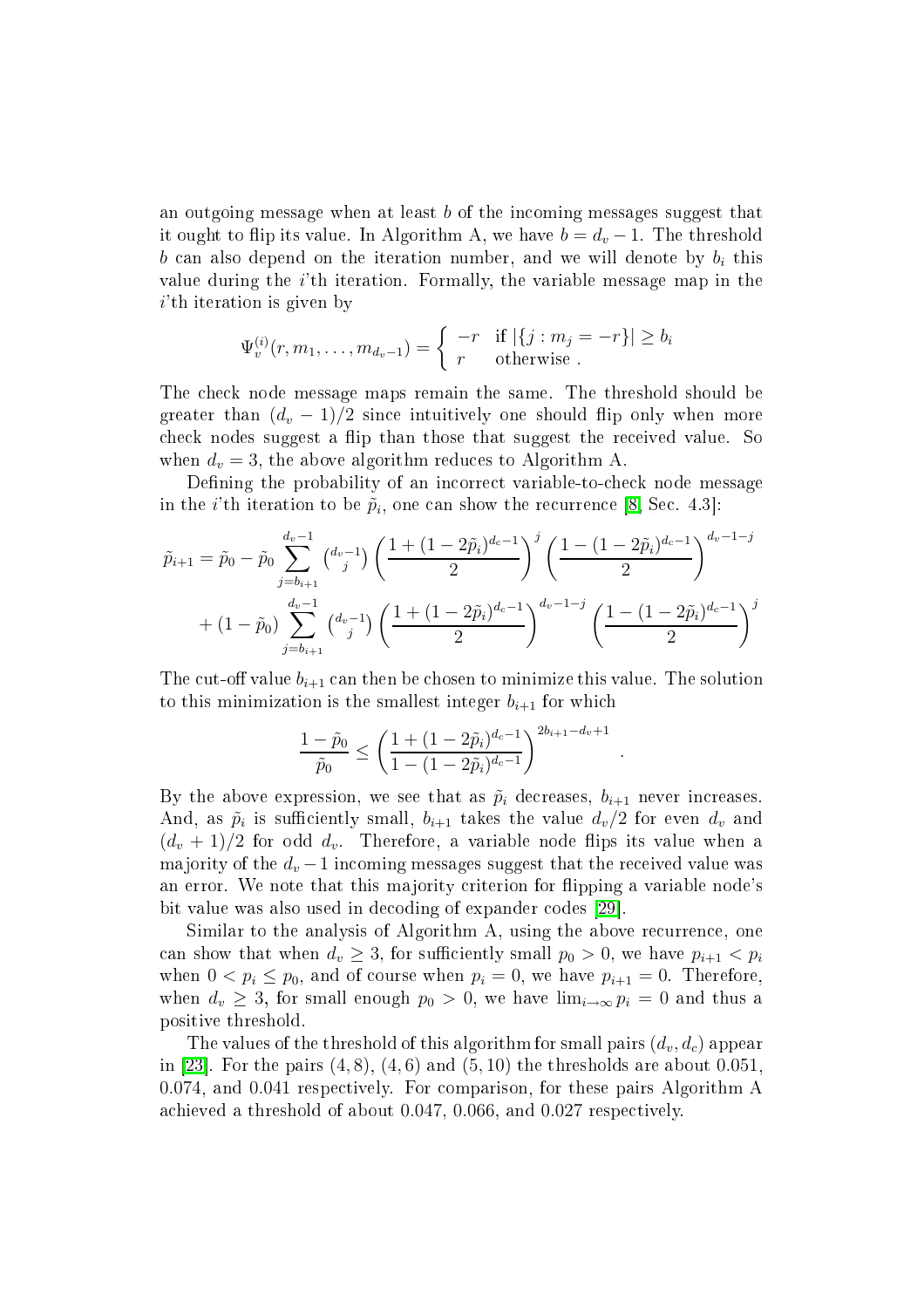an outgoing message when at least b of the in
oming messages suggest that it ought to flip its value. In Algorithm A, we have  $b = d_v - 1$ . The threshold b can also depend on the iteration number, and we will denote by  $b_i$  this value during the *i*'th iteration. Formally, the variable message map in the  $i$ <sup>th</sup> iteration is given by

$$
\Psi_v^{(i)}(r, m_1, \dots, m_{d_v-1}) = \begin{cases}\n-r & \text{if } |\{j : m_j = -r\}| \ge b_i \\
r & \text{otherwise}\n\end{cases}
$$

The he
k node message maps remain the same. The threshold should be greater than  $(d_v - 1)/2$  since intuitively one should flip only when more check nodes suggest a flip than those that suggest the received value. So when  $d_v = 3$ , the above algorithm reduces to Algorithm A.

Defining the probability of an incorrect variable-to-check node message in the *i*'th iteration to be  $\tilde{p}_i$ , one can show the recurrence [\[8,](#page-35-4) Sec. 4.3]:

$$
\tilde{p}_{i+1} = \tilde{p}_0 - \tilde{p}_0 \sum_{j=b_{i+1}}^{d_v - 1} {d_v - 1 \choose j} \left( \frac{1 + (1 - 2\tilde{p}_i)^{d_c - 1}}{2} \right)^j \left( \frac{1 - (1 - 2\tilde{p}_i)^{d_c - 1}}{2} \right)^{d_v - 1 - j} + (1 - \tilde{p}_0) \sum_{j=b_{i+1}}^{d_v - 1} {d_v - 1 \choose j} \left( \frac{1 + (1 - 2\tilde{p}_i)^{d_c - 1}}{2} \right)^{d_v - 1 - j} \left( \frac{1 - (1 - 2\tilde{p}_i)^{d_c - 1}}{2} \right)^j
$$

The cut-off value  $b_{i+1}$  can then be chosen to minimize this value. The solution to this minimization is the smallest integer  $b_{i+1}$  for which

$$
\frac{1-\tilde{p}_0}{\tilde{p}_0} \le \left(\frac{1+(1-2\tilde{p}_i)^{d_c-1}}{1-(1-2\tilde{p}_i)^{d_c-1}}\right)^{2b_{i+1}-d_v+1}
$$

.

By the above expression, we see that as  $\tilde{p}_i$  decreases,  $b_{i+1}$  never increases. And, as  $\tilde{p}_i$  is sufficiently small,  $b_{i+1}$  takes the value  $d_v/2$  for even  $d_v$  and  $(d_v + 1)/2$  for odd  $d_v$ . Therefore, a variable node flips its value when a majority of the  $d_v - 1$  incoming messages suggest that the received value was an error. We note that this majority criterion for flipping a variable node's bit value was also used in decoding of expander codes [29].

Similar to the analysis of Algorithm A, using the above recurrence, one can show that when  $d_v \geq 3$ , for sufficiently small  $p_0 > 0$ , we have  $p_{i+1} < p_i$ when  $0 < p_i \le p_0$ , and of course when  $p_i = 0$ , we have  $p_{i+1} = 0$ . Therefore, when  $d_v \geq 3$ , for small enough  $p_0 > 0$ , we have  $\lim_{i\to\infty} p_i = 0$  and thus a positive threshold.

The values of the threshold of this algorithm for small pairs  $(d_v, d_c)$  appear in [23]. For the pairs  $(4, 8)$ ,  $(4, 6)$  and  $(5, 10)$  the thresholds are about 0.051, 0.074, and 0.041 respe
tively. For omparison, for these pairs Algorithm A achieved a threshold of about 0.047, 0.066, and 0.027 respectively.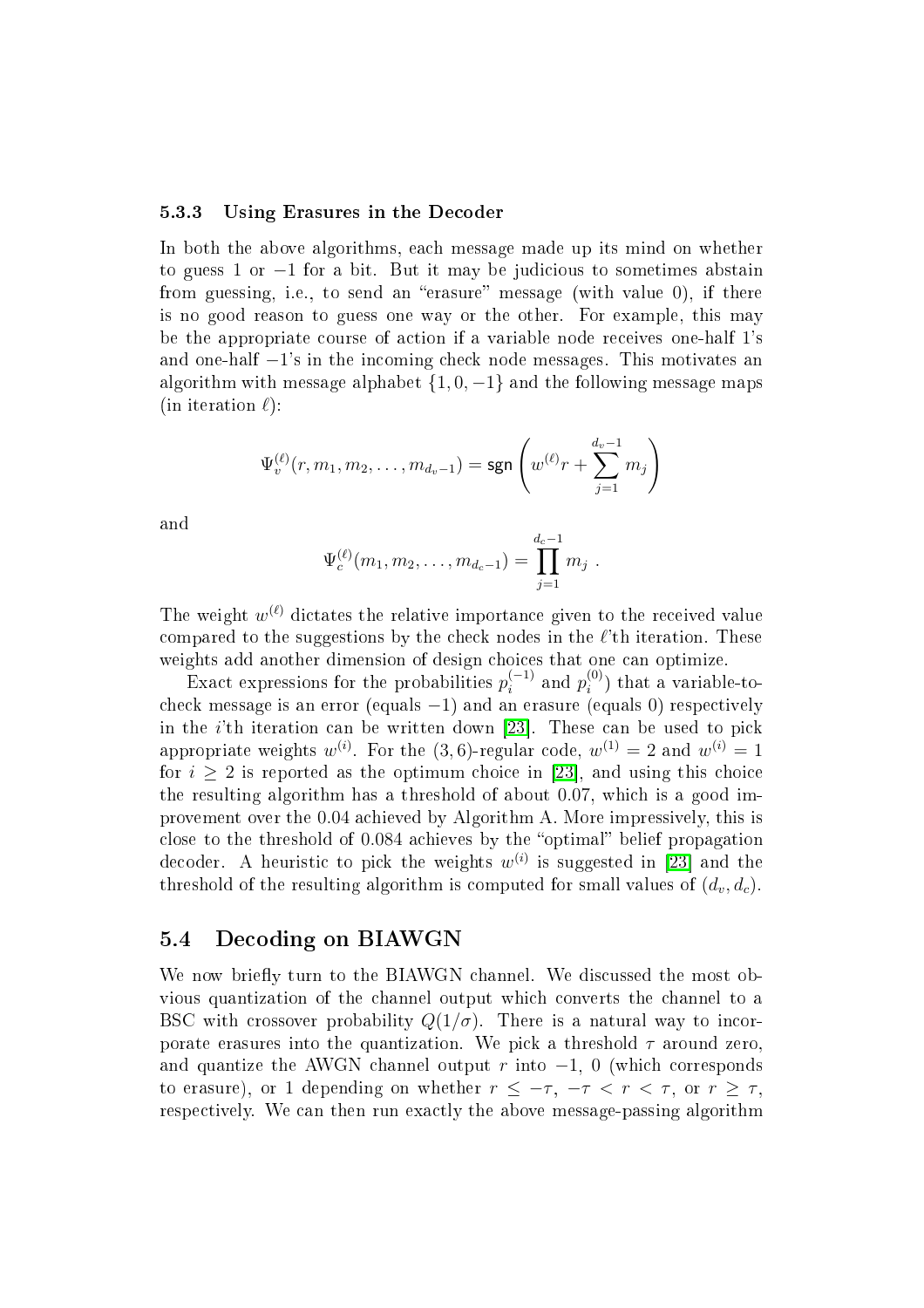## 5.3.3 Using Erasures in the De
oder

In both the above algorithms, each message made up its mind on whether to guess 1 or  $-1$  for a bit. But it may be judicious to sometimes abstain from guessing, i.e., to send an "erasure" message (with value 0), if there is no good reason to guess one way or the other. For example, this may be the appropriate ourse of a
tion if <sup>a</sup> variable node re
eives one-half 1's and one-half  $-1$ 's in the incoming check node messages. This motivates an algorithm with message alphabet  $\{1, 0, -1\}$  and the following message maps (in iteration  $\ell$ ):

$$
\Psi_v^{(\ell)}(r, m_1, m_2, \dots, m_{d_v-1}) = \text{sgn}\left(w^{(\ell)}r + \sum_{j=1}^{d_v-1} m_j\right)
$$

and

$$
\Psi_c^{(\ell)}(m_1, m_2, \ldots, m_{d_c-1}) = \prod_{j=1}^{d_c-1} m_j.
$$

The weight  $w^{(\ell)}$  dictates the relative importance given to the received value compared to the suggestions by the check nodes in the  $\ell$ 'th iteration. These weights add another dimension of design hoi
es that one an optimize.

Exact expressions for the probabilities  $p_i^{(-1)}$  and  $p_i^{(0)}$  $_i$  ) that a variable-tocheck message is an error (equals  $-1$ ) and an erasure (equals 0) respectively in the *i*'th iteration can be written down [23]. These can be used to pick appropriate weights  $w^{(i)}$ . For the  $(3,6)$ -regular code,  $w^{(1)}=2$  and  $w^{(i)}=1$ for  $i > 2$  is reported as the optimum choice in [23], and using this choice the resulting algorithm has a threshold of about 0.07, whi
h is <sup>a</sup> good improvement over the 0.04 a
hieved by Algorithm A. More impressively, this is close to the threshold of 0.084 achieves by the "optimal" belief propagation decoder. A heuristic to pick the weights  $w^{(i)}$  is suggested in [23] and the threshold of the resulting algorithm is computed for small values of  $(d_v, d_c)$ .

# 5.4 De
oding on BIAWGN

We now briefly turn to the BIAWGN channel. We discussed the most obvious quantization of the channel output which converts the channel to a BSC with crossover probability  $Q(1/\sigma)$ . There is a natural way to incorporate erasures into the quantization. We pick a threshold  $\tau$  around zero, and quantize the AWGN channel output r into  $-1$ , 0 (which corresponds to erasure), or 1 depending on whether  $r \leq -\tau$ ,  $-\tau < r < \tau$ , or  $r \geq \tau$ , respectively. We can then run exactly the above message-passing algorithm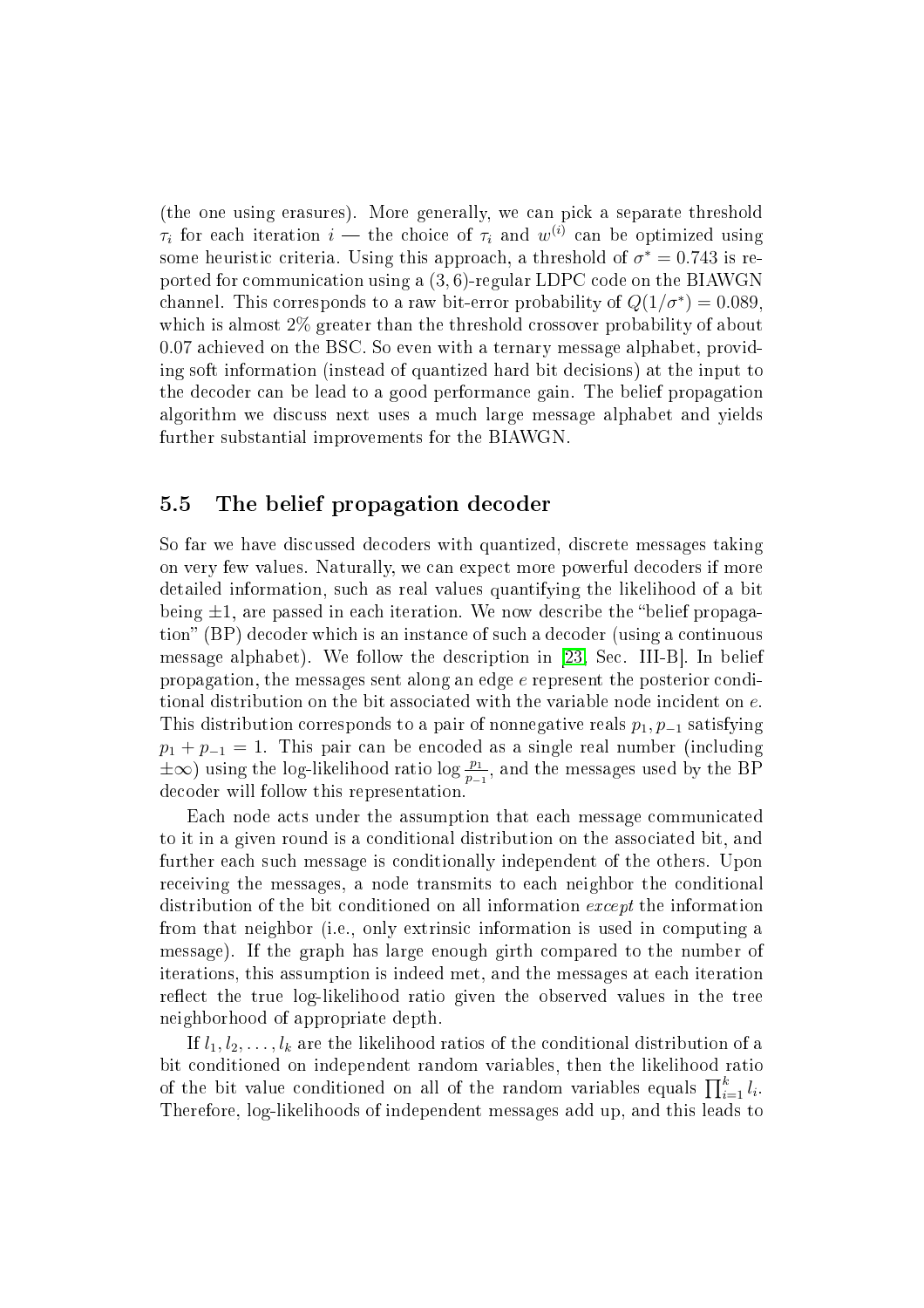(the one using erasures). More generally, we can pick a separate threshold  $\tau_i$  for each iteration  $i$  — the choice of  $\tau_i$  and  $w^{(i)}$  can be optimized using some heuristic criteria. Using this approach, a threshold of  $\sigma^*=0.743$  is reported for ommuni
ation using a (3, 6)-regular LDPC ode on the BIAWGN channel. This corresponds to a raw bit-error probability of  $Q(1/\sigma^*)=0.089,$ which is almost 2\% greater than the threshold crossover probability of about 0.07 a
hieved on the BSC. So even with a ternary message alphabet, providing soft information (instead of quantized hard bit decisions) at the input to the de
oder an be lead to a good performan
e gain. The belief propagation algorithm we dis
uss next uses a mu
h large message alphabet and yields further substantial improvements for the BIAWGN.

#### $5.5$ The belief propagation decoder

So far we have dis
ussed de
oders with quantized, dis
rete messages taking on very few values. Naturally, we an expe
t more powerful de
oders if more detailed information, su
h as real values quantifying the likelihood of a bit being  $\pm 1$ , are passed in each iteration. We now describe the "belief propagation" (BP) decoder which is an instance of such a decoder (using a continuous message alphabet). We follow the description in  $[23, Sec. III-B]$  $[23, Sec. III-B]$ . In belief propagation, the messages sent along an edge e represent the posterior onditional distribution on the bit associated with the variable node incident on e. This distribution corresponds to a pair of nonnegative reals  $p_1, p_{-1}$  satisfying  $p_1 + p_{-1} = 1$ . This pair can be encoded as a single real number (including  $\pm\infty$ ) using the log-likelihood ratio log  $\frac{p_1}{p_{-1}}$ , and the messages used by the BP de
oder will follow this representation.

Each node acts under the assumption that each message communicated to it in a given round is a conditional distribution on the associated bit, and further each such message is conditionally independent of the others. Upon re
eiving the messages, a node transmits to ea
h neighbor the onditional distribution of the bit conditioned on all information *except* the information from that neighbor (i.e., only extrinsi information is used in omputing a message). If the graph has large enough girth ompared to the number of iterations, this assumption is indeed met, and the messages at ea
h iteration reflect the true log-likelihood ratio given the observed values in the tree neighborhood of appropriate depth.

If  $l_1, l_2, \ldots, l_k$  are the likelihood ratios of the conditional distribution of a bit onditioned on independent random variables, then the likelihood ratio of the bit value conditioned on all of the random variables equals  $\prod_{i=1}^{k} l_i$ . Therefore, log-likelihoods of independent messages add up, and this leads to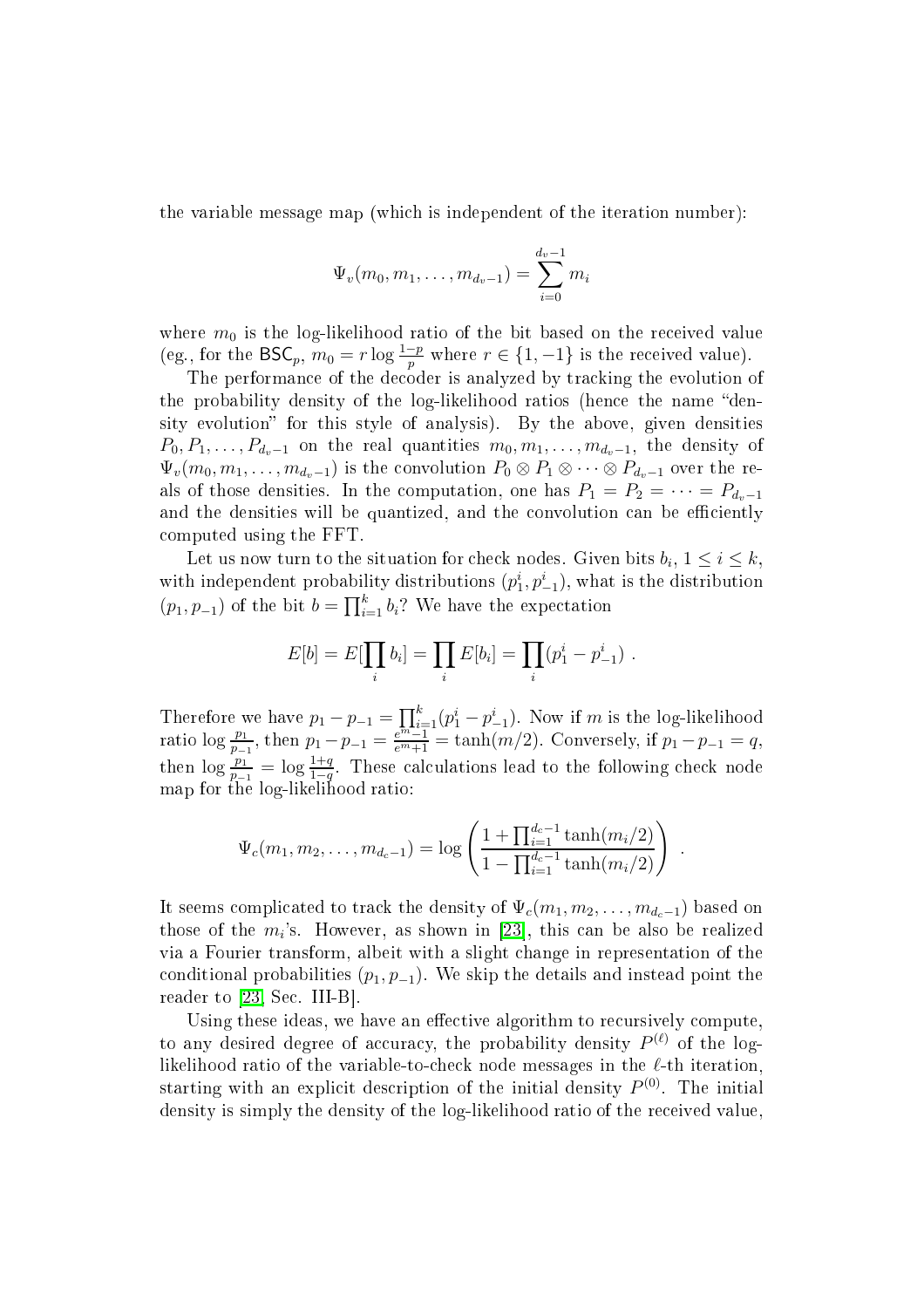the variable message map (whi
h is independent of the iteration number):

$$
\Psi_v(m_0, m_1, \dots, m_{d_v-1}) = \sum_{i=0}^{d_v-1} m_i
$$

where  $m_0$  is the log-likelihood ratio of the bit based on the received value (eg., for the BSC<sub>p</sub>,  $m_0 = r \log \frac{1-p}{p}$  where  $r \in \{1, -1\}$  is the received value).

The performan
e of the de
oder is analyzed by tra
king the evolution of the probability density of the log-likelihood ratios (hence the name "density evolution" for this style of analysis). By the above, given densities  $P_0, P_1, \ldots, P_{d_v-1}$  on the real quantities  $m_0, m_1, \ldots, m_{d_v-1}$ , the density of  $\Psi_v(m_0, m_1, \ldots, m_{d_v-1})$  is the convolution  $P_0 \otimes P_1 \otimes \cdots \otimes P_{d_v-1}$  over the reals of those densities. In the computation, one has  $P_1 = P_2 = \cdots = P_{d_v-1}$ and the densities will be quantized, and the convolution can be efficiently omputed using the FFT.

Let us now turn to the situation for check nodes. Given bits  $b_i, 1 \leq i \leq k$ , with independent probability distributions  $(p_1^i, p_{-1}^i)$ , what is the distribution  $(p_1, p_{-1})$  of the bit  $b = \prod_{i=1}^k b_i$ ? We have the expectation

$$
E[b] = E[\prod_i b_i] = \prod_i E[b_i] = \prod_i (p_1^i - p_{-1}^i) .
$$

Therefore we have  $p_1 - p_{-1} = \prod_{m=1}^{k} (p_1^i - p_{-1}^i)$ . Now if m is the log-likelihood ratio log  $\frac{p_1}{p_{-1}}$ , then  $p_1 - p_{-1} = \frac{e^{\frac{m_1}{p_{-1}}} - 1}{e^{m_1} - 1} = \tanh(m/2)$ . Conversely, if  $p_1 - p_{-1} = q$ , then  $\log \frac{p_1}{p_1-1} = \log \frac{1+q}{1-q}$ . These calculations lead to the following check node map for the log-likelihood ratio:

$$
\Psi_c(m_1, m_2, \dots, m_{d_c-1}) = \log \left( \frac{1 + \prod_{i=1}^{d_c-1} \tanh(m_i/2)}{1 - \prod_{i=1}^{d_c-1} \tanh(m_i/2)} \right) .
$$

It seems complicated to track the density of  $\Psi_c(m_1, m_2, \ldots, m_{d_c-1})$  based on those of the  $m_i$ 's. However, as shown in [23], this can be also be realized via a Fourier transform, albeit with a slight hange in representation of the conditional probabilities  $(p_1, p_{-1})$ . We skip the details and instead point the reader to  $[23, Sec. III-B].$  $[23, Sec. III-B].$ 

Using these ideas, we have an effective algorithm to recursively compute, to any desired degree of accuracy, the probability density  $P^{(\ell)}$  of the loglikelihood ratio of the variable-to-check node messages in the  $\ell$ -th iteration, starting with an explicit description of the initial density  $P^{(0)}$ . The initial density is simply the density of the log-likelihood ratio of the re
eived value,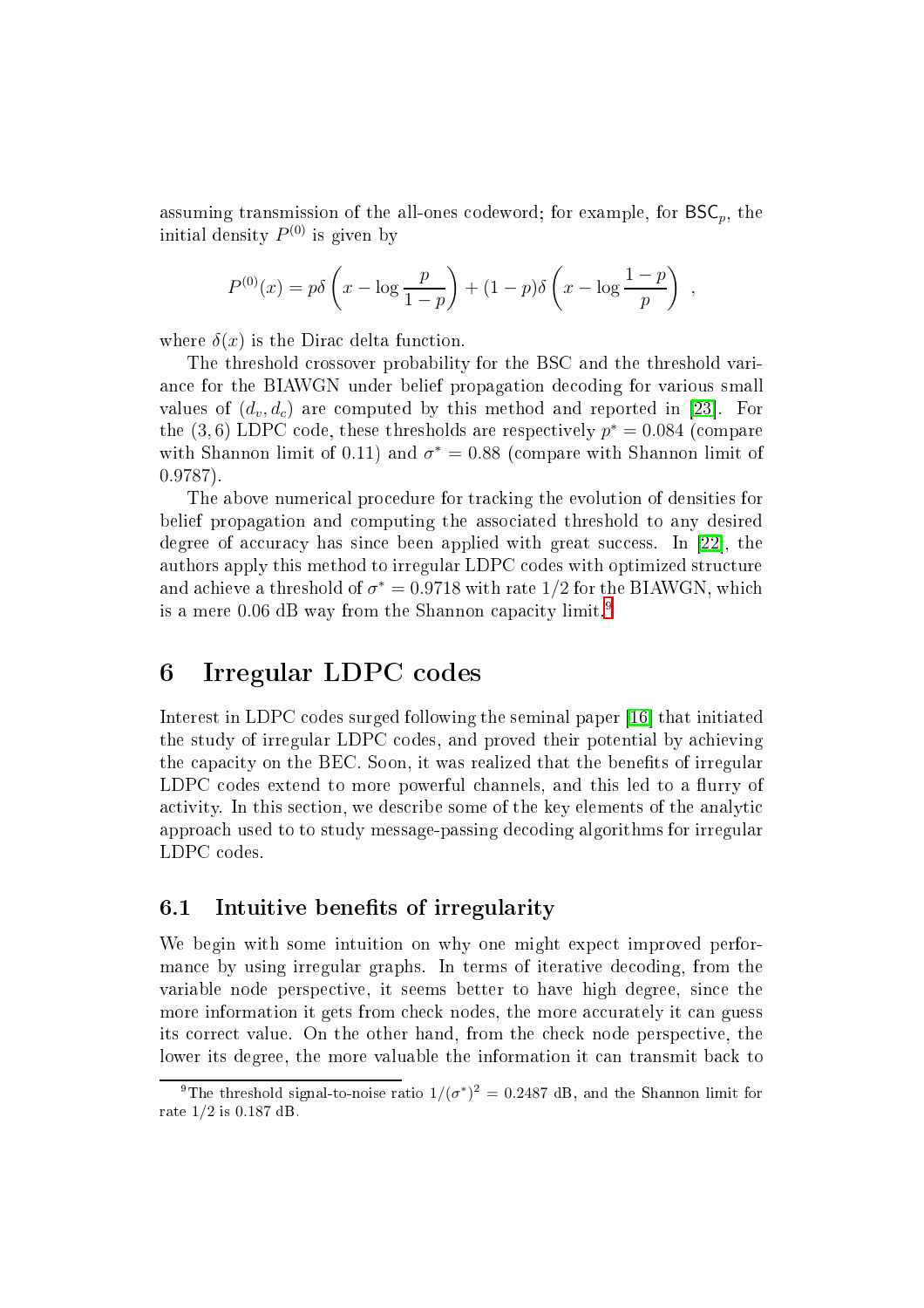assuming transmission of the all-ones codeword; for example, for  $BSC_n$ , the initial density  $P^{(0)}$  is given by

$$
P^{(0)}(x) = p\delta\left(x - \log\frac{p}{1-p}\right) + (1-p)\delta\left(x - \log\frac{1-p}{p}\right) ,
$$

where  $\delta(x)$  is the Dirac delta function.

The threshold crossover probability for the BSC and the threshold varian
e for the BIAWGN under belief propagation de
oding for various small values of  $(d_v, d_c)$  are computed by this method and reported in [23]. For the  $(3,6)$  LDPC code, these thresholds are respectively  $p^*=0.084$  (compare with Shannon limit of 0.11) and  $\sigma^* = 0.88$  (compare with Shannon limit of 0.9787).

The above numerical procedure for tracking the evolution of densities for belief propagation and omputing the asso
iated threshold to any desired degree of accuracy has since been applied with great success. In  $[22]$ , the authors apply this method to irregular LDPC codes with optimized structure and achieve a threshold of  $\sigma^*=$  0.9718 with rate  $1/2$  for the BIAWGN, which is a mere  $0.06$  dB way from the Shannon capacity limit.<sup>[9](#page-22-1)</sup>

#### <span id="page-22-0"></span>Irregular LDPC codes 6

Interest in LDPC codes surged following the seminal paper [16] that initiated the study of irregular LDPC odes, and proved their potential by a
hieving the capacity on the BEC. Soon, it was realized that the benefits of irregular LDPC codes extend to more powerful channels, and this led to a flurry of activity. In this section, we describe some of the key elements of the analytic approa
h used to to study message-passing de
oding algorithms for irregular LDPC odes.

# 6.1 Intuitive benefits of irregularity

We begin with some intuition on why one might expect improved performance by using irregular graphs. In terms of iterative decoding, from the variable node perspective, it seems better to have high degree, since the more information it gets from check nodes, the more accurately it can guess its orre
t value. On the other hand, from the he
k node perspe
tive, the lower its degree, the more valuable the information it can transmit back to

<span id="page-22-1"></span><sup>&</sup>lt;sup>9</sup>The threshold signal-to-noise ratio  $1/(\sigma^*)^2 = 0.2487$  dB, and the Shannon limit for rate 1/2 is 0.187 dB.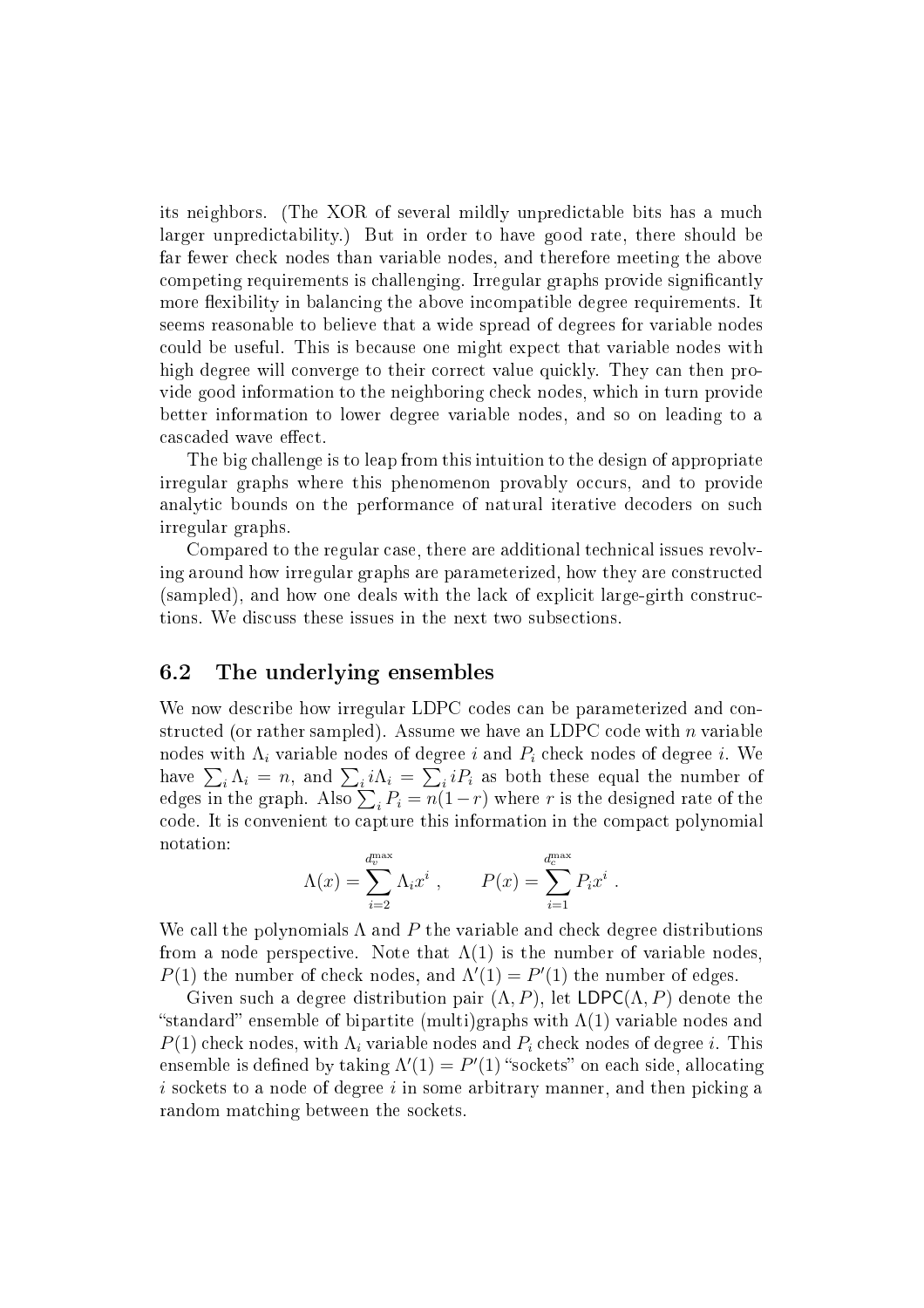its neighbors. (The XOR of several mildly unpredictable bits has a much larger unpredi
tability.) But in order to have good rate, there should be far fewer he
k nodes than variable nodes, and therefore meeting the above competing requirements is challenging. Irregular graphs provide significantly more flexibility in balancing the above incompatible degree requirements. It seems reasonable to believe that a wide spread of degrees for variable nodes ould be useful. This is be
ause one might expe
t that variable nodes with high degree will converge to their correct value quickly. They can then provide good information to the neighboring check nodes, which in turn provide better information to lower degree variable nodes, and so on leading to a cascaded wave effect.

The big hallenge is to leap from this intuition to the design of appropriate irregular graphs where this phenomenon provably occurs, and to provide analytic bounds on the performance of natural iterative decoders on such irregular graphs.

Compared to the regular case, there are additional technical issues revolving around how irregular graphs are parameterized, how they are onstru
ted (sampled), and how one deals with the lack of explicit large-girth constructions. We discuss these issues in the next two subsections.

# 6.2 The underlying ensembles

We now describe how irregular LDPC codes can be parameterized and constructed (or rather sampled). Assume we have an LDPC code with  $n$  variable nodes with  $\Lambda_i$  variable nodes of degree i and  $P_i$  check nodes of degree i. We have  $\sum_i \Lambda_i = n$ , and  $\sum_i i\Lambda_i = \sum_i iP_i$  as both these equal the number of edges in the graph. Also  $\sum_i P_i = n(1-r)$  where r is the designed rate of the ode. It is onvenient to apture this information in the ompa
t polynomial notation:

$$
\Lambda(x) = \sum_{i=2}^{d_v^{\text{max}}} \Lambda_i x^i , \qquad P(x) = \sum_{i=1}^{d_e^{\text{max}}} P_i x^i .
$$

We call the polynomials  $\Lambda$  and  $P$  the variable and check degree distributions from a node perspective. Note that  $\Lambda(1)$  is the number of variable nodes.  $P(1)$  the number of check nodes, and  $\Lambda'(1) = P'(1)$  the number of edges.

Given such a degree distribution pair  $(\Lambda, P)$ , let  $LDPC(\Lambda, P)$  denote the "standard" ensemble of bipartite (multi)graphs with  $\Lambda(1)$  variable nodes and  $P(1)$  check nodes, with  $\Lambda_i$  variable nodes and  $P_i$  check nodes of degree i. This ensemble is defined by taking  $\Lambda'(1)=P'(1)$  "sockets" on each side, allocating  $i$  sockets to a node of degree  $i$  in some arbitrary manner, and then picking a random matching between the sockets.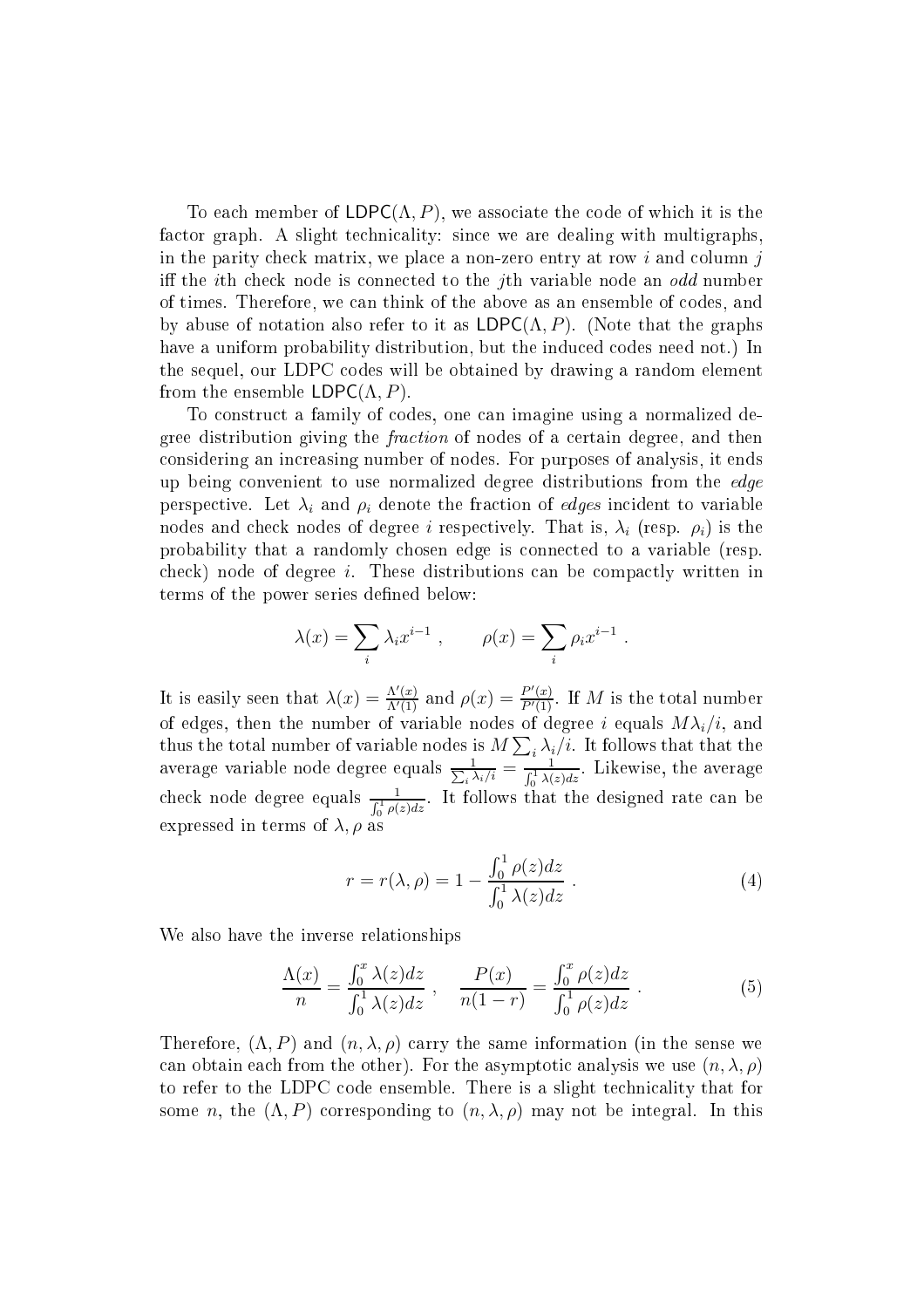To each member of  $LDPC(\Lambda, P)$ , we associate the code of which it is the factor graph. A slight technicality: since we are dealing with multigraphs, in the parity check matrix, we place a non-zero entry at row  $i$  and column  $j$ iff the *i*th check node is connected to the *j*th variable node an *odd* number of times. Therefore, we can think of the above as an ensemble of codes, and by abuse of notation also refer to it as  $LDPC(\Lambda, P)$ . (Note that the graphs have a uniform probability distribution, but the induced codes need not.) In the sequel, our LDPC odes will be obtained by drawing a random element from the ensemble  $LDPC(\Lambda, P)$ .

To onstru
t a family of odes, one an imagine using a normalized degree distribution giving the *fraction* of nodes of a certain degree, and then onsidering an in
reasing number of nodes. For purposes of analysis, it ends up being onvenient to use normalized degree distributions from the edge perspective. Let  $\lambda_i$  and  $\rho_i$  denote the fraction of *edges* incident to variable nodes and check nodes of degree i respectively. That is,  $\lambda_i$  (resp.  $\rho_i$ ) is the probability that a randomly hosen edge is onne
ted to a variable (resp.  $\chi$  check) node of degree *i*. These distributions can be compactly written in terms of the power series defined below:

$$
\lambda(x) = \sum_{i} \lambda_i x^{i-1} , \qquad \rho(x) = \sum_{i} \rho_i x^{i-1} .
$$

It is easily seen that  $\lambda(x) = \frac{\Lambda'(x)}{\Lambda'(1)}$  and  $\rho(x) = \frac{P'(x)}{P'(1)}$ . If M is the total number of edges, then the number of variable nodes of degree  $i$  equals  $M\lambda_i/i,$  and thus the total number of variable nodes is  $M\sum_i\lambda_i/i$ . It follows that that the  $\alpha$ verage variable node degree equals  $\Sigma$ 1  $\frac{1}{i\lambda_i/i} = \frac{1}{\int_0^1 \lambda(z)dz}$ . Likewise, the average check node degree equals  $\frac{1}{\int_0^1 \rho(z) dz}$ . It follows that the designed rate can be expressed in terms of  $\lambda$ ,  $\rho$  as

<span id="page-24-1"></span><span id="page-24-0"></span>
$$
r = r(\lambda, \rho) = 1 - \frac{\int_0^1 \rho(z) dz}{\int_0^1 \lambda(z) dz} .
$$
 (4)

We also have the inverse relationships

$$
\frac{\Lambda(x)}{n} = \frac{\int_0^x \lambda(z)dz}{\int_0^1 \lambda(z)dz}, \quad \frac{P(x)}{n(1-r)} = \frac{\int_0^x \rho(z)dz}{\int_0^1 \rho(z)dz}.
$$
 (5)

Therefore,  $(\Lambda, P)$  and  $(n, \lambda, \rho)$  carry the same information (in the sense we can obtain each from the other). For the asymptotic analysis we use  $(n, \lambda, \rho)$ to refer to the LDPC code ensemble. There is a slight technicality that for some n, the  $(\Lambda, P)$  corresponding to  $(n, \lambda, \rho)$  may not be integral. In this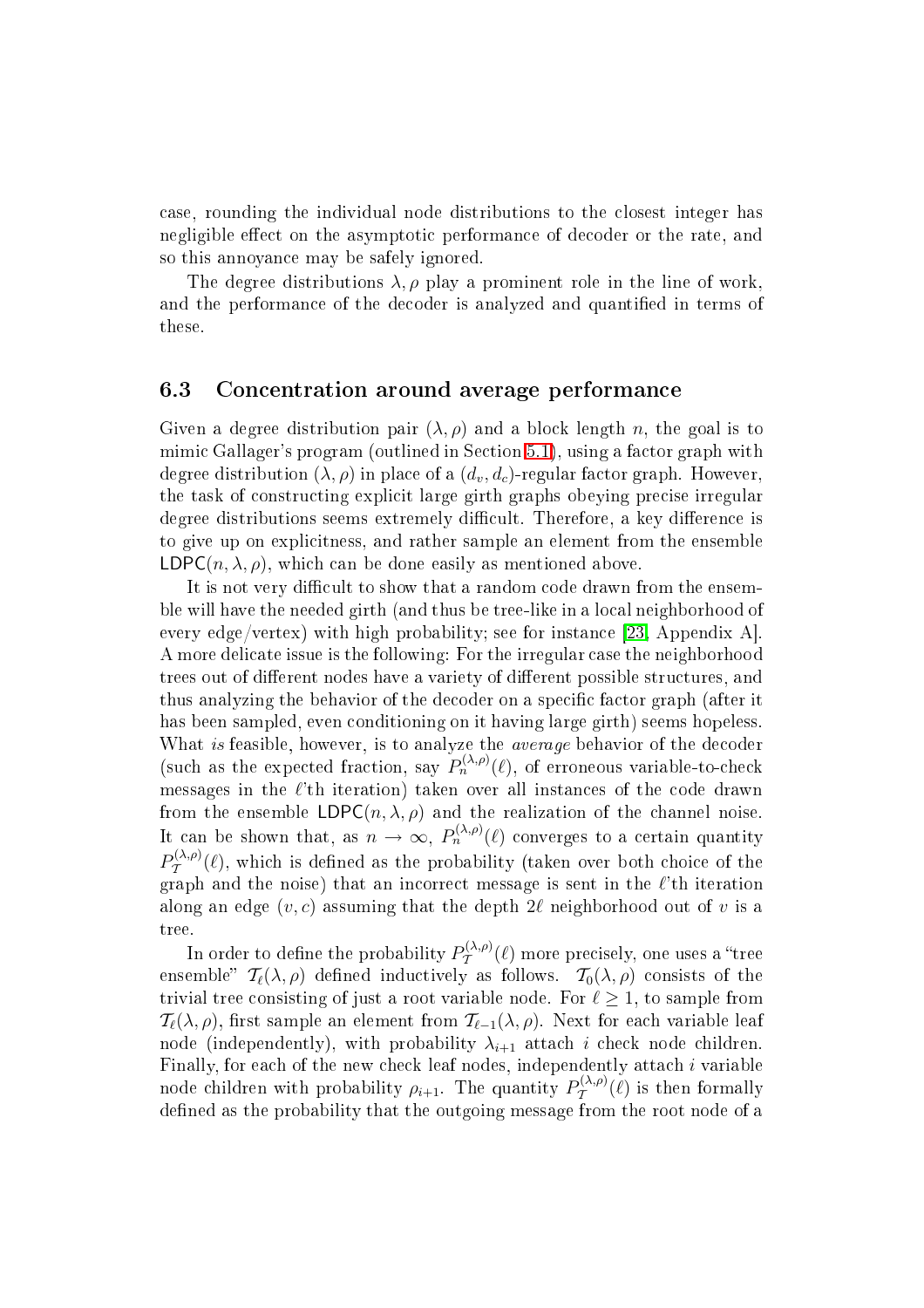ase, rounding the individual node distributions to the losest integer has negligible effect on the asymptotic performance of decoder or the rate, and so this annoyan
e may be safely ignored.

The degree distributions  $\lambda$ ,  $\rho$  play a prominent role in the line of work. and the performance of the decoder is analyzed and quantified in terms of these.

# 6.3 Con
entration around average performan
e

Given a degree distribution pair  $(\lambda, \rho)$  and a block length n, the goal is to mimic Gallager's program (outlined in Section [5.1\)](#page-11-1), using a factor graph with degree distribution  $(\lambda, \rho)$  in place of a  $(d_v, d_c)$ -regular factor graph. However, the task of onstru
ting expli
it large girth graphs obeying pre
ise irregular degree distributions seems extremely difficult. Therefore, a key difference is to give up on expli
itness, and rather sample an element from the ensemble  $LDPC(n, \lambda, \rho)$ , which can be done easily as mentioned above.

It is not very difficult to show that a random code drawn from the ensemble will have the needed girth (and thus be tree-like in a lo
al neighborhood of every edge/vertex) with high probability; see for instance [\[23,](#page-36-4) Appendix A]. A more delicate issue is the following: For the irregular case the neighborhood trees out of different nodes have a variety of different possible structures, and thus analyzing the behavior of the decoder on a specific factor graph (after it has been sampled, even onditioning on it having large girth) seems hopeless. What is feasible, however, is to analyze the *average* behavior of the decoder (such as the expected fraction, say  $P_n^{(\lambda,\rho)}(\ell)$ , of erroneous variable-to-check messages in the  $\ell$ 'th iteration) taken over all instances of the code drawn from the ensemble  $LDPC(n, \lambda, \rho)$  and the realization of the channel noise. It can be shown that, as  $n \to \infty$ ,  $P_n^{(\lambda,\rho)}(\ell)$  converges to a certain quantity  $P_{\mathcal{T}}^{(\lambda,\rho)}(\ell)$ , which is defined as the probability (taken over both choice of the  $\frac{1}{2}$  (c), where is allowed as the probability (there are a find the  $\ell$ 'th iteration along an edge  $(v, c)$  assuming that the depth  $2\ell$  neighborhood out of v is a tree.

In order to define the probability  $P_{\mathcal{T}}^{(\lambda,\rho)}$  $\mathcal{T}^{(\lambda,\rho)}(\ell)$  more precisely, one uses a "tree ensemble"  $\mathcal{T}_{\ell}(\lambda,\rho)$  defined inductively as follows.  $\mathcal{T}_{0}(\lambda,\rho)$  consists of the trivial tree consisting of just a root variable node. For  $\ell > 1$ , to sample from  $\mathcal{T}_{\ell}(\lambda,\rho)$ , first sample an element from  $\mathcal{T}_{\ell-1}(\lambda,\rho)$ . Next for each variable leaf node (independently), with probability  $\lambda_{i+1}$  attach i check node children. Finally, for each of the new check leaf nodes, independently attach i variable node children with probability  $\rho_{i+1}$ . The quantity  $P_{\mathcal{T}}^{(\lambda,\rho)}$  $\mathcal{T}^{(\lambda,\rho)}(\ell)$  is then formally defined as the probability that the outgoing message from the root node of a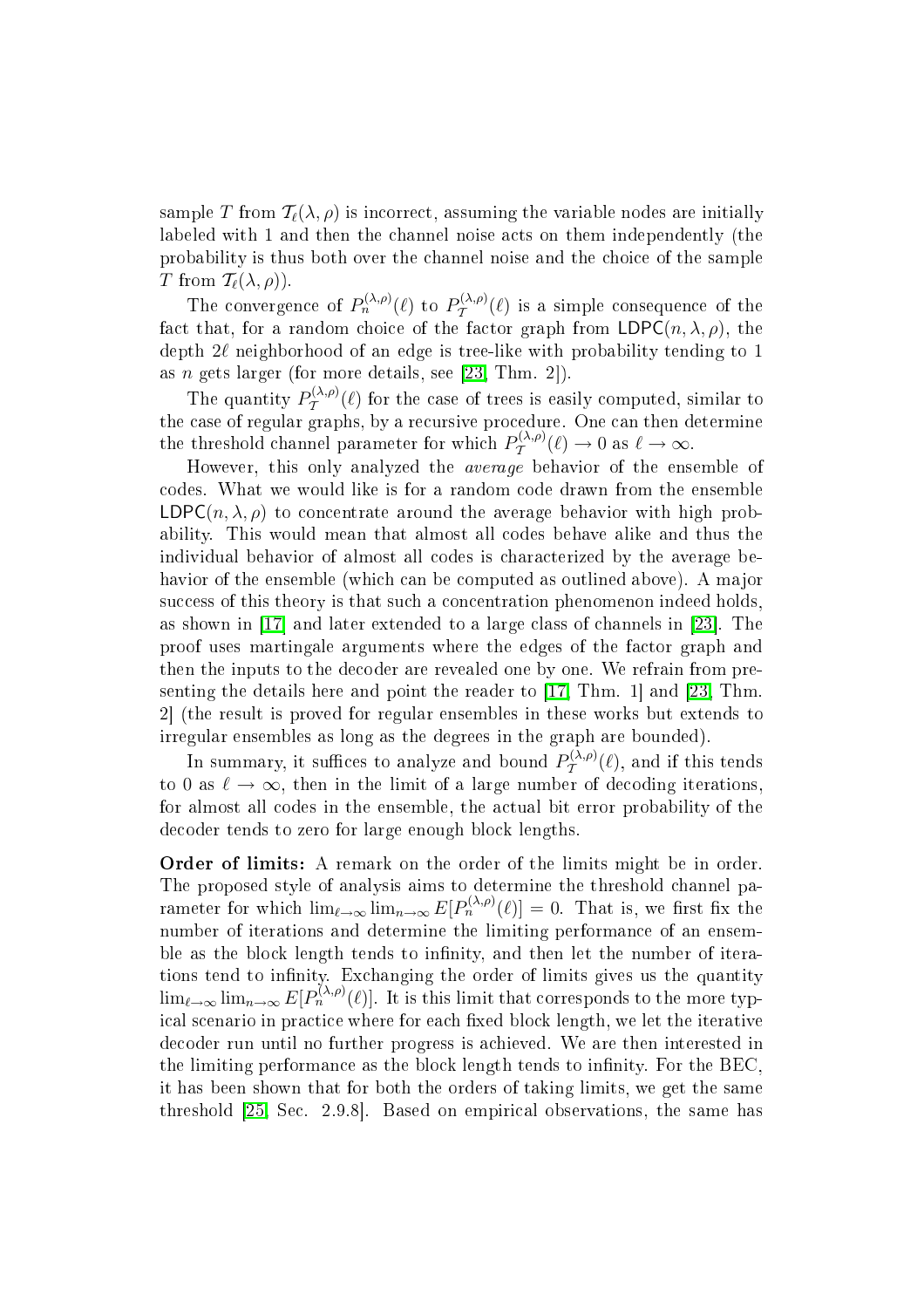sample T from  $\mathcal{T}_{\ell}(\lambda, \rho)$  is incorrect, assuming the variable nodes are initially labeled with 1 and then the hannel noise a
ts on them independently (the probability is thus both over the hannel noise and the hoi
e of the sample T from  $T_{\ell}(\lambda, \rho)$ ).

The convergence of  $P_n^{(\lambda,\rho)}(\ell)$  to  $P_{\mathcal{T}}^{(\lambda,\rho)}$  $\mathcal{T}^{(\lambda,\rho)}(\ell)$  is a simple consequence of the fact that, for a random choice of the factor graph from  $LDPC(n, \lambda, \rho)$ , the depth  $2\ell$  neighborhood of an edge is tree-like with probability tending to 1 as n gets larger (for more details, see  $[23, Thm. 2]$  $[23, Thm. 2]$ ).

The quantity  $P_T^{(\lambda,\rho)}(\ell)$  for the case of trees is easily computed, similar to the case of regular graphs, by a recursive procedure. One can then determine the threshold channel parameter for which  $P_{\mathcal{T}}^{(\lambda,\rho)}(\ell) \to 0$  as  $\ell \to \infty$ .

 $\overline{1}$ However, this only analyzed the average behavior of the ensemble of odes. What we would like is for a random ode drawn from the ensemble LDPC $(n, \lambda, \rho)$  to concentrate around the average behavior with high probability. This would mean that almost all odes behave alike and thus the individual behavior of almost all odes is hara
terized by the average behavior of the ensemble (which can be computed as outlined above). A major success of this theory is that such a concentration phenomenon indeed holds, as shown in  $[17]$  and later extended to a large class of channels in  $[23]$ . The proof uses martingale arguments where the edges of the fa
tor graph and then the inputs to the de
oder are revealed one by one. We refrain from presenting the details here and point the reader to  $[17, Thm. 1]$  $[17, Thm. 1]$  and  $[23, Thm. 1]$  $[23, Thm. 1]$ 2 (the result is proved for regular ensembles in these works but extends to irregular ensembles as long as the degrees in the graph are bounded).

In summary, it suffices to analyze and bound  $P_{\mathcal{T}}^{(\lambda,\rho)}$  $\mathcal{T}^{(A,\rho)}(\ell)$ , and if this tends to 0 as  $\ell \to \infty$ , then in the limit of a large number of decoding iterations, for almost all codes in the ensemble, the actual bit error probability of the decoder tends to zero for large enough block lengths.

Order of limits: A remark on the order of the limits might be in order. The proposed style of analysis aims to determine the threshold hannel parameter for which  $\lim_{\ell \to \infty} \lim_{n \to \infty} E[P_n^{(\lambda,\rho)}(\ell)] = 0$ . That is, we first fix the number of iterations and determine the limiting performan
e of an ensemble as the block length tends to infinity, and then let the number of iterations tend to infinity. Exchanging the order of limits gives us the quantity  $\lim_{\ell\to\infty}\lim_{n\to\infty}E[P_n^{(\lambda,\rho)}(\ell)].$  It is this limit that corresponds to the more typical scenario in practice where for each fixed block length, we let the iterative de
oder run until no further progress is a
hieved. We are then interested in the limiting performance as the block length tends to infinity. For the BEC, it has been shown that for both the orders of taking limits, we get the same threshold [\[25,](#page-36-1) Sec. 2.9.8]. Based on empirical observations, the same has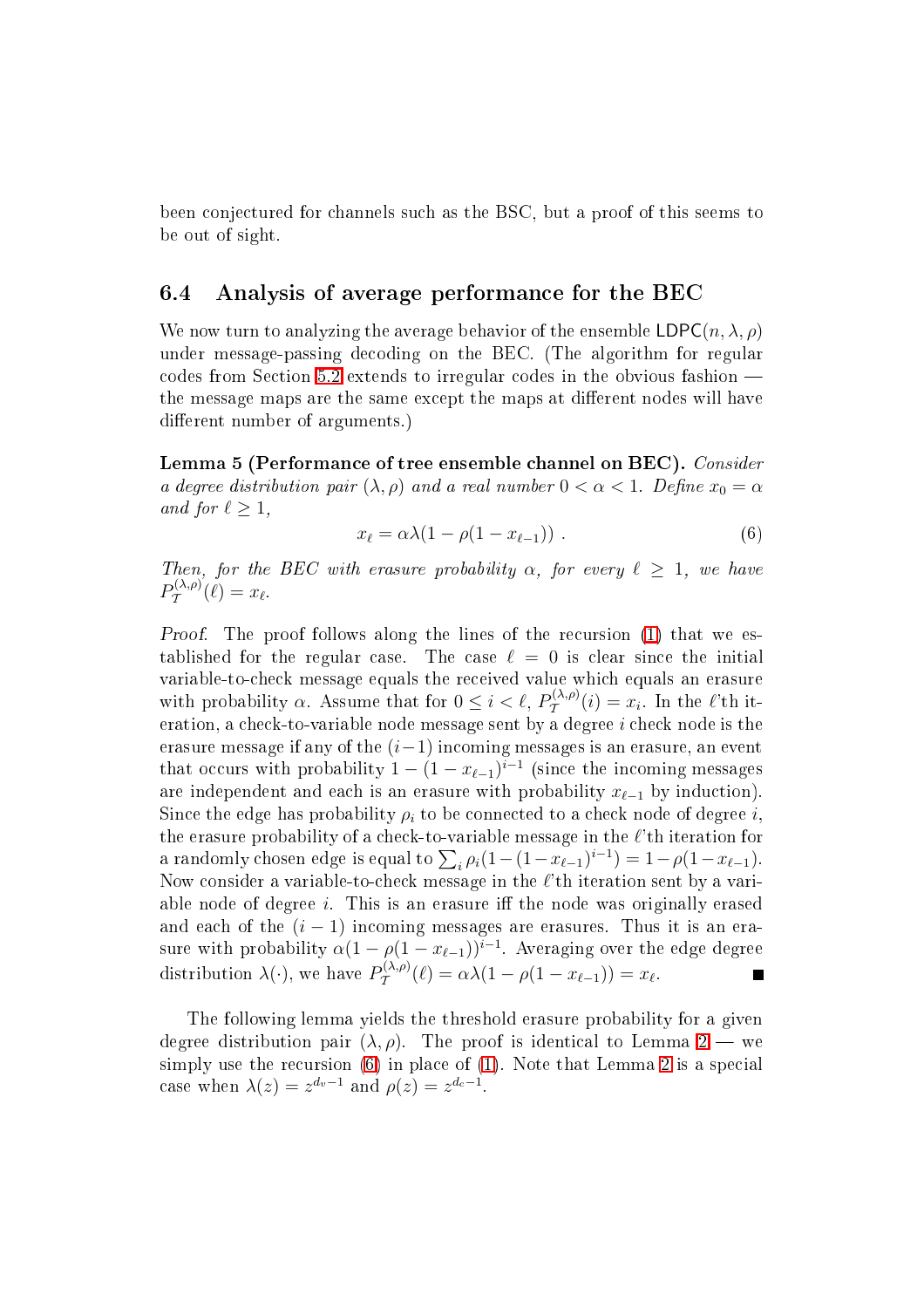been onje
tured for hannels su
h as the BSC, but a proof of this seems to be out of sight.

# 6.4 Analysis of average performan
e for the BEC

We now turn to analyzing the average behavior of the ensemble  $LDPC(n, \lambda, \rho)$ under message-passing de
oding on the BEC. (The algorithm for regular odes from Se
tion [5.2](#page-13-0) extends to irregular odes in the obvious fashion the message maps are the same except the maps at different nodes will have different number of arguments.)

<span id="page-27-0"></span>Lemma 5 (Performance of tree ensemble channel on BEC). Consider a degree distribution pair  $(\lambda, \rho)$  and a real number  $0 < \alpha < 1$ . Define  $x_0 = \alpha$ and for  $\ell \geq 1$ ,

$$
x_{\ell} = \alpha \lambda (1 - \rho (1 - x_{\ell-1})) \tag{6}
$$

Then, for the BEC with erasure probability  $\alpha$ , for every  $\ell > 1$ , we have  $P_{\mathcal{T}}^{(\lambda,\rho)}$  $T^{(\lambda,\rho)}(\ell)=x_{\ell}.$ 

Proof. The proof follows along the lines of the re
ursion [\(1\)](#page-14-0) that we established for the regular case. The case  $\ell = 0$  is clear since the initial variable-tohe
k message equals the re
eived value whi
h equals an erasure with probability  $\alpha$ . Assume that for  $0 \leq i < \ell$ ,  $P_{\mathcal{T}}^{(\lambda,\rho)}(i) = x_i$ . In the  $\ell$ 'th it- $\frac{1}{\sqrt{2}}$  and  $\frac{1}{\sqrt{2}}$  and  $\frac{1}{\sqrt{2}}$  and  $\frac{1}{\sqrt{2}}$  and  $\frac{1}{\sqrt{2}}$  and  $\frac{1}{\sqrt{2}}$  and  $\frac{1}{\sqrt{2}}$  and  $\frac{1}{\sqrt{2}}$  and  $\frac{1}{\sqrt{2}}$  and  $\frac{1}{\sqrt{2}}$  and  $\frac{1}{\sqrt{2}}$  and  $\frac{1}{\sqrt{2}}$  and  $\frac{1}{\sqrt{2}}$  and erasure message if any of the  $(i-1)$  incoming messages is an erasure, an event that occurs with probability  $1 - (1 - x_{\ell-1})^{i-1}$  (since the incoming messages are independent and each is an erasure with probability  $x_{\ell-1}$  by induction). Since the edge has probability  $\rho_i$  to be connected to a check node of degree i. the erasure probability of a check-to-variable message in the  $\ell$ 'th iteration for a randomly chosen edge is equal to  $\sum_i \rho_i (1 - (1 - x_{\ell-1})^{i-1}) = 1 - \rho(1 - x_{\ell-1}).$ Now consider a variable-to-check message in the  $\ell$ 'th iteration sent by a variable node of degree  $i$ . This is an erasure iff the node was originally erased and each of the  $(i - 1)$  incoming messages are erasures. Thus it is an erasure with probability  $\alpha(1 - \rho(1 - x_{\ell-1}))^{i-1}$ . Averaging over the edge degree distribution  $\lambda(\cdot)$ , we have  $P_{\mathcal{T}}^{(\lambda,\rho)}(\ell) = \alpha\lambda(1 - \rho(1 - x_{\ell-1})) = x_{\ell}$ .  $T^{(\lambda,\rho)}(\ell) = \alpha \lambda (1 - \rho(1 - x_{\ell-1})) = x_{\ell}.$ 

<span id="page-27-1"></span>The following lemma yields the threshold erasure probability for a given degree distribution pair  $(\lambda, \rho)$ . The proof is identical to Lemma [2](#page-15-0) — we simply use the recursion  $(6)$  in place of  $(1)$ . Note that Lemma [2](#page-15-0) is a special case when  $\lambda(z) = z^{d_v - 1}$  and  $\rho(z) = z^{d_c - 1}$ .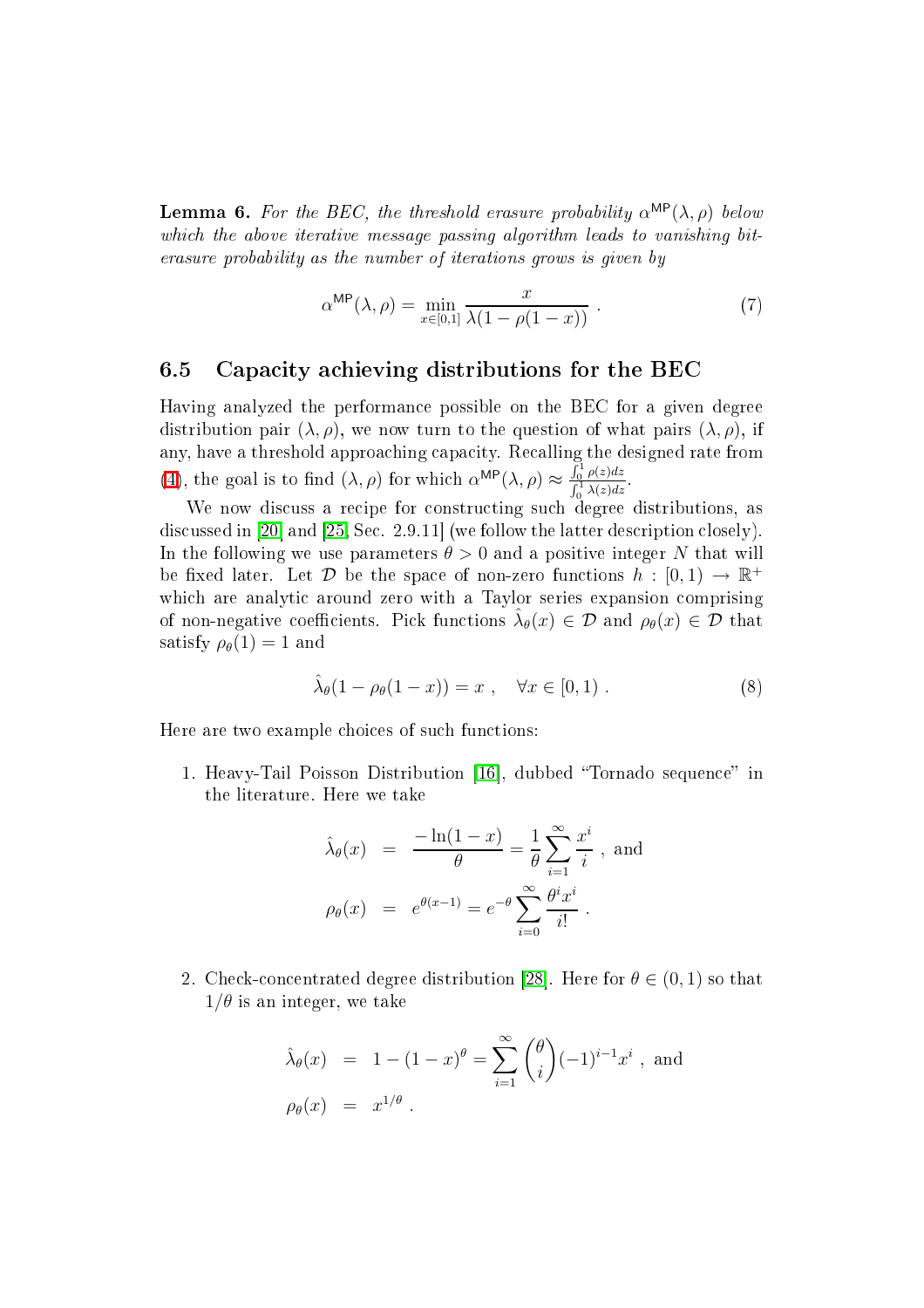**Lemma 6.** For the BEC, the threshold erasure probability  $\alpha^{\text{MP}}(\lambda, \rho)$  below which the above iterative message passing algorithm leads to vanishing biterasure probability as the number of iterations grows is given by

$$
\alpha^{\text{MP}}(\lambda, \rho) = \min_{x \in [0,1]} \frac{x}{\lambda(1 - \rho(1 - x))} \ . \tag{7}
$$

## 6.5 Capa
ity a
hieving distributions for the BEC

Having analyzed the performan
e possible on the BEC for a given degree distribution pair  $(\lambda, \rho)$ , we now turn to the question of what pairs  $(\lambda, \rho)$ , if any, have a threshold approaching capacity. Recalling the designed rate from [\(4\)](#page-24-0), the goal is to find  $(\lambda, \rho)$  for which  $\alpha^{\text{MP}}(\lambda, \rho) \approx \frac{\int_0^1 \rho(z) dz}{\int_0^1 \lambda(z) dz}$  $\int_0^1 \lambda(z) dz$ 

We now discuss a recipe for constructing such degree distributions, as discussed in  $[20]$  and  $[25, Sec. 2.9.11]$  $[25, Sec. 2.9.11]$  (we follow the latter description closely). In the following we use parameters  $\theta > 0$  and a positive integer N that will be fixed later. Let  $D$  be the space of non-zero functions  $h : [0,1) \to \mathbb{R}^+$ which are analytic around zero with a Taylor series expansion comprising of non-negative coefficients. Pick functions  $\hat{\lambda}_{\theta}(x) \in \mathcal{D}$  and  $\rho_{\theta}(x) \in \mathcal{D}$  that satisfy  $\rho_{\theta}(1) = 1$  and

<span id="page-28-0"></span>
$$
\hat{\lambda}_{\theta}(1 - \rho_{\theta}(1 - x)) = x , \quad \forall x \in [0, 1) . \tag{8}
$$

Here are two example choices of such functions:

1. Heavy-Tail Poisson Distribution [16], dubbed "Tornado sequence" in the literature. Here we take

$$
\hat{\lambda}_{\theta}(x) = \frac{-\ln(1-x)}{\theta} = \frac{1}{\theta} \sum_{i=1}^{\infty} \frac{x^i}{i}, \text{ and}
$$

$$
\rho_{\theta}(x) = e^{\theta(x-1)} = e^{-\theta} \sum_{i=0}^{\infty} \frac{\theta^i x^i}{i!}.
$$

2. Check-concentrated degree distribution [28]. Here for  $\theta \in (0,1)$  so that  $1/\theta$  is an integer, we take

$$
\hat{\lambda}_{\theta}(x) = 1 - (1 - x)^{\theta} = \sum_{i=1}^{\infty} {\theta \choose i} (-1)^{i-1} x^{i} , \text{ and}
$$
  

$$
\rho_{\theta}(x) = x^{1/\theta} .
$$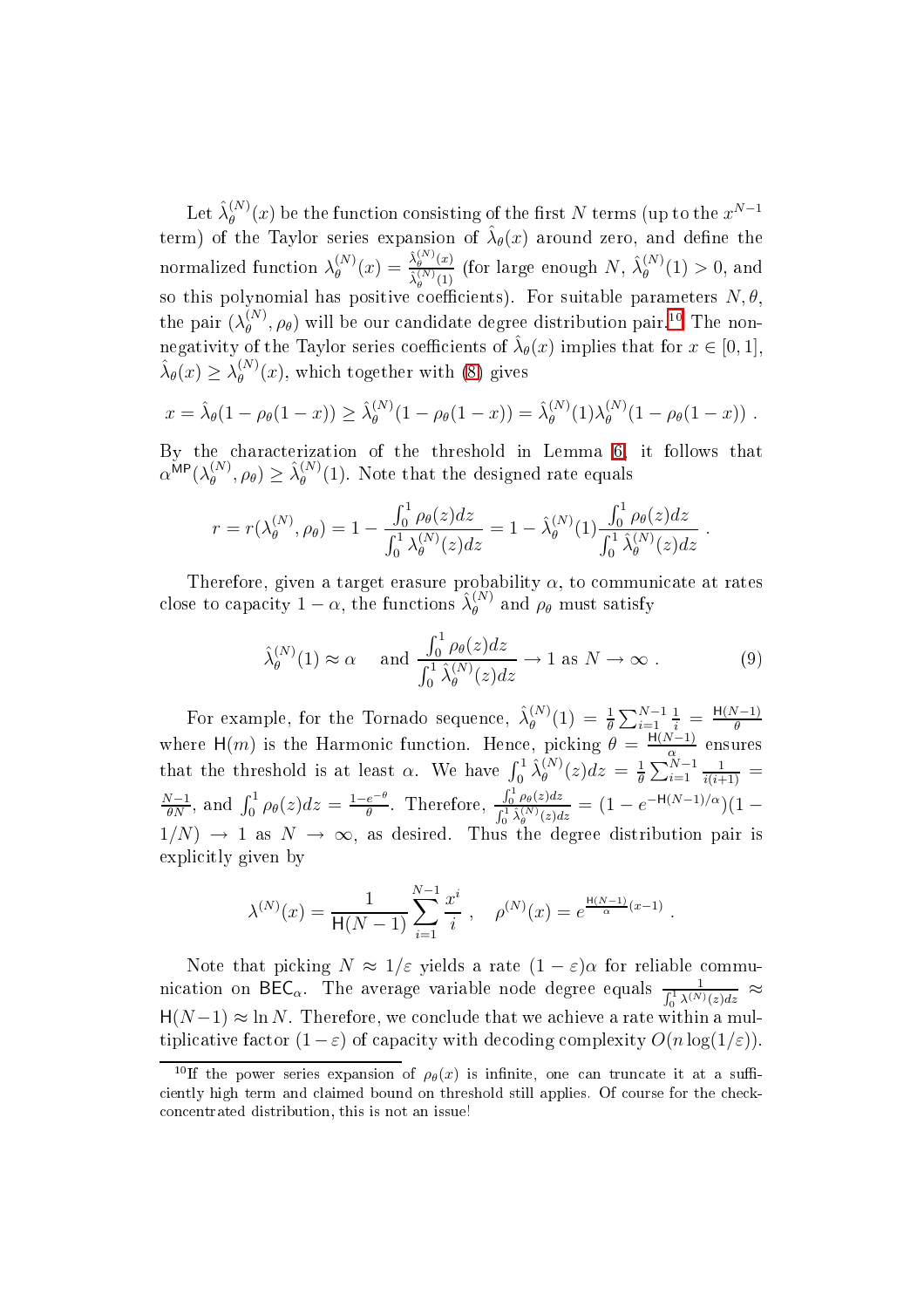${\rm Let\,} \hat{\lambda}_{\theta}^{(N)}$  $\theta_\theta^{(N)}(x)$  be the function consisting of the first  $N$  terms (up to the  $x^{N-1}$ term) of the Taylor series expansion of  $\hat{\lambda}_{\theta}(x)$  around zero, and define the normalized function  $\lambda_{\theta}^{(N)}$  $\overset{(N)}{\theta}(x) = \frac{\hat{\lambda}_{\theta}^{(N)}(x)}{\hat{\lambda}^{(N)}(1)}$  $\frac{\hat{\lambda}^{(N)}_{\theta}(x)}{\hat{\lambda}^{(N)}_{\theta}(1)}$  (for large enough  $N, \ \hat{\lambda}^{(N)}_{\theta}$ so this polynomial has positive coefficients). For suitable parameters  $N, \theta$ ,  $\theta^{(N)}(1) > 0$ , and the pair  $(\lambda_\theta^{(N)})$  $\theta_{\theta}^{(N)}, \rho_{\theta}$ ) will be our candidate degree distribution pair.<sup>[10](#page-29-0)</sup> The nonnegativity of the Taylor series coefficients of  $\hat{\lambda}_{\theta}(x)$  implies that for  $x \in [0,1]$ ,  $\hat{\lambda}_{\theta}(x) \geq \lambda_{\theta}^{(N)}$  $\theta_{\theta}^{(N)}(x)$ , which together with [\(8\)](#page-28-0) gives

$$
x = \hat{\lambda}_{\theta}(1 - \rho_{\theta}(1 - x)) \ge \hat{\lambda}_{\theta}^{(N)}(1 - \rho_{\theta}(1 - x)) = \hat{\lambda}_{\theta}^{(N)}(1)\lambda_{\theta}^{(N)}(1 - \rho_{\theta}(1 - x)) .
$$

By the characterization of the threshold in Lemma [6,](#page-27-1) it follows that  $\alpha^{\mathsf{MP}}(\lambda_{\theta}^{(N)}% )$  $\hat{\theta}_{\theta}^{(N)}, \rho_{\theta}$ )  $\geq \hat{\lambda}_{\theta}^{(N)}$  $\theta_{\theta}^{(N)}(1)$ . Note that the designed rate equals

$$
r = r(\lambda_{\theta}^{(N)}, \rho_{\theta}) = 1 - \frac{\int_0^1 \rho_{\theta}(z) dz}{\int_0^1 \lambda_{\theta}^{(N)}(z) dz} = 1 - \hat{\lambda}_{\theta}^{(N)}(1) \frac{\int_0^1 \rho_{\theta}(z) dz}{\int_0^1 \hat{\lambda}_{\theta}^{(N)}(z) dz}.
$$

Therefore, given a target erasure probability  $\alpha$ , to communicate at rates close to capacity  $1 - \alpha$ , the functions  $\hat{\lambda}_{\theta}^{(N)}$  and  $\rho_{\theta}$  must satisfy

$$
\hat{\lambda}_{\theta}^{(N)}(1) \approx \alpha \quad \text{and } \frac{\int_0^1 \rho_{\theta}(z) dz}{\int_0^1 \hat{\lambda}_{\theta}^{(N)}(z) dz} \to 1 \text{ as } N \to \infty . \tag{9}
$$

For example, for the Tornado sequence,  $\hat{\lambda}_{\theta}^{(N)}$  $\frac{d^{(N)}}{d^{(N)}}(1) \:=\: \frac{1}{\theta} \sum_{i=1}^{N-1}$  $\frac{1}{i} = \frac{H(N-1)}{\theta}$ where H(m) is the Harmonic function. Hence, picking  $\theta = \frac{H(N-1)}{\alpha}$  ensures that the threshold is at least  $\alpha$ . We have  $\int_0^1 \hat{\lambda}_{\theta}^{(N)}$  $\frac{d^{(N)}}{\theta}(z)dz = \frac{1}{\theta}$  $\frac{1}{\theta} \sum_{i=1}^{N-1}$  $\frac{1}{i(i+1)} =$  $\frac{N-1}{\theta N}$ , and  $\int_0^1 \rho_\theta(z) dz = \frac{1-e^{-\theta}}{\theta}$  $\frac{e^{-\theta}}{\theta}$ . Therefore,  $\frac{\int_0^1 \rho_{\theta}(z) dz}{\int_{c_1}^1 \hat{\lambda}^{(N)}(z) dz}$  $\frac{\int_0^1 \rho_\theta(z) dz}{\int_0^1 \hat{\lambda}_{\theta}^{(N)}(z) dz} = (1 - e^{-\mathsf{H}(N-1)/\alpha})(1 1/N$   $\rightarrow$  1 as  $N \rightarrow \infty$ , as desired. Thus the degree distribution pair is explicitly given by

$$
\lambda^{(N)}(x) = \frac{1}{\mathsf{H}(N-1)} \sum_{i=1}^{N-1} \frac{x^i}{i} , \quad \rho^{(N)}(x) = e^{\frac{\mathsf{H}(N-1)}{\alpha}(x-1)} .
$$

Note that picking  $N \approx 1/\varepsilon$  yields a rate  $(1-\varepsilon)\alpha$  for reliable communication on BEC<sub>α</sub>. The average variable node degree equals  $\frac{1}{\int_0^1 \lambda^{(N)}(z)dz} \approx$  $H(N-1) \approx \ln N$ . Therefore, we conclude that we achieve a rate within a multiplicative factor  $(1 - \varepsilon)$  of capacity with decoding complexity  $O(n \log(1/\varepsilon))$ .

<span id="page-29-0"></span><sup>&</sup>lt;sup>10</sup>If the power series expansion of  $\rho_{\theta}(x)$  is infinite, one can truncate it at a sufficiently high term and claimed bound on threshold still applies. Of course for the checkon
entrated distribution, this is not an issue!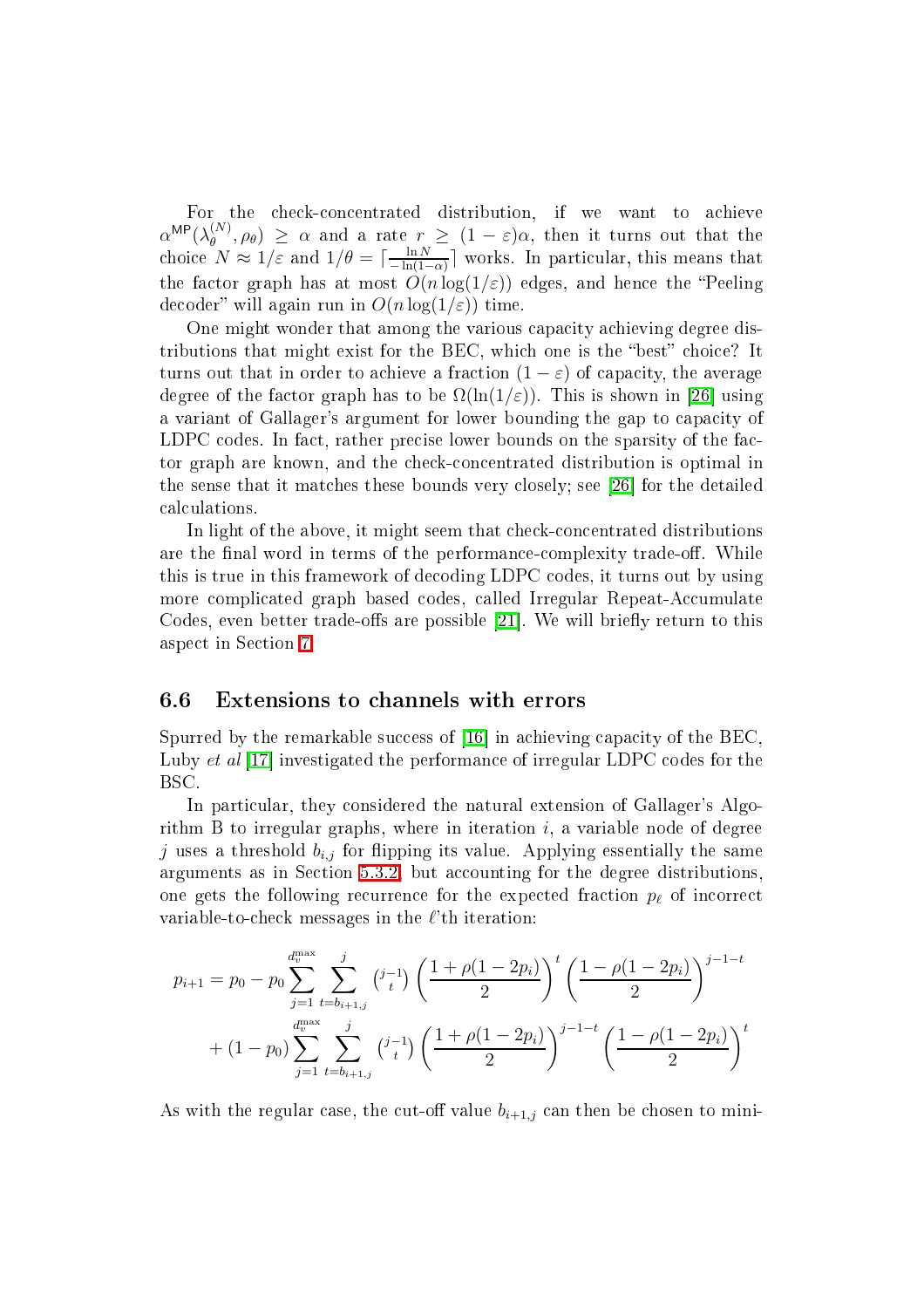$\alpha^{MP}(\lambda_{\theta}^{(N)}, \rho_{\theta}) \geq \alpha$  and a rate  $r \geq (1-\varepsilon)\alpha$ , then it turns out that the  $\left( \begin{array}{c} \n\mu^{(N)}, \rho_{\theta} \n\end{array} \right) \geq \alpha$  and a rate  $r \geq (1-\varepsilon)\alpha$ , then it turns out that the choice  $N \approx 1/\varepsilon$  and  $1/\theta = \lceil \frac{\ln N}{-\ln(1-\varepsilon)} \rceil$  $\frac{1}{\frac{1}{2}-\ln(1-\alpha)}$  works. In particular, this means that the factor graph has at most  $O(n \log(1/\varepsilon))$  edges, and hence the "Peeling" decoder" will again run in  $O(n \log(1/\varepsilon))$  time.

One might wonder that among the various capacity achieving degree distributions that might exist for the BEC, which one is the "best" choice? It turns out that in order to achieve a fraction  $(1 - \varepsilon)$  of capacity, the average degree of the factor graph has to be  $\Omega(\ln(1/\varepsilon))$ . This is shown in [26] using a variant of Gallager's argument for lower bounding the gap to capacity of LDPC codes. In fact, rather precise lower bounds on the sparsity of the factor graph are known, and the he
kon
entrated distribution is optimal in the sense that it matches these bounds very closely; see  $[26]$  for the detailed al
ulations.

In light of the above, it might seem that check-concentrated distributions are the final word in terms of the performance-complexity trade-off. While this is true in this framework of de
oding LDPC odes, it turns out by using more complicated graph based codes, called Irregular Repeat-Accumulate Codes, even better trade-offs are possible [21]. We will briefly return to this aspe
t in Se
tion [7.](#page-31-0)

# 6.6 Extensions to hannels with errors

Spurred by the remarkable success of  $[16]$  in achieving capacity of the BEC. Luby *et al* [17] investigated the performance of irregular LDPC codes for the BSC.

In particular, they considered the natural extension of Gallager's Algorithm B to irregular graphs, where in iteration  $i$ , a variable node of degree j uses a threshold  $b_{i,j}$  for flipping its value. Applying essentially the same arguments as in Section [5.3.2,](#page-17-0) but accounting for the degree distributions, one gets the following recurrence for the expected fraction  $p_{\ell}$  of incorrect variable-to-check messages in the  $\ell$ 'th iteration:

$$
p_{i+1} = p_0 - p_0 \sum_{j=1}^{d_v^{\text{max}}} \sum_{t=b_{i+1,j}}^{j} {j-1 \choose t} \left(\frac{1+\rho(1-2p_i)}{2}\right)^t \left(\frac{1-\rho(1-2p_i)}{2}\right)^{j-1-t}
$$
  
+ 
$$
(1-p_0) \sum_{j=1}^{d_v^{\text{max}}} \sum_{t=b_{i+1,j}}^{j} {j-1 \choose t} \left(\frac{1+\rho(1-2p_i)}{2}\right)^{j-1-t} \left(\frac{1-\rho(1-2p_i)}{2}\right)^t
$$

As with the regular case, the cut-off value  $b_{i+1,j}$  can then be chosen to mini-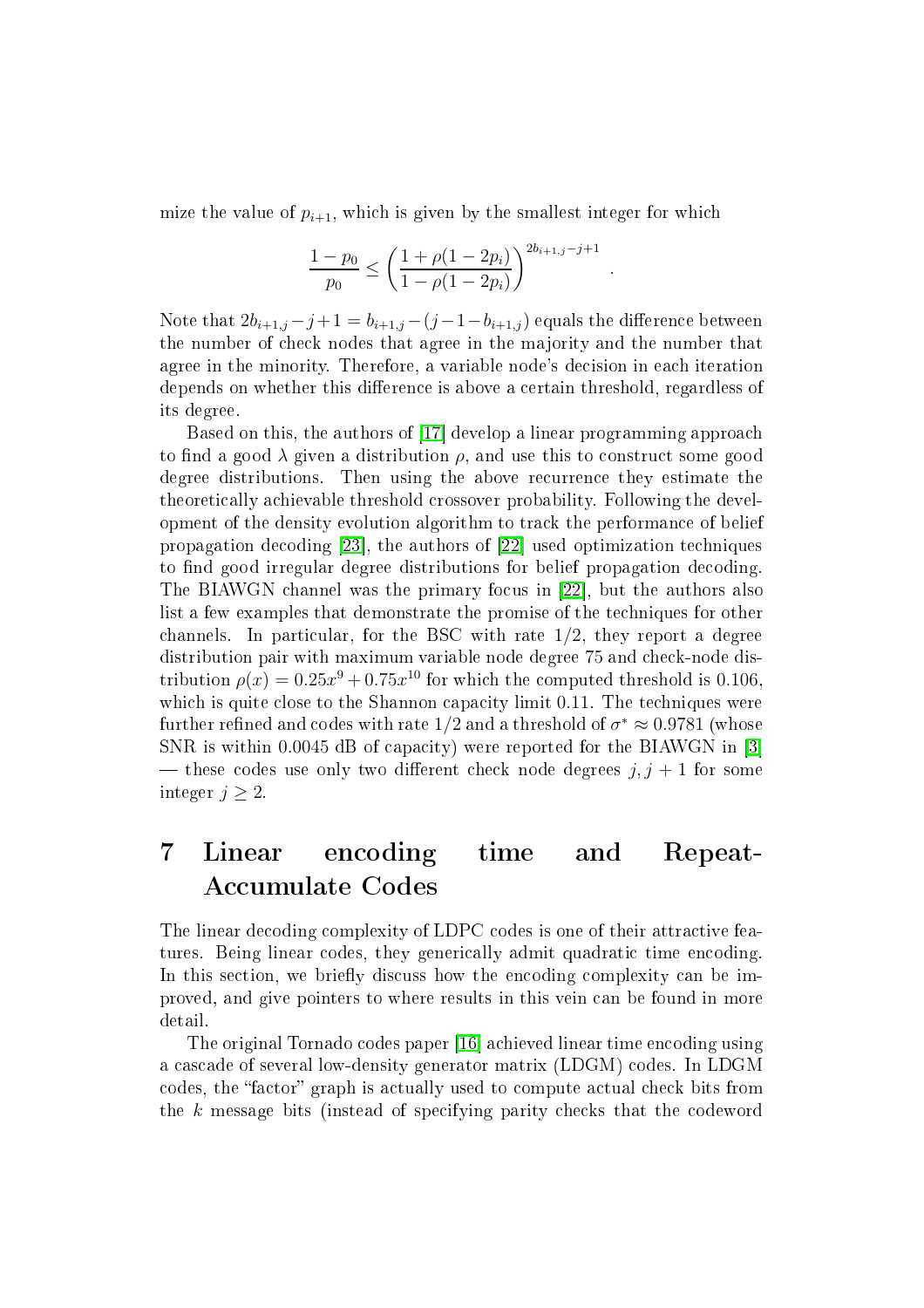mize the value of  $p_{i+1}$ , which is given by the smallest integer for which

$$
\frac{1-p_0}{p_0} \le \left(\frac{1+\rho(1-2p_i)}{1-\rho(1-2p_i)}\right)^{2b_{i+1,j}-j+1}
$$

.

Note that  $2b_{i+1,j} - j + 1 = b_{i+1,j} - (j-1-b_{i+1,j})$  equals the difference between the number of he
k nodes that agree in the majority and the number that agree in the minority. Therefore, a variable node's decision in each iteration depends on whether this difference is above a certain threshold, regardless of its degree.

Based on this, the authors of [17] develop a linear programming approach to find a good  $\lambda$  given a distribution  $\rho$ , and use this to construct some good degree distributions. Then using the above recurrence they estimate the theoreti
ally a
hievable threshold rossover probability. Following the development of the density evolution algorithm to tra
k the performan
e of belief propagation decoding [23], the authors of [22] used optimization techniques to find good irregular degree distributions for belief propagation decoding. The BIAWGN channel was the primary focus in [22], but the authors also list a few examples that demonstrate the promise of the te
hniques for other channels. In particular, for the BSC with rate  $1/2$ , they report a degree distribution pair with maximum variable node degree 75 and check-node distribution  $\rho(x) = 0.25x^9 + 0.75x^{10}$  for which the computed threshold is 0.106, which is quite close to the Shannon capacity limit 0.11. The techniques were further refined and codes with rate 1/2 and a threshold of  $\sigma^* \approx 0.9781$  (whose SNR is within  $0.0045$  dB of capacity) were reported for the BIAWGN in [3] — these codes use only two different check node degrees  $j, j + 1$  for some integer  $j \geq 2$ .

# <span id="page-31-0"></span>7 Linear en
oding time and Repeat-Accumulate Codes

The linear decoding complexity of LDPC codes is one of their attractive features. Being linear codes, they generically admit quadratic time encoding. In this section, we briefly discuss how the encoding complexity can be improved, and give pointers to where results in this vein an be found in more detail.

The original Tornado codes paper [16] achieved linear time encoding using a cascade of several low-density generator matrix (LDGM) codes. In LDGM codes, the "factor" graph is actually used to compute actual check bits from the k message bits (instead of specifying parity checks that the codeword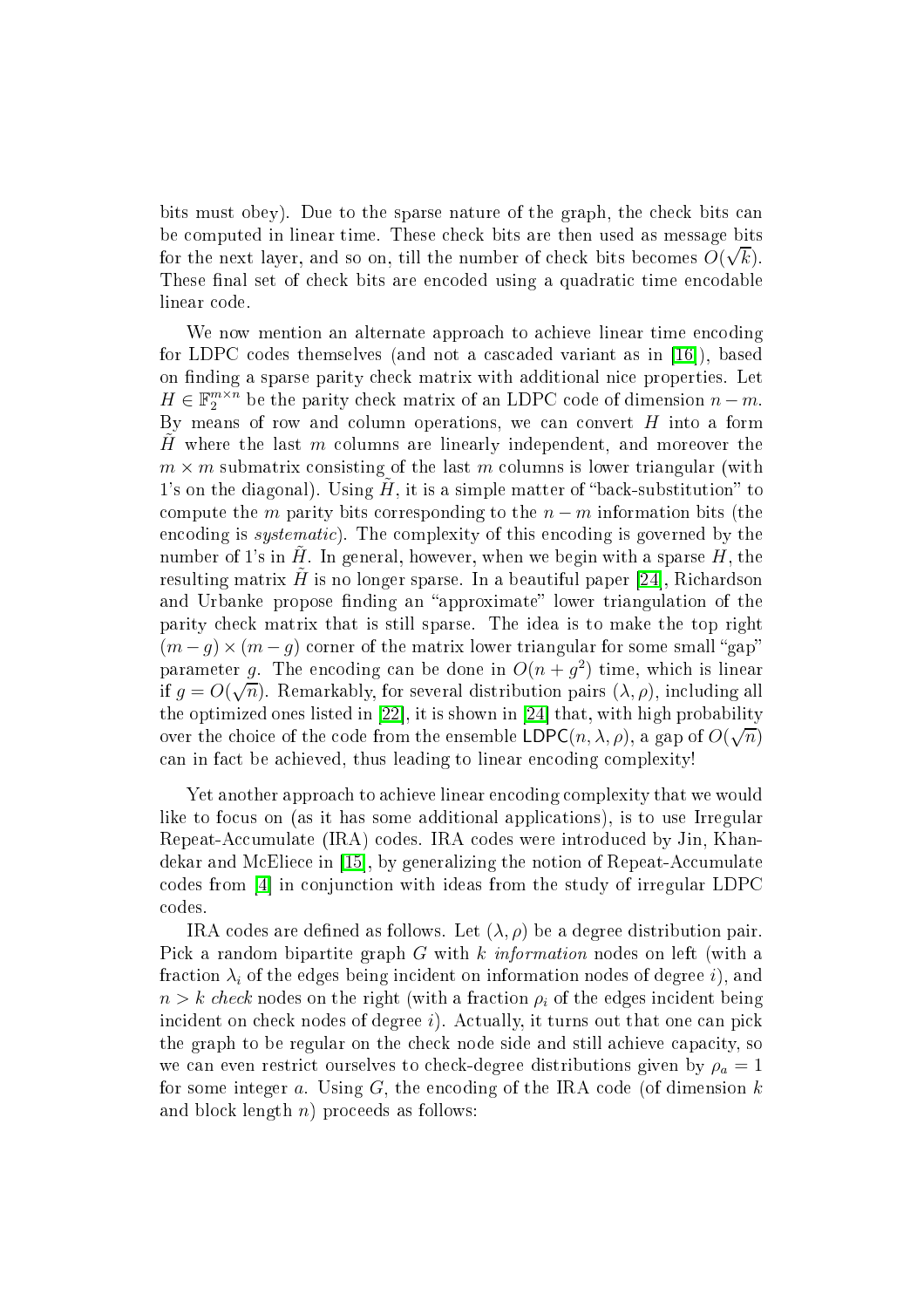bits must obey). Due to the sparse nature of the graph, the check bits can be computed in linear time. These check bits are then used as message bits for the next layer, and so on, till the number of check bits becomes  $O(\sqrt{k})$ . These final set of check bits are encoded using a quadratic time encodable linear ode.

We now mention an alternate approach to achieve linear time encoding for LDPC codes themselves (and not a cascaded variant as in [16]), based on finding a sparse parity check matrix with additional nice properties. Let  $H \in \mathbb{F}_2^{m \times n}$  be the parity check matrix of an LDPC code of dimension  $n - m$ . By means of row and column operations, we can convert  $H$  into a form H where the last  $m$  columns are linearly independent, and moreover the  $m \times m$  submatrix consisting of the last m columns is lower triangular (with 1's on the diagonal). Using  $H$ , it is a simple matter of "back-substitution" to compute the m parity bits corresponding to the  $n-m$  information bits (the encoding is *systematic*). The complexity of this encoding is governed by the number of 1's in  $H$ . In general, however, when we begin with a sparse  $H$ , the resulting matrix H is no longer sparse. In a beautiful paper [24], Richardson and Urbanke propose finding an "approximate" lower triangulation of the parity he
k matrix that is still sparse. The idea is to make the top right  $(m - g) \times (m - g)$  corner of the matrix lower triangular for some small "gap" parameter g. The encoding can be done in  $O(n + g^2)$  time, which is linear if  $g = O(\sqrt{n})$ . Remarkably, for several distribution pairs  $(\lambda, \rho)$ , including all the optimized ones listed in [22], it is shown in [24] that, with high probability over the choice of the code from the ensemble  $LDPC(n, \lambda, \rho)$ , a gap of  $O(\sqrt{n})$ can in fact be achieved, thus leading to linear encoding complexity!

Yet another approach to achieve linear encoding complexity that we would like to focus on (as it has some additional applications), is to use Irregular Repeat-Accumulate (IRA) codes. IRA codes were introduced by Jin, Khandekar and McEliece in [15], by generalizing the notion of Repeat-Accumulate codes from [4] in conjunction with ideas from the study of irregular LDPC odes.

IRA codes are defined as follows. Let  $(\lambda, \rho)$  be a degree distribution pair. Pick a random bipartite graph G with k *information* nodes on left (with a fraction  $\lambda_i$  of the edges being incident on information nodes of degree i), and  $n > k$  check nodes on the right (with a fraction  $\rho_i$  of the edges incident being incident on check nodes of degree  $i$ ). Actually, it turns out that one can pick the graph to be regular on the check node side and still achieve capacity, so we can even restrict ourselves to check-degree distributions given by  $\rho_a = 1$ for some integer  $a$ . Using  $G$ , the encoding of the IRA code (of dimension  $k$ and block length  $n)$  proceeds as follows: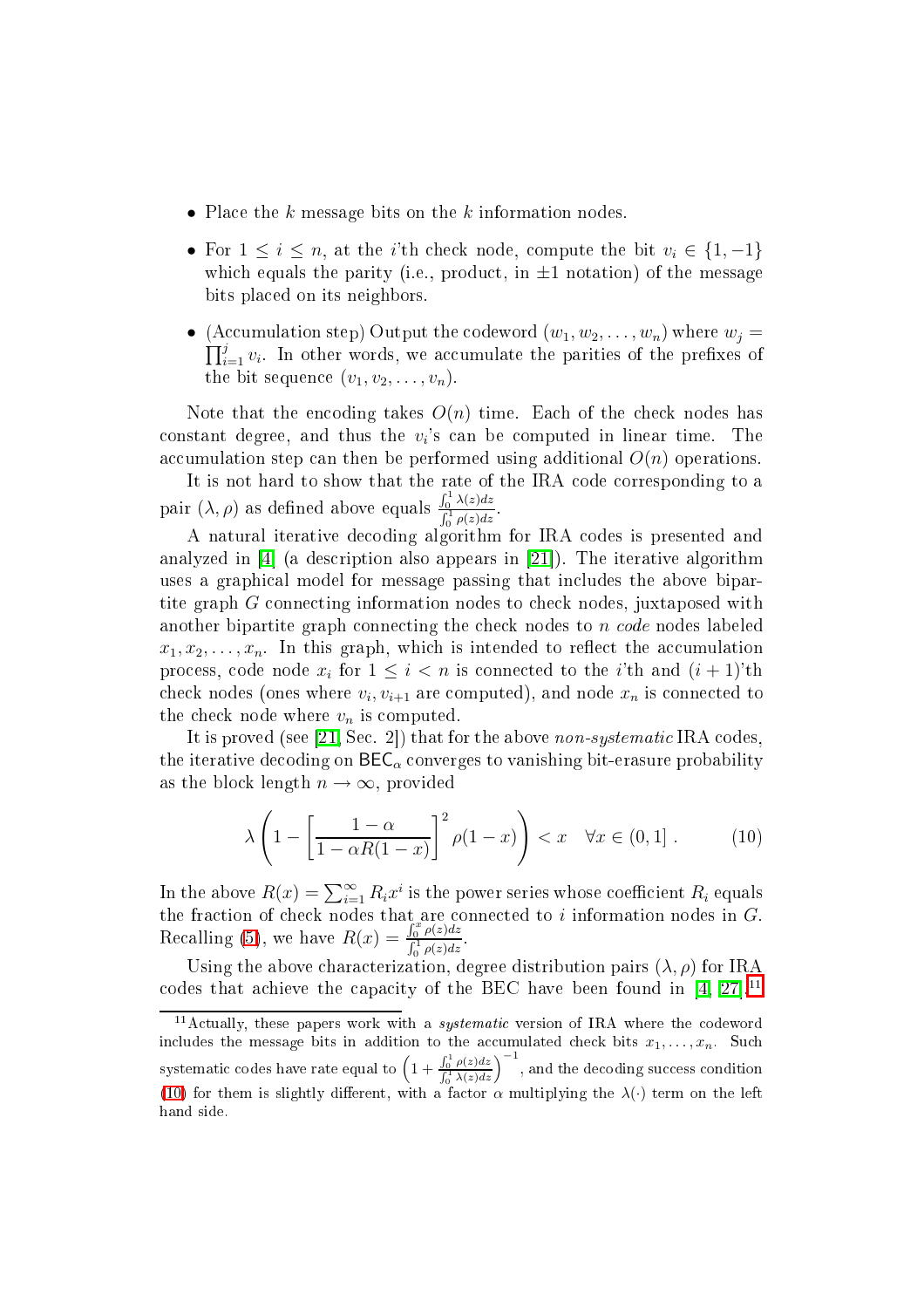- Place the k message bits on the k information nodes.
- For  $1 \leq i \leq n$ , at the *i*'th check node, compute the bit  $v_i \in \{1, -1\}$ which equals the parity (i.e., product, in  $\pm 1$  notation) of the message bits pla
ed on its neighbors.
- (Accumulation step) Output the codeword  $(w_1, w_2, \ldots, w_n)$  where  $w_j =$  $\prod_{i=1}^{j} v_i$ . In other words, we accumulate the parities of the prefixes of the bit sequence  $(v_1, v_2, \ldots, v_n)$ .

Note that the encoding takes  $O(n)$  time. Each of the check nodes has  $\text{constant}$  degree, and thus the  $v_i$ 's can be computed in linear time. The accumulation step can then be performed using additional  $O(n)$  operations.

It is not hard to show that the rate of the IRA code corresponding to a pair  $(\lambda, \rho)$  as defined above equals  $\frac{\int_0^1 \lambda(z) dz}{\int_0^1 \lambda(z) dz}$  $\int_0^1 \rho(z) dz$ 

A natural iterative de
oding algorithm for IRA odes is presented and analyzed in  $[4]$  (a description also appears in  $[21]$ ). The iterative algorithm uses a graphi
al model for message passing that in
ludes the above bipartite graph G connecting information nodes to check nodes, juxtaposed with another bipartite graph connecting the check nodes to n code nodes labeled  $x_1, x_2, \ldots, x_n$ . In this graph, which is intended to reflect the accumulation process, code node  $x_i$  for  $1 \leq i < n$  is connected to the *i*'th and  $(i + 1)$ 'th check nodes (ones where  $v_i, v_{i+1}$  are computed), and node  $x_n$  is connected to the check node where  $v_n$  is computed.

It is proved (see [\[21,](#page-36-10) Sec. 2]) that for the above non-systematic IRA codes, the iterative decoding on  $\text{BEC}_{\alpha}$  converges to vanishing bit-erasure probability as the block length  $n \to \infty$ , provided

<span id="page-33-1"></span>
$$
\lambda \left( 1 - \left[ \frac{1 - \alpha}{1 - \alpha R(1 - x)} \right]^2 \rho(1 - x) \right) < x \quad \forall x \in (0, 1] \,. \tag{10}
$$

In the above  $R(x) = \sum_{i=1}^{\infty} R_i x^i$  is the power series whose coefficient  $R_i$  equals the fraction of check nodes that are connected to i information nodes in  $G$ . Recalling [\(5\)](#page-24-1), we have  $R(x) = \frac{\int_0^x \rho(z) dz}{\int_0^1 \rho(z) dz}$  $\int_0^1 \rho(z) dz$ 

Using the above characterization, degree distribution pairs  $(\lambda, \rho)$  for IRA codes that achieve the capacity of the BEC have been found in  $[4, 27]$  $[4, 27]$ .<sup>11</sup>

<span id="page-33-0"></span><sup>&</sup>lt;sup>11</sup> Actually, these papers work with a *systematic* version of IRA where the codeword includes the message bits in addition to the accumulated check bits  $x_1, \ldots, x_n$ . Such systematic codes have rate equal to  $\left(1+\frac{\int_0^1 \rho(z)dz}{\int_0^1 \lambda(z)dz}\right)^{-1}$ , and the decoding success condition [\(10\)](#page-33-1) for them is slightly different, with a factor  $\alpha$  multiplying the  $\lambda(\cdot)$  term on the left hand side.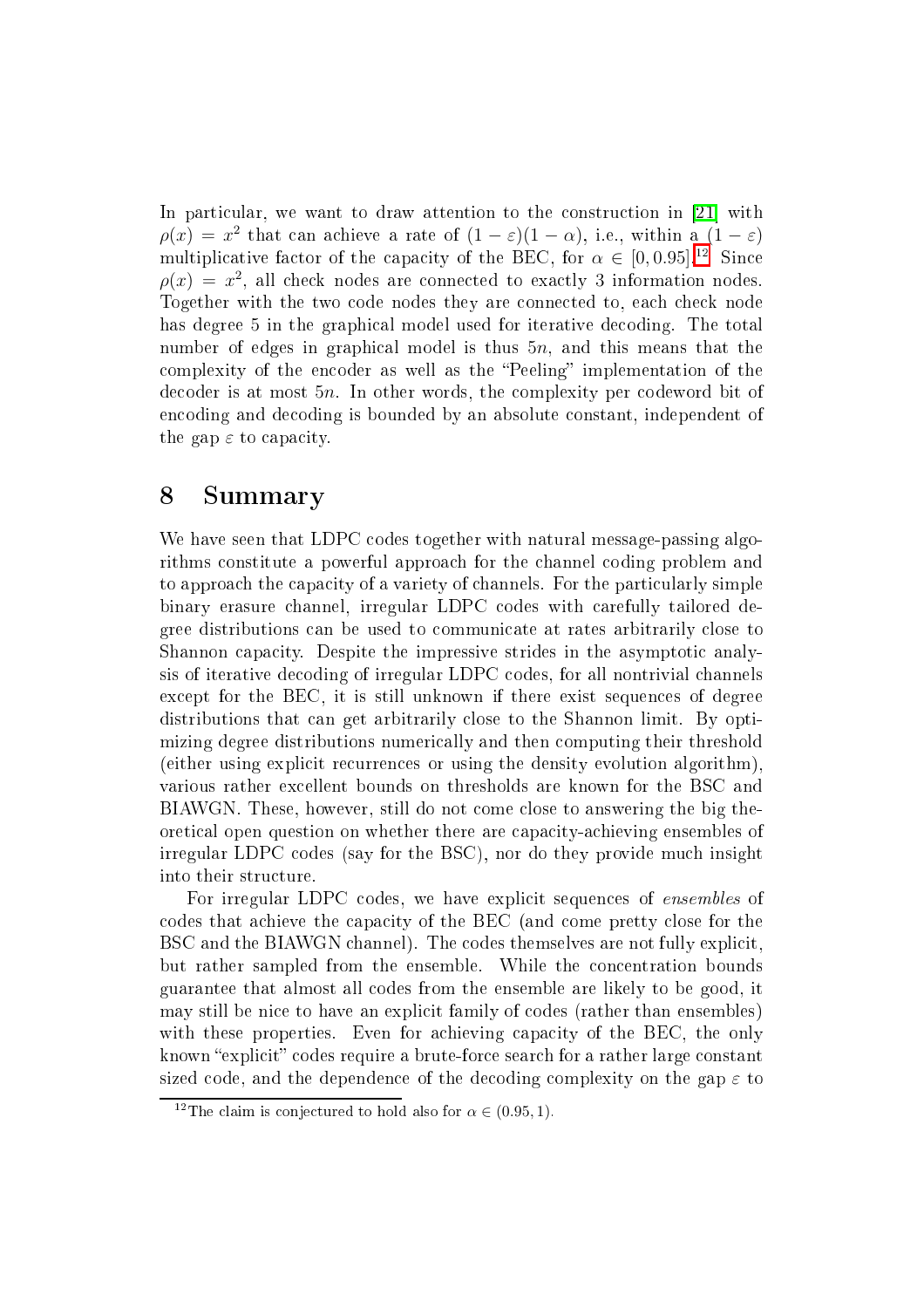In particular, we want to draw attention to the construction in [21] with  $\rho(x) = x^2$  $\rho(x) = x^2$  $\rho(x) = x^2$  that can achieve a rate of  $(1 - \varepsilon)(1 - \alpha)$ , i.e., within a  $(1 - \varepsilon)$ multiplicative factor of the capacity of the BEC, for  $\alpha \in [0, 0.95]$ .<sup>12</sup> Since  $\rho(x) = x^2$ , all check nodes are connected to exactly 3 information nodes. Together with the two code nodes they are connected to, each check node has degree 5 in the graphical model used for iterative decoding. The total number of edges in graphical model is thus  $5n$ , and this means that the complexity of the encoder as well as the "Peeling" implementation of the decoder is at most 5*n*. In other words, the complexity per codeword bit of encoding and decoding is bounded by an absolute constant, independent of the gap  $\varepsilon$  to capacity.

# 8 Summary

We have seen that LDPC codes together with natural message-passing algorithms onstitute a powerful approa
h for the hannel oding problem and to approach the capacity of a variety of channels. For the particularly simple binary erasure hannel, irregular LDPC odes with arefully tailored degree distributions an be used to ommuni
ate at rates arbitrarily lose to Shannon capacity. Despite the impressive strides in the asymptotic analysis of iterative de
oding of irregular LDPC odes, for all nontrivial hannels except for the BEC, it is still unknown if there exist sequences of degree distributions that an get arbitrarily lose to the Shannon limit. By optimizing degree distributions numerically and then computing their threshold (either using expli
it re
urren
es or using the density evolution algorithm), various rather ex
ellent bounds on thresholds are known for the BSC and BIAWGN. These, however, still do not come close to answering the big theoretical open question on whether there are capacity-achieving ensembles of irregular LDPC odes (say for the BSC), nor do they provide mu
h insight into their structure.

For irregular LDPC codes, we have explicit sequences of *ensembles* of odes that a
hieve the apa
ity of the BEC (and ome pretty lose for the BSC and the BIAWGN channel). The codes themselves are not fully explicit, but rather sampled from the ensemble. While the on
entration bounds guarantee that almost all odes from the ensemble are likely to be good, it may still be ni
e to have an expli
it family of odes (rather than ensembles) with these properties. Even for achieving capacity of the BEC, the only known "explicit" codes require a brute-force search for a rather large constant sized code, and the dependence of the decoding complexity on the gap  $\varepsilon$  to

<span id="page-34-0"></span><sup>&</sup>lt;sup>12</sup>The claim is conjectured to hold also for  $\alpha \in (0.95, 1)$ .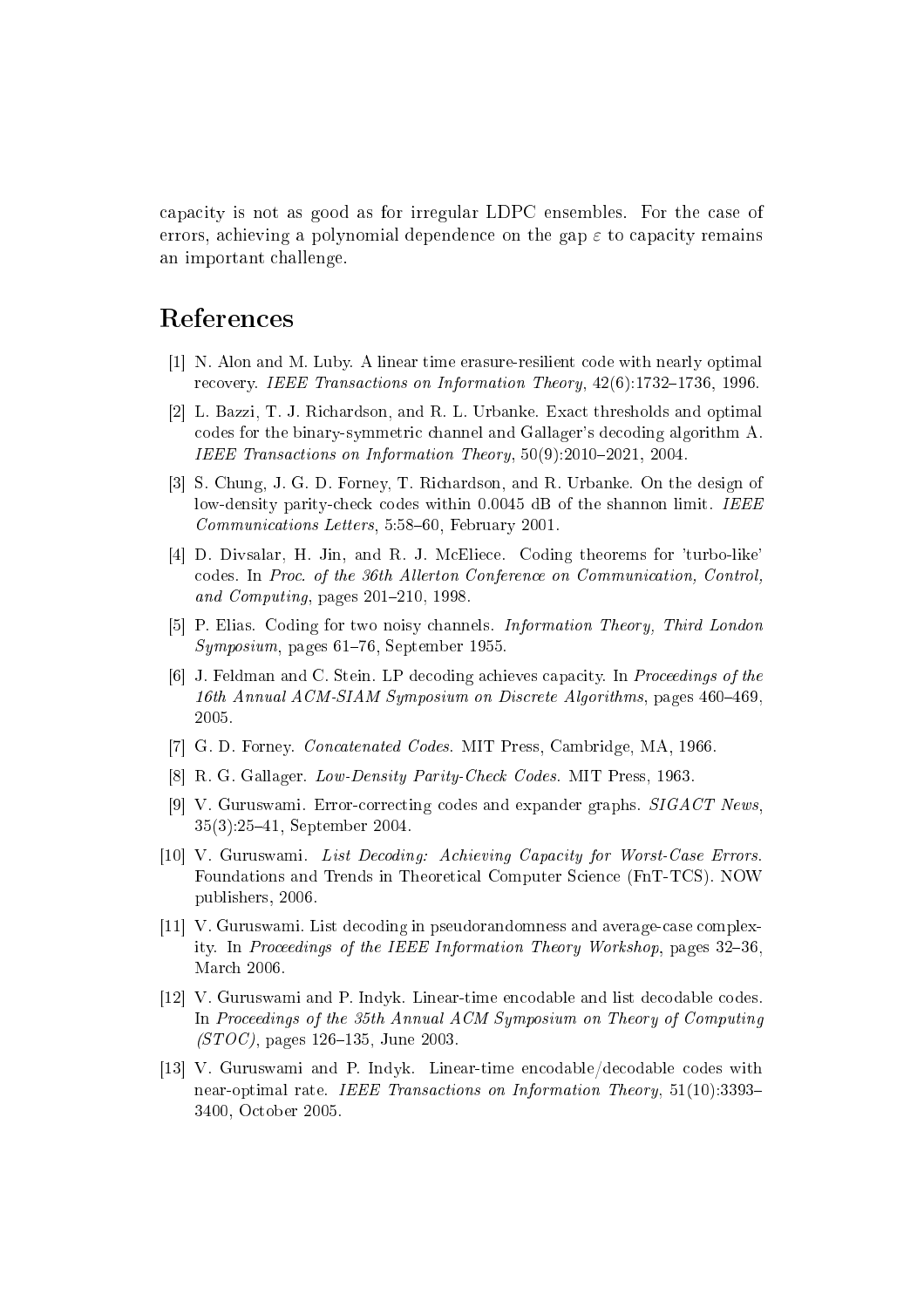apa
ity is not as good as for irregular LDPC ensembles. For the ase of errors, achieving a polynomial dependence on the gap  $\varepsilon$  to capacity remains an important hallenge.

# <span id="page-35-7"></span>Referen
es

- <span id="page-35-10"></span>[1] N. Alon and M. Luby. A linear time erasure-resilient code with nearly optimal recovery. IEEE Transactions on Information Theory, 42(6):1732-1736, 1996
- [2] L. Bazzi, T. J. Richardson, and R. L. Urbanke. Exact thresholds and optimal odes for the binary-symmetri hannel and Gallager's de
oding algorithm A. IEEE Transactions on Information Theory,  $50(9):2010-2021$ ,  $2004$ .
- <span id="page-35-11"></span>[3] S. Chung, J. G. D. Forney, T. Richardson, and R. Urbanke. On the design of low-density parity-check codes within 0.0045 dB of the shannon limit. IEEE Communications Letters, 5:58-60, February 2001.
- <span id="page-35-12"></span>[4] D. Divsalar, H. Jin, and R. J. McEliece. Coding theorems for 'turbo-like' codes. In Proc. of the 36th Allerton Conference on Communication, Control, and Computing, pages  $201-210$ , 1998.
- <span id="page-35-9"></span><span id="page-35-5"></span>[5] P. Elias. Coding for two noisy channels. *Information Theory, Third London*  $Symposium$ , pages 61–76, September 1955.
- [6] J. Feldman and C. Stein. LP decoding achieves capacity. In Proceedings of the 16th Annual ACM-SIAM Symposium on Discrete Algorithms, pages  $460-469$ , 2005.
- <span id="page-35-6"></span><span id="page-35-4"></span>[7] G. D. Forney. *Concatenated Codes*. MIT Press, Cambridge, MA, 1966.
- <span id="page-35-1"></span>[8] R. G. Gallager. Low-Density Parity-Check Codes. MIT Press, 1963.
- [9] V. Guruswami. Error-correcting codes and expander graphs.  $SIGACT News$ , 35(3):2541, September 2004.
- <span id="page-35-2"></span>[10] V. Guruswami. List Decoding: Achieving Capacity for Worst-Case Errors. Foundations and Trends in Theoreti
al Computer S
ien
e (FnT-TCS). NOW publishers, 2006.
- <span id="page-35-3"></span>[11] V. Guruswami. List decoding in pseudorandomness and average-case complexity. In Proceedings of the IEEE Information Theory Workshop, pages 32–36, Mar
h 2006.
- <span id="page-35-0"></span>[12] V. Guruswami and P. Indyk. Linear-time encodable and list decodable codes. In Proceedings of the 35th Annual ACM Symposium on Theory of Computing  $(TG)$ , pages 126–135, June 2003.
- <span id="page-35-8"></span>[13] V. Guruswami and P. Indyk. Linear-time encodable/decodable codes with near-optimal rate. IEEE Transactions on Information Theory, 51(10):3393-3400, O
tober 2005.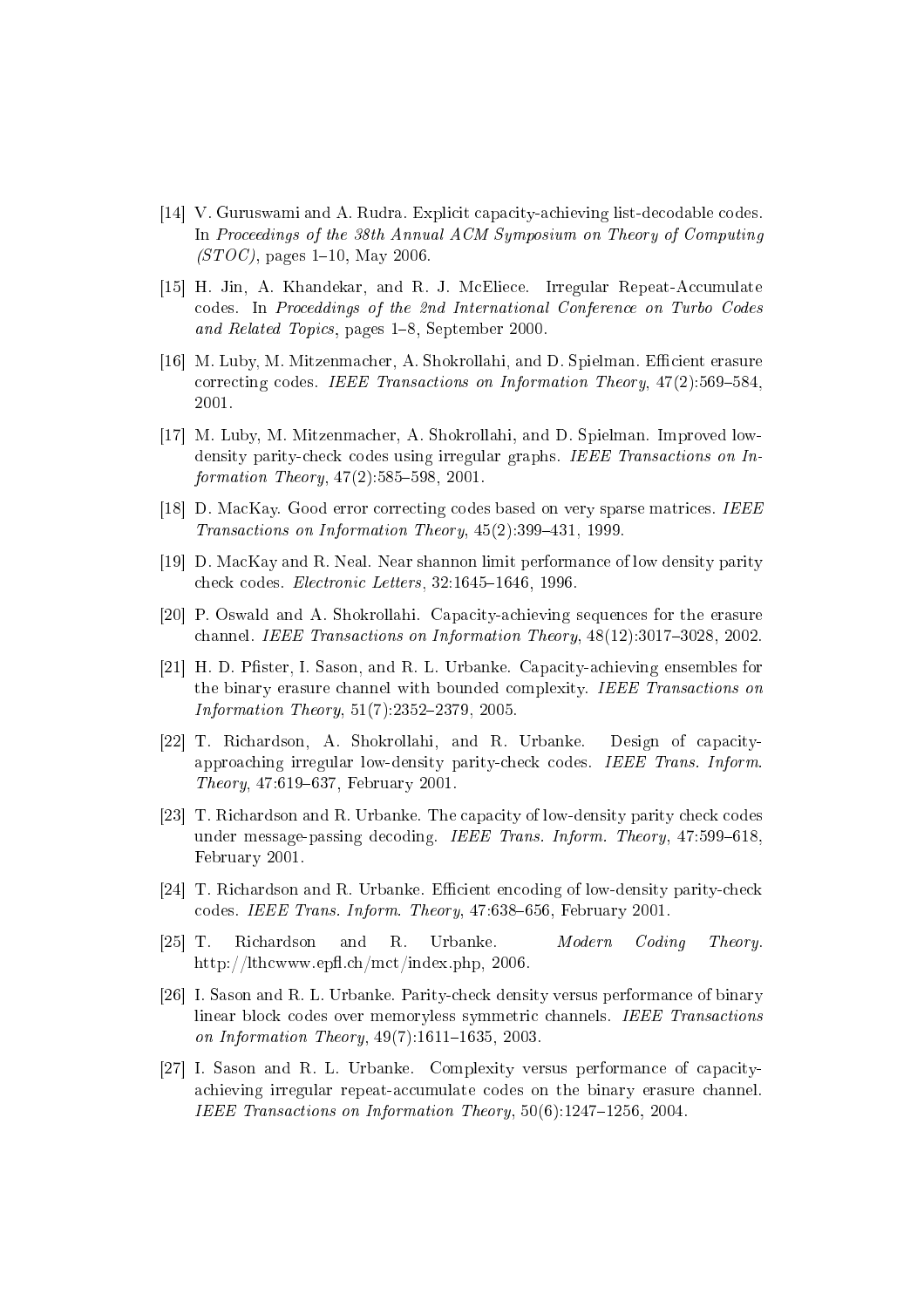- <span id="page-36-0"></span>[14] V. Guruswami and A. Rudra. Explicit capacity-achieving list-decodable codes. In Proceedings of the 38th Annual ACM Symposium on Theory of Computing  $(TGTC)$ , pages 1–10, May 2006.
- <span id="page-36-12"></span>[15] H. Jin, A. Khandekar, and R. J. McEliece. Irregular Repeat-Accumulate odes. In Pro
eddings of the 2nd International Conferen
e on Turbo Codes and Related Topics, pages 1–8, September 2000.
- <span id="page-36-2"></span>[16] M. Luby, M. Mitzenmacher, A. Shokrollahi, and D. Spielman. Efficient erasure correcting codes. IEEE Transactions on Information Theory, 47(2):569-584
- <span id="page-36-3"></span>[17] M. Luby, M. Mitzenmacher, A. Shokrollahi, and D. Spielman. Improved lowdensity parity-check codes using irregular graphs. IEEE Transactions on Information Theory,  $47(2)$ :585-598, 2001.
- <span id="page-36-7"></span><span id="page-36-6"></span>[18] D. MacKay. Good error correcting codes based on very sparse matrices. IEEE Transactions on Information Theory, 45(2):399-431, 1999.
- <span id="page-36-8"></span>[19] D. MacKay and R. Neal. Near shannon limit performance of low density parity check codes. Electronic Letters, 32:1645-1646, 1996.
- <span id="page-36-10"></span>[20] P. Oswald and A. Shokrollahi. Capacity-achieving sequences for the erasure channel. IEEE Transactions on Information Theory, 48(12):3017-3028, 2002.
- [21] H. D. Pfister, I. Sason, and R. L. Urbanke. Capacity-achieving ensembles for the binary erasure channel with bounded complexity. IEEE Transactions on  $Information Theory, 51(7):2352-2379, 2005.$
- <span id="page-36-5"></span>[22] T. Richardson, A. Shokrollahi, and R. Urbanke. Design of capacityapproa
hing irregular low-density parityhe
k odes. IEEE Trans. Inform. Theory,  $47:619-637$ , February 2001.
- <span id="page-36-4"></span>[23] T. Richardson and R. Urbanke. The capacity of low-density parity check codes under message-passing decoding. IEEE Trans. Inform. Theory, 47:599-618, February 2001.
- <span id="page-36-11"></span><span id="page-36-1"></span>[24] T. Richardson and R. Urbanke. Efficient encoding of low-density parity-check codes. IEEE Trans. Inform. Theory,  $47:638-656$ . February  $2001$ .
- <span id="page-36-9"></span>[25℄ T. Ri
hardson and R. Urbanke. Modern Coding Theory. http://lthcwww.epfl.ch/mct/index.php, 2006.
- [26] I. Sason and R. L. Urbanke. Parity-check density versus performance of binary linear block codes over memoryless symmetric channels. IEEE Transactions on Information Theory,  $49(7)$ :1611-1635, 2003.
- <span id="page-36-13"></span>[27] I. Sason and R. L. Urbanke. Complexity versus performance of capacityachieving irregular repeat-accumulate codes on the binary erasure channel. IEEE Transactions on Information Theory,  $50(6)$ :1247-1256, 2004.